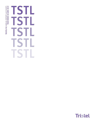# **TSTL TSTL TSTL TSTL TSTL**

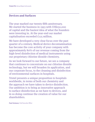### **Devices and Surfaces**

The year marked our twenty-fifth anniversary. We started the business in 1993 with US\$250,000 of capital and the haziest idea of what the founders were investing in. At the year-end our market capitalisation exceeded £125 million.

We have developed a very clear focus over the past quarter of a century. Medical device decontamination has become the core activity of your company with approximately 80% of our revenue coming from the high-level disinfection of medical instruments using our proprietary chlorine dioxide chemistry.

As we look forward to our future, we see a company that continues to concentrate on our chlorine dioxide technology, but we will broaden its application, and our corporate focus, to the cleaning and disinfection of environmental surfaces in hospitals.

Tristel presents a unique proposition to hospitals worldwide, in terms of both our chemistry and the approach we have taken to device disinfection. Our ambition is to bring as innovative approach to surface disinfection as we have to devices, and in so doing continue the creation of value for our shareholders.

**Paul Swinney** Chief Executive Officer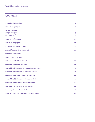### **Contents**

| <b>Operational Highlights</b>                                                                                        | 4            |
|----------------------------------------------------------------------------------------------------------------------|--------------|
| <b>Financial Highlights</b>                                                                                          | 5            |
| <b>Strategic Report</b><br><b>Chairman's Statement</b><br><b>Chief Executive's Report</b><br><b>Financial Review</b> | 6<br>8<br>14 |
| <b>Company Information</b>                                                                                           | 19           |
| <b>Directors' Biographies</b>                                                                                        | 20           |
| <b>Directors' Remuneration Report</b>                                                                                | 22           |
| <b>Annual Remuneration Statement</b>                                                                                 | 24           |
| <b>Corporate Governance</b>                                                                                          | 26           |
| <b>Report of the Directors</b>                                                                                       | 32           |
| <b>Independent Auditor's Report</b>                                                                                  | 35           |
| <b>Consolidated Income Statement</b>                                                                                 | 40           |
| <b>Consolidated Statement of Comprehensive Income</b>                                                                | 41           |
| <b>Consolidated Statement of Financial Position</b>                                                                  | 42           |
| <b>Company Statement of Financial Position</b>                                                                       | 43           |
| <b>Consolidated Statement of Changes in Equity</b>                                                                   | 44           |
| <b>Company Statement of Changes in Equity</b>                                                                        | 45           |
| <b>Consolidated Statement of Cash Flows</b>                                                                          | 46           |
| <b>Company Statement of Cash Flows</b>                                                                               | 47           |
| <b>Notes to the Consolidated Financial Statements</b>                                                                | 48           |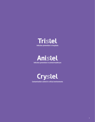





**Contamination control in critical environments**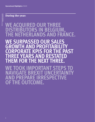## **WE ACQUIRED OUR THREE DISTRIBUTORS IN BEL THE NETHERLANDS AND FRANCE.**

**WE SURPASSED OUR SALES GROWTH AND PROFITABILITY PORATE KPIS FOR THE PA<br>EE YEARS AND RESTATED YEARS AND THEM FOR THE NEXT THREE.**

**WE TOOK IMPORTANT STEPS TO NAVIGATE BREXIT UNCERTAINTY AND PREPARE IRRESPECTIVE OF THE OUTCOME.**

4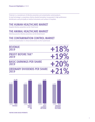Tristel plc is a manufacturer of infection prevention and contamination control products. Its lead technology is a proprietary chlorine dioxide formulation incorporated in high-performance disinfectants used principally on medical instruments and surfaces in hospitals.

### **THE HUMAN HEALTHCARE MARKET**

Hospital infection prevention via the Tristel brand

### **THE ANIMAL HEALTHCARE MARKET**

Veterinary practice infection prevention via the Anistel brand

### **THE CONTAMINATION CONTROL MARKET**

Control of contamination in critical environments via the Crystel brand

| <b>REVENUE</b><br>2019                      | $+18%$ |
|---------------------------------------------|--------|
| <b>PROFIT BEFORE TAX*</b><br>2019           |        |
| <b>BASIC EARNINGS PER SHARE</b><br>2019     | $+20%$ |
| <b>ORDINARY DIVIDENDS PER SHARE</b><br>2019 |        |



**\*BEFORE SHARE-BASED PAYMENTS**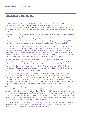**TRISTEL PLC** ANNUAL REPORT & ACCOUNTS

### **Chairman's Statement**

We made solid progress during the year to 30 June 2019. Sales grew to £26.2m from £22.2m in 2018, an increase of 18%. The proportion of our revenue generated in overseas markets continued to increase and reached 55% in the year (2018: 51%). Overseas sales grew by 26% whilst UK sales grew by 9%. This difference in the pace of growth, across our various markets, reflects the higher market penetration in the United Kingdom than so far achieved in overseas markets.

In November 2018 we acquired our three distributors in Belgium, the Netherlands and France. During the seven and a half months leading up to 30 June that they were under our ownership, they registered sales of £2.1m. If they had continued as our distributors, we estimate that they would have purchased £0.4m of Tristel products from us during that period, and so we estimate that the acquisition has impacted the financial year by increasing sales by  $£1.7m$ . If the acquisition had not taken place, our reported sales growth would have been 10%, rather than 18%.

Pre-tax profit before share-based payments was £5.6m compared to £4.7m last year, an increase of 19%. (Unadjusted pre-tax profit of £4.7m compared to  $E4$ m last year, an increase of 18%.) Our pre-tax profit margin, which is a key measure of our performance, and before share-based payments, remained at 21%, while pre-tax profit margin also remained consistent at 18% (see note 4.) Adjusted earnings per share (EPS), before share-based payments, were 11.08 pence, up from 9.16 pence last year (see note 22). Basic EPS were 9.14 pence, a 20% increase from last year, after a share-based payment charge of £0.852m (2018: £0.665m). This charge is a non cash item.

The Group has continued to be highly cash generative and on 30 June 2019 the cash balance was £4.2m (2018: £6.7m), notwithstanding the acquisition during the year of its three distributors in Belgium, the Netherlands and France which involved a cash outlay of  $E4.7$ m. In line with the Company's ordinary dividend policy, the Board is recommending that the final dividend is 3.50 pence (2018: 2.98 pence), an increase of 17%. Including the interim dividend of 2.04 pence (2018: 1.60 pence), and the proposed final dividend, the total dividend for the year will be 5.54 pence (2018: 4.58 pence), an increase of 21%.

We continued to invest for future growth. During the year we spent £0.4m on product development and testing (2018: £0.5m) and £0.2m on intellectual property protection (2018: £0.2m). Both of these expenditures are held in intangible assets. We invested  $E(0.7m)(2018; E(1.0m))$  in regulatory and product enhancement programmes where we have recognised this cost as an expense. Included in this cost is an amount of £0.5m (2018: £0.5m) relating to our initiative to enter the United States market which commenced in 2014. The cumulative investment in this regulatory project and in the establishment of a commercial structure within the country has been £1.7m.

Whilst no revenues have yet been generated from the United States, significant progress has been made to build a commercial platform from which to enter the market. During the year we continued to generate data required for a submission which we intend to make to the Food and Drug Administration (FDA) to obtain pre-market approval for our foam-based Duo product as a high-level disinfectant for medical devices. We have already received approvals from the Environmental Protection Agency (EPA) for Duo. We have entered into a partnership with Parker Laboratories based in New Jersey by which we have put in place manufacturing capability and a national distribution network. We do not yet have employees in the United States but have established a subsidiary.

This is my first address as Chairman, having succeeded Francisco Soler at last December's Annual General Meeting. To further develop our Board of Directors we have appointed Dr Bruno Holthof as an independent Non-Executive Director. Bruno is Chief Executive of Oxford University Hospitals NHS Trust.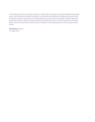As I look back upon my first 10 months as Chairman, I believe that the Group has successfully navigated its way through a year in which Brexit was anticipated to take place, an event which posed significant challenges, particularly in terms of manufacture. Brexit is yet to occur and has been pushed back, and we expect the challenges it brings to repeat this financial year. However, I believe the Group is well-placed to weather this and any economic downturn that may follow. Finally, I would like to pay tribute to and thank all our employees who have given great service to the Company during the year.

**Paul Barnes** Chairman 31 October 2019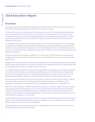### **Chief Executive's Report**

### **Overview**

Group revenue was up 18%, adjusted pre-tax profit was up 19% (pre-tax profit up 18%) and adjusted EPS was up 21% (basic EPS up 20%). We ended the year with cash of £4.2m. The Group is debt-free.

In October 2016, we set out our financial plan for the three years to 30 June 2019. The two key financial targets of the plan were sales growth in the range of 10% to 15% per annum as an annual average over the three years, and the achievement in each year of a pre-tax profit margin (excluding share-based payment charges) of at least 17.5%. Both targets became Key Performance Indicators (KPIs) of the Group. We can report that both these KPIs have been met throughout the three years.

On 18 November 2018 we acquired three companies, known to us as the Ecomed Group ('Ecomed'), and consisting of Ecomed Services N.V. (Belgium), Ecomed Nederlands B.V. (Netherlands), and Ecomed SARL (France). Each of the three companies have been distributors of Tristel products: since 2005 in Belgium; since 2013 in the Netherlands and 2016 in France. The companies have each changed their corporate name to 'Tristel' and represent Tristel Western Europe in our organisational structure.

During the year the Ecomed acquisition contributed £1.7m to Group sales. If the three companies had continued as distributors and the acquisition had not taken place, Group sales would have been £24.46m and sales growth would have been 10%.

Strategically, the acquisition expands our direct presence throughout much of continental Europe, and our coverage was further increased shortly after the year-end with the acquisition of the remaining 80% of the share capital of Tristel Italia Srl, bringing this company under our complete ownership and control.

The management teams of our Western Europe and Italian acquisitions are continuing as part of the Group management and sales team. All four companies are essentially sales organisations and have boosted the UK and European sales force to 30, and the global sales force to 41. The total Group-wide headcount at 30 June 2019 was 146. The Ecomed acquisition has also added a 14,000 sq. ft. warehouse facility in Antwerp to our Group's logistics infrastructure.

We are proposing a final dividend of 3.50 pence per share (2018: 2.98 pence), making 5.54 pence (2018: 4.58 pence) in total for the year, an increase of 21%. If approved, the final dividend will be paid on 20 December 2019 to shareholders on the register at 22 November 2019. The corresponding ex-dividend date is 21 November 2019.

Brexit cast its spell over the year. To forestall any potential disruption to our customers' supply chain we built inventory of all component parts and finished products in the run up to 31 March and encouraged key domestic and overseas customers to increase their stockholdings of our products. Brexit did not take place and we believe that most of our customers' inventory holdings were then wound down again in the final quarter of the year. We anticipate that a similar cycle will repeat as we approach 31 October 2019.

The other significant event relating to Brexit was to move the location of our Notified Body from BSI's office in the United Kingdom to BSI in Amsterdam. We believe this will ensure our ability to CE mark our disinfectants and sell them within Europe irrespective of the outcome of the Brexit negotiation.

Notwithstanding this near-term uncertainty relating to our trading relationship with Europe and the rest of the world, the outlook for the Company remains very positive.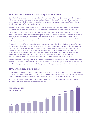### **Our business: What our marketplace looks like**

Our entire business is focussed on preventing the transmission of microbes from one object or person to another. We pursue this purpose because microbes can be a source of infection to humans and animals. They can cause illness or death and place a heavy cost on individuals and society. We achieve our purpose by applying a very powerful disinfectant – chlorine dioxide – to the target surface or medical instrument.

We are unique worldwide in using chlorine dioxide as a high-performance disinfectant for medical instruments. We are also one of a very few companies worldwide that can legitimately claim to be exclusively an infection prevention business.

Our mission is most relevant to hospitals where the risks of infection to individuals are highest. In the hospital market, which we refer to as human healthcare, we brand our products Tristel. The risk of cross infection is also relevant to veterinary practices, or animal hospitals, and in the animal healthcare market we brand our products Anistel. Finally, the control of microbial contamination is also very relevant in critical manufacturing environments, for example cleanrooms, and in this market our products are branded Crystel.

A hospital is a vast, multi-faceted organisation. We are not only unique in providing chlorine dioxide as a high-performance disinfectant within hospitals, but we are also unique in our focus upon specific clinical departments within them. We target clinical departments that carry out diagnostic procedures with small heat-sensitive medical instruments. These include: the nasendoscope used in Ear, Nose and Throat departments; the laryngoscope blade used in emergency medicine; tonometers used in ophthalmology, and ultrasound probes used in both women and men's health. In these departments, we are the only simple to implement, affordable, high-performance disinfection method available. Consequently, in geographical markets in which we have been present for some time, we hold a truly significant market share.

Infection prevention is a basic requirement for the safe and effective provision of healthcare. This is true in all hospitals in all countries. Our primary focus is on the acute hospital, but the trend is for medical device procedures to take place outside of the hospital, and the pool of opportunity for the sale of our products can be expected to expand substantially over the long term.

### **How we service our market**

Over 95% of our revenues are of repeat consumable products that perform a vital function in hospitals. Their use is for the most part non-discretionary. Our products are typically small packaged goods, requiring no after sales service, other than comprehensive training, Capital sales, service and maintenance do not feature, therefore, in a significant way in our revenue model.



We sell our products directly to end users in those markets in which we have established a direct operational presence, and through distributors in markets where we have no presence.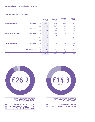#### **OUR REVENUES – BY SALES CHANNEL**

|                              |                              |            | $2018 - 2019$<br>$f'$ 000 | $2017 - 2018$<br>$f'$ 000 | Year-on-year<br>change<br>$f'$ 000 | <b>Percentage</b><br>change<br>$\%$ |
|------------------------------|------------------------------|------------|---------------------------|---------------------------|------------------------------------|-------------------------------------|
| Human healthcare             | <b>Direct sales</b>          | <b>UK</b>  | 10,024                    | 8,912                     | 1,112                              | 12%                                 |
|                              |                              | EU         | 6,650                     | 4,087                     | 2,563                              | 63%                                 |
|                              |                              | <b>ROW</b> | 4,273                     | 3,961                     | 312                                | 8%                                  |
|                              | <b>Sales to distributors</b> | EU         | 1,534                     | 1,559                     | (25)                               | $(2)\%$                             |
|                              |                              | <b>ROW</b> | 1,465                     | 1,350                     | 115                                | 9%                                  |
| <b>Contamination control</b> | <b>Direct sales</b>          | <b>UK</b>  | 1,205                     | 1,258                     | (53)                               | (4)%                                |
|                              |                              | EU         | 37                        | 34                        | 3                                  | 9%                                  |
|                              |                              | <b>ROW</b> | 51                        | 44                        | 7                                  | 16%                                 |
|                              | <b>Sales to distributors</b> | EU         | 122                       | 96                        | 26                                 | 27%                                 |
|                              |                              | <b>ROW</b> |                           |                           |                                    |                                     |
| <b>Animal healthcare</b>     | <b>Direct sales</b>          | <b>UK</b>  | 79                        | 96                        | (17)                               | (18)%                               |
|                              |                              | EU         | 8                         | 3                         | 5                                  | 167%                                |
|                              |                              | <b>ROW</b> | 212                       | 195                       | 17                                 | 9%                                  |
|                              | <b>Sales to distributors</b> | <b>UK</b>  | 488                       | 569                       | (81)                               | (14)%                               |
|                              |                              | EU         | 21                        | 56                        | (35)                               | (63)%                               |
| <b>Group sales</b>           |                              |            | 26,169                    | 22,220                    | 3,949                              | 18%                                 |

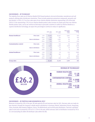#### **OUR REVENUES – BY TECHNOLOGY**

The majority of our sales are of chlorine dioxide (CI02) based products; but we do formulate, manufacture and sell products utilising other disinfectant chemistries. These include quaternary ammonium compounds, peracetic acid and alcohol. In 2019,  $£3.7$ m of our sales were of non-chlorine dioxide chemistries representing 14% of the total  $(2018: \text{£}3.8$ m representing 17%). As our chlorine dioxide product sales increase at a faster pace than non-chlorine dioxide product sales, and as we continue to find ways to persuade customers to switch to chlorine dioxide as a superior disinfection technology, we expect this percentage to continue to reduce in significance.

|                              |                              |              | $2018 - 2019$<br>$f'$ 000 | $2017 - 2018$<br>$f'$ 000 | Year-on-year<br>change<br>$f'$ 000 | <b>Percentage</b><br>change<br>$\%$ |
|------------------------------|------------------------------|--------------|---------------------------|---------------------------|------------------------------------|-------------------------------------|
| <b>Human healthcare</b>      | <b>Direct sales</b>          | C102         | 20,009                    | 16,167                    | 3,842                              | 24%                                 |
|                              |                              | <b>Other</b> | 938                       | 793                       | 145                                | 18%                                 |
|                              | <b>Sales to distributors</b> | <b>CI02</b>  | 2,089                     | 1,995                     | 94                                 | 5%                                  |
|                              |                              | <b>Other</b> | 910                       | 914                       | (4)                                | (1)%                                |
| <b>Contamination control</b> | <b>Direct sales</b>          | <b>CI02</b>  | 234                       | 148                       | 86                                 | 58%                                 |
|                              |                              | <b>Other</b> | 1,059                     | 1,188                     | (129)                              | (11)%                               |
|                              | <b>Sales to distributors</b> | <b>CI02</b>  | 74                        | 56                        | 18                                 | 32%                                 |
|                              |                              | <b>Other</b> | 48                        | 40                        | 8                                  | 20%                                 |
| <b>Animal healthcare</b>     | <b>Direct sales</b>          | <b>CI02</b>  | 15                        | 30                        | (15)                               | (50)%                               |
|                              |                              | <b>Other</b> | 284                       | 264                       | 20                                 | 8%                                  |
|                              | <b>Sales to distributors</b> | <b>CI02</b>  | $\overline{2}$            | 5                         | (3)                                | (60)%                               |
|                              |                              | <b>Other</b> | 507                       | 620                       | (113)                              | (18)%                               |
| <b>Group sales</b>           |                              |              | 26,169                    | 22,220                    | 3,949                              | 18%                                 |



#### **OUR REVENUES – BY PORTFOLIO AND GEOGRAPHICAL SPLIT**

Revenues increased by 18% in the year. UK sales grew by 9% and overseas sales by 26%. Overseas sales are made via two channels: through the Company's wholly-owned subsidiaries in Germany, Poland, Switzerland, Russia, Hong Kong, China, Australia, New Zealand, Belgium, France, The Netherlands and via third party distributors. Overseas subsidiary sales to end users increased by 35% to £11.233m in the year, whilst overseas sales to distributors increased by 3% to £3.14m (excluding £0.488m UK distributor sales within the UK).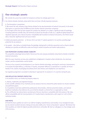### **Our strategic assets**

We consider the assets that enable the Company to achieve its strategic goals to be:

- Our chlorine dioxide chemistry, about which there are three critically important elements:
	- **1.** The formulation is proprietary.

**2.** We remain the only company using chlorine dioxide for the decontamination of medical instruments in the world, which gives us a genuine point of difference from all other infection prevention companies.

**3.** The length of time that we have enjoyed this position has allowed us to collate a significant body of knowledge, including published scientific data, the testimony of almost two decades of safe use, a significant global footprint of regulatory approvals and a library of proven compatibility with hundreds of medical instruments, all of which would take a newcomer significant time and cost to match.

- $\bullet$  Intellectual property protection at 30 June 2019, we held 277 patents granted in 36 countries providing legal protection for our products.
- Our people who hold an unrivalled body of knowledge relating both to infection prevention and to chlorine dioxide, allowing us to quickly and efficiently create and bring to market innovative and market ready products.

#### **OUR PROPRIETARY CHLORINE DIOXIDE CHEMISTRY**

The competitive advantage that we hold is that we are the only company worldwide using chlorine dioxide to disinfect medical instruments.

With this same chemistry, we have also established a bridgehead in hospital surface disinfection, the veterinary market, and the contamination control market.

The focus of our research and development is our chlorine dioxide technology, searching for continuous improvements in increased microbial efficacy, a reduction in hazards, and greater efficiency in manufacture. In parallel, we invest heavily in the creation of packaging and delivery forms that enhance and simplify the user experience.

Our regulatory programme succeeded in attaining 67 approvals for 34 products in 14 countries during the year.

#### **OUR INTELLECTUAL PROPERTY PROTECTION**

In its broadest sense, our intellectual property relates to:

**1.** Patents, trademarks and registered designs.

**2.** The scientific validation of our chemistry and our products that has entered the public domain via 29 peer-reviewed and published papers.

**3.** 19 guidelines have been published by professional clinical bodies, infection prevention bodies, and national healthcare institutions that reference the use of chlorine dioxide in a format that is recognisable as Tristel.

**4.** The certification by medical device manufacturers that our chemistry is compatible with their products. We enjoy official compatibility with the instrumentation of 55 medical device manufacturers, with respect to 1,845 of their individual models.

#### **OUR PEOPLE**

At Tristel the basic qualities we seek in our staff are integrity, inquisitiveness and humility. In our management team, we also look for excellent decision making and execution ability and a 'know no boundaries' approach. We believe that these qualities can make the highest possible performance achievable. We view our colleagues as a key strategic asset of the business.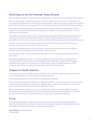### **Delivering on our key strategic fnancial goal**

Our key strategic financial goal is to deliver long term sustainable growth. The two key performance measures that we target are:

- Consistent revenue growth during the past five years, revenue has grown from £15.3m to £26.2m an increase of 71%. The compound annual growth rate in revenue since the Group went public in 2005 has been 16%. Our target over the past three years has been to grow revenues in the range of 10% to 15% on average each year to 30 June 2019, which has been achieved.
- $\bullet$  Maintaining the profitability of the Group  $-$  during the year the Group achieved a (before share-based payments) pre-tax margin of 21%. The benchmark (before share-based payments) pre-tax margin we set for the plan period was 17.5%. This measure has also been achieved.

The corollary to achieving these targets is that we have been highly cash generative given the operational cash requirements of the business. The Board's policy with respect to dividends is that if it considers that there are no earnings enhancing opportunities to invest excess cash, a special dividend for shareholders will be considered along with other distribution options.

The Board's pursuit of these financial objectives is grounded in the belief that consistent and sustainable increases in earnings and dividends will, over time, result in share price growth.

Having successfully delivered upon the 2016 to 2019 plan, the Board has established a new financial plan taking the Company to 2022, which incorporates two key performance measures. They are:

- Consistent revenue growth to grow revenues in the range of 10% to 15% per annum, on average over the three years to 30 June 2022.
- Maintaining the profitability of the Group to continue to achieve an earnings before interest, tax, depreciation and amortisation (EBITDA) margin of at least 25%, also stated before share-based payment charges. We have changed the profitability measure from a pre-tax profit margin to an EBITDA margin, so that our profitability target does not deter investment in future revenue and profit generating possibilities, which will impact amortisation.

### **Progress in North America**

In 2014, we explained to our shareholders that we had embarked upon a United States regulatory approvals programme. To date we have focussed upon our chlorine dioxide foam-based product Duo.

We have received approval for Duo from the EPA as an intermediate level disinfectant.

We are preparing a submission to the FDA for Duo as a high-level disinfectant. The intended use patterns will be for intra-cavity ultrasound probes, nasendoscopes, and lastly certain ophthalmic devices. If successful, this will position us in three of the clinical areas in which we are most successful in other geographical markets.

We have appointed Parker Laboratories as our contract manufacturer for supply to each of these targeted clinical areas. We have granted Parker marketing rights for Duo's use in ultrasound where they are the market leader in the United States for ultrasound conductive gels. In the ultrasound segment, the contractual arrangement is royalty-based.

### **Focus**

We have set objectives which are visible to everyone inside the Group, and we make them equally visible to all other stakeholders. We look forward to meeting these objectives and continuing the progress of the Group. We look to the future with confidence as Tristel continues to grow and expand its geographical reach.

**Paul Swinney** Chief Executive Officer 31 October 2019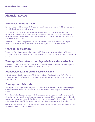### **Financial Review**

### **Fair review of the business**

Revenue increased by 18% in the year, with UK sales growth of 9% and overseas sales growth of 26%. Overseas sales were 55% of the total compared to 51% last year.

The acquisition of three former Western European distributors in Belgium, Netherlands and France has impacted the year with an increase in sales of 8% and further increases in gross margin and expenses. The acquisition allows the Company to invest in a faster pace of growth in France than otherwise would have been the case, whilst bringing in-house the distributor's margin.

Aside of the new expenses, arising from this acquisition, administrative costs increased by 13%. The Company continued its investment in the United States regulatory programme, costing  $£0.477$ m during the year.

### **Share-based payments**

The non-cash IFRS 2 charge (share-based payment charge) for the year was  $£0.85$ m $(2018; £0.67$ m). This relates to the share option scheme approved at the Company's 2017 AGM, which is yet to vest. Details of the scheme can be found on page 80.

### **Earnings before interest, tax, depreciation and amortisation**

Reported EBITDA increased by 13% in the year to  $f6.3m(2018; f5.6m)$ . EBITDA adjusted for share-based payments was  $E$ 7.1m, an increase of 15% on the comparable number (2018:  $E$ 6.2m).

### **Proft before tax and share-based payments**

Profit before tax and share-based payments of £5.6m increased by 19% from £4.7m in 2018. (Profit before tax increased by 18% to  $£4.7$ m from  $£4$ m in 2018). Adjusted pre-tax profit margin remained at 21%. (Pre-tax profit margin remained at 18%.)

### **Earnings and dividends**

The Company's policy is to pay out half of adjusted EPS to shareholders in the form of an ordinary dividend each year. When declaring dividends, the Board considers the Group's cash resources and the adequacy of its distributable reserves.

The conditions that the Board applies to special dividends are that cash reserves should exceed, after payment of the dividend, the minimum operational and investment needs of the business and that the special dividend can be made from available distributable reserves. The Board believes this approach provides a flexible mechanism for managing the maintenance and expansion of the Group's asset base whilst providing a reasonable return to shareholders.

Over the last three years, the Group's total dividends (excluding special dividends) and adjusted EPS have grown at an average growth rate of 37% and 33% respectively.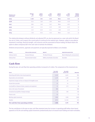| <b>Relating to year</b><br>ended 30 June | <b>Adjusted</b><br><b>EPS</b><br>pence | <b>Interim</b><br>dividend<br>pence | <b>Final</b><br>dividend<br>pence | <b>Special</b><br>dividend<br>pence | <b>Total</b><br>dividend<br>pence | <b>Ordinary</b><br>dividend<br>cover ratio |
|------------------------------------------|----------------------------------------|-------------------------------------|-----------------------------------|-------------------------------------|-----------------------------------|--------------------------------------------|
| 2019                                     | 11.08                                  | 2.04                                | 3.50                              | <b>None</b>                         | 5.54                              | 2x                                         |
| 2018                                     | 9.16                                   | 1.60                                | 2.98                              | <b>None</b>                         | 4.58                              | 2x                                         |
| 2017                                     | 8.06                                   | 1.40                                | 2.63                              | <b>None</b>                         | 4.03                              | 2x                                         |
| 2016                                     | 6.62                                   | 1.14                                | 2.19                              | 3.00                                | 6.33                              | 2x                                         |
| 2015                                     | 5.53                                   | 0.59                                | 2.14                              | 3.00                                | 5.73                              | 2x                                         |
| 2014                                     | 3.28                                   | 0.36                                | 1.26                              | None                                | 1.62                              | 2x                                         |

The relationship between ordinary dividends and adjusted EPS can also be expressed as a cover ratio which the Board has set at 2 times, and it expects the current policy to continue for the medium term. However, subject to any adverse movement in earnings, financial strength, cash resources and the assessment of future trading, the Board retains the option to allow a temporary fall in the cover ratio to maintain the dividend.

Dividend announcements, approvals and payments are typically expected to follow a set schedule:

| <b>Dividend</b>  | <b>Status and date announced</b> | <b>Approval</b>              | <b>Approximate payment date</b>  |
|------------------|----------------------------------|------------------------------|----------------------------------|
| Ordinary interim | Declared February                | The Board February           | March following the announcement |
| Ordinary final   | Recommended October              | AGM by shareholders December | December                         |

### **Cash fow**

During the year, net cash flow from operating activities increased to £5.486m. The components of the movement are:

| £000's                                                       | <b>Year ended</b><br>30 June 2019 | <b>Year ended</b><br>30 June 2018 | <b>Movement</b> |
|--------------------------------------------------------------|-----------------------------------|-----------------------------------|-----------------|
| Operating profit before share-based payments                 | 5,549                             | 4,645                             | 904             |
| Depreciation and amortisation                                | 1,470                             | 1,498                             | (28)            |
| Impairment charges and loss on disposal of intangible assets | 79                                | 67                                | 12              |
| Income from associate                                        | 45                                | 24                                | 21              |
| Loss/(profit) on disposal of plant, property and equipment   | 21                                | (17)                              | 38              |
| Gain on fair value of investment                             | (98)                              |                                   | (98)            |
| Unrealised loss/(profit) on foreign exchange                 | 72                                | (78)                              | 150             |
| Finance costs                                                | (1)                               |                                   | (1)             |
| Working capital movements                                    | (780)                             | (520)                             | (260)           |
| <b>Taxation</b>                                              | (871)                             | (1, 124)                          | 253             |
| Net cash flow from operating activities                      | 5,486                             | 4,495                             | 991             |

The key contributors to the year-on-year cash-flow movement were the increase in operating profit before share-based payments of £0.9m and working capital movements predominantly due to increased stock holding and trade receivables.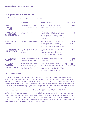### **Key performance indicators**

The Board considers the primary key performance indicators to be:

|                                                                            | <b>Measurement</b>                                                                                                                                                                                                                                                                                                   | Why this is important                                                                                                                                                                                                                       | KPI* for 2018-19                              |
|----------------------------------------------------------------------------|----------------------------------------------------------------------------------------------------------------------------------------------------------------------------------------------------------------------------------------------------------------------------------------------------------------------|---------------------------------------------------------------------------------------------------------------------------------------------------------------------------------------------------------------------------------------------|-----------------------------------------------|
| <b>TOTAL</b><br><b>REVENUE</b><br><b>GROWTH</b>                            | Change in the current year revenue<br>compared with the previous year.                                                                                                                                                                                                                                               | To meet the strategic objective of delivering<br>long term sustainable growth in EPS, consistent<br>revenue growth must be achieved.                                                                                                        | 18%<br>$(2017 - 18:10\%)$                     |
| <b>NON-UK REVENUE</b><br><b>AS A PERCENTAGE</b><br><b>OF TOTAL REVENUE</b> | The ratio of non-UK revenue to total<br>Within the UK, revenue growth rates are slowing<br>as a result of high market penetration. To achieve<br>revenue.<br>consistent overall revenue growth, sales from<br>overseas will need to become a higher percentage<br>of total revenue.                                  |                                                                                                                                                                                                                                             | 55%<br>$(2017 - 18: 51\%)$                    |
| <b>GROSS PROFIT</b><br>MARGIN                                              | The ratio of gross profit to revenue.                                                                                                                                                                                                                                                                                | Gross margin is a primary indicator of business<br>performance and market competitiveness.<br>A movement in gross margin generally reflects a<br>change in the product mix, market pricing, or both.                                        | 79%<br>$(2017-18:77%)$                        |
| ADJUSTED PRE <mark>-TAX</mark><br>PROFIT GROWTH                            | The Group's primary financial objective is to<br>The year-on-year increase in profit<br>before tax, adjusted for share-based<br>deliver sustainable long-term-growth in the value<br>of our shareholders' investment in the Group.<br>payments.<br>The primary driver of this will be sustainable<br>profits growth. |                                                                                                                                                                                                                                             | 19%<br>$(2017 - 18:15%)$                      |
| ADJUSTED PBT<br><b>MARGIN</b>                                              | The ratio of pre-tax profit, adjusted for<br>share-based payments, to revenue.                                                                                                                                                                                                                                       | A movement in PBT margin indicates changes<br>in profitability.                                                                                                                                                                             | 21%<br>$(2017 - 18:21\%)$                     |
| ADJUSTED<br>EARNINGS<br><b>PER SHARE (EPS)</b>                             | Profit after tax, adjusted for share-<br>based payments, divided by the<br>weighted average number of shares in<br>issue during the period.                                                                                                                                                                          | Adjusted EPS and adjusted EPS growth are<br>widely used measures of Company performance.<br>Adjusted EPS forms the basis of the Group's<br>current dividend policy and adjusted EPS growth<br>will translate directly into dividend growth. | <b>11.08 PENCE</b><br>$(2017-18: 9.16$ pence) |

*\*KPI – Key Performance Indicator*

In addition to financial KPIs, the Board measures and monitors various non-financial KPIs, including the maintenance of the Group's quality system and certification required for the design, manufacture and sale of medical devices. The Group is frequently audited by its Notified Body, BSI. The level of success of these audits is measured by the number of major non-conformances. The Notified Body tests all areas of the Group's quality system including customer service, customer satisfaction and product quality assurance. During the year, the Group underwent four audits of the Quality Managements System and a number of desktop reviews. No major non-conformances were reported. The Company is compliant to the new versions of the following standards, ISO13485:2016 and ISO9001:2015, MDSAP.

At Tristel the basic qualities we seek in our staff are integrity, inquisitiveness and humility. In our management team, we also look for excellent business decision making and execution ability and a 'know no boundaries' approach. We believe that these qualities facilitate achievement of the highest possible performance. We view our colleagues as a key strategic asset of the business. In June 2005 when the Company was listed on the London Stock Exchange AIM market, we employed 10 personnel; 14 years later this has increased to 146.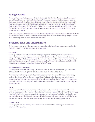### **Going concern**

The Group's business activities, together with the factors likely to affect its future development, performance and competitive position are set out in this Strategic Report. The future development of the Group is viewed to be via execution of its strategic plan. Economic conditions can create a degree of uncertainty over the level of demand for the Group's products. However, the Board considers there to be no material uncertainties within the business. The Board compiles budget and cash-flow forecasts, which are stress tested for potential future influences and events. The Board believes that the Company is well placed to manage its business risks successfully despite the current uncertain economic outlook.

After making enquiries, the Directors have a reasonable expectation that the Group has adequate resources to continue its operational existence for the foreseeable future. Accordingly, the Board has continued to adopt the going concern basis in preparing the annual report and financial statements.

### **Principal risks and uncertainties**

The key business risks are considered, documented and acted upon by the senior management team and Board of Directors regularly. The key areas considered are set out below:

#### **OPERATIONS**

The Group's ability to continue to manufacture and supply its products in a timely manner is a prerequisite to maintaining its sales growth rate, gross margin and profitability. This area of risk is kept under constant review, including identifying multiple routes of supply for key materials and services related to the production of the Group's products. A disaster recovery plan is in place and reviewed regularly. The plan sets out the steps required to swiftly relocate people, systems and production to ensure continuity of supply.

#### **REGULATORY AND LEGAL APPROVAL**

The ability to continue to market the Group's products is inextricably linked to the Group's ability to achieve and maintain regulatory and legal approvals in those countries where the Group has a presence.

The challenges in maintaining worldwide legal and regulatory compliance in respect of financial, environmental, quality and health and safety requirements are significant. The Executive Board members, supported by senior managers and specialist advisors, take responsibility for maintaining legal compliance. Through a risk management process the implications of new regulations and legislation are assessed and the necessary changes and mitigation are implemented.

#### **BREXIT**

The group sells into the European Union and given the UK's plans to leave the EU it has closely considered the potential outcomes, at the time of and after that exit occurs. The key risk has been highlighted as continuity of supply, which is principally linked to the Group's ability to maintain cross border supply of goods. Close collaboration and communication between the UK manufacturing arm of the business and its in-house and third-party EU distribution channels is in place to ensure that inventory levels will provide a buffer to potential supply chain delays.

#### **EXTERNAL RISKS**

The Group's performance is also subject to external macroeconomic conditions and changes in factors such as inflation or public spending.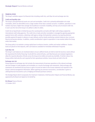#### **FINANCIAL RISKS**

The Group's activities expose it to financial risks including credit risk, cash-flow risk and exchange-rate risk:

#### **Credit and liquidity risks**

The Group's principal financial assets are cash and receivables. Credit risk is primarily attributable to its trade receivables, which are diversified across a large number of low value customer accounts. In addition, operations in new markets may have a higher than average risk of political or economic instability, and may carry increased credit risk. In each case the risk to the Group is its ability to collect its debts.

Credit risk on liquid funds is limited because the counterparties are banks with high credit ratings assigned by international credit rating agencies. The credit risk on trade and other receivables is managed by agreeing appropriate payment terms with customers, obtaining credit agency ratings of all potential customers; by requiring wherever possible payment for goods in advance or upon delivery; and by closely monitoring customer balances due, to ensure they do not become overdue. In addition, careful consideration is given to operations in new markets before the Group enters that market.

The Group policy is to maintain a strong capital base to enhance investor, creditor and market confidence. Surplus funds are placed on time deposits, with cash balances available for immediate withdrawal if required.

#### Cash-flow risk

The Group's cash balances are monitored daily to ensure sufficient funds are held to meet the business needs without the requirement for further financing. To aid with the control of funds, cash-flow forecasts are reviewed regularly to allow the required allocation of funds across the Group to be visible and avoid any shortfalls. To further reduce risk, Group entities hold only the cash required for their operational activities. Excess funds are held in the UK.

#### **Exchange-rate risk**

Group exposure to exchange-rate risk includes the measurement of overseas operations at the relevant exchange rate and changes in trade payables and receivables as a result of exchange-rate movements. Daily exchange-rate movements are monitored and any losses or gains incurred are taken to the income statement and reported in the Group's internal management information. Before agreeing any overseas transactions, consideration is given to utilising financial instruments such as hedging and forward purchase contracts.

The Strategic Report which incorporates the Chairman's Statement, Chief Executive's Report and Financial Review, was approved by the Board and signed on its behalf by:

**EA Dixon** Finance Director 31 October 2019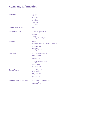### **Company Information**

| <b>Directors</b>                | <b>PC Swinney</b><br><b>EA Dixon</b><br><b>PM Barnes</b><br><b>DWE Orr</b><br><b>TAJ Jenkins</b><br><b>BLM Holthof</b><br><b>BVM Leemans</b>                          |
|---------------------------------|-----------------------------------------------------------------------------------------------------------------------------------------------------------------------|
| <b>Company Secretary</b>        | <b>EA Dixon</b>                                                                                                                                                       |
| <b>Registered Office</b>        | Unit 1B Lynx Business Park<br>Fordham Road<br>Snailwell<br>Newmarket<br>Cambridgeshire CB8 7NY                                                                        |
| <b>Auditors</b>                 | <b>KPMG LLP</b><br><b>Chartered Accountants - Registered Auditors</b><br><b>Botanic House</b><br>98-100 Hills Road<br>Cambridge<br>Cambridgeshire CB2 1AR             |
| <b>Solicitors</b>               | <b>Field Fisher Waterhouse LLP</b><br><b>Riverbank House</b><br>2 Swan Lane<br>London EC4R 3TT<br><b>Greene &amp; Greene Solicitors</b><br><b>80 Guildhall Street</b> |
|                                 | <b>Bury St Edmunds</b><br>Suffolk IP33 1QB                                                                                                                            |
| <b>Patent Attorney</b>          | <b>Dummett Copp LLP</b><br>25 The Square<br><b>Martlesham Heath</b><br>Ipswich<br>Suffolk IP <sub>5</sub> 3SL                                                         |
| <b>Remuneration Consultants</b> | <b>FIT Remuneration Consultants LLP</b><br>5 Fitzhardinge Street<br>London W <sub>1</sub> H 6ED                                                                       |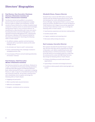### **Directors' Biographies**

#### **Paul Barnes, Non-Executive Chairman**  (Chairman of Nomination Committee and Member of Remuneration Committee)

Paul Barnes trained and qualified in accountancy practice where he experienced assignments ranging from plc audits to mergers and acquisitions. He has served as Finance Director for a number of publicly listed companies in various sectors on several stock exchanges. Having joined Tristel in 2004 as Finance Director, he transitioned to a Non-Executive role in June 2010 and in founding Amersham Investment Management, an FCA regulated Investment Management Firm, subsequently also became a Member of the Chartered Institute for Securities and Investment. Paul brings the following skills to Tristel's Board:

- An ability to analyse, question and test business proposals with an eye both for detail and the wider strategic picture
- An articulate and 'down to earth' communicator
- A keen understanding of the challenges involved in managing business risks
- A sound grasp of finance and principled guardianship of investors' interests

#### **Paul Swinney, Chief Executive**  (Member of Nomination Committee)

Paul Swinney started his career with Brown, Shipley & Co in 1980. He worked for the European banking operations of Norwest Bank Minneapolis and Maryland National Bank, before joining OSI Finance, a specialist in shipping finance, in 1987. In 1993 he co-founded the business that was to become Tristel plc. He has been Chief Executive and a shareholder since inception and brings the following skills to Tristel's Board:

- Engaging and persuasive
- Able to quickly make assured decisions
- Reflective and adaptable
- Energetic, considerate and no-nonsense

#### **Elizabeth Dixon, Finance Director**

Elizabeth Dixon trained with BDO before moving into industry with the Holiday Property Bond Group, where she developed her career ultimately becoming UK Finance Manager. Having joined Tristel in 2007 as Chief Group Accountant, Elizabeth went on to join the Board of Tristel Solutions Ltd in August 2009 and was appointed as Group Finance Director in June 2010. Liz brings the following skills to Tristel's Board:

- Good business awareness and decision-making ability
- Excellent people skills
- A logical, analytical and enquiring mind
- Risk aware without being risk averse

#### **Bart Leemans, Executive Director**

Bart Leemans founded the Ecomed Group in 2005 and was CEO from that date until its acquisition by Tristel in November 2018. Before establishing Ecomed, Bart founded various e-commerce businesses, including Eccent NV which he successfully exited via a trade sale. He commenced his career with IBM Global Services, Bart brings the following skills to Tristel's Board:

- A history of building successful sales focused organisations
- A grounding in innovative technology businesses
- An ability to deliver growth whilst retaining tight cost control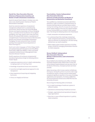#### **David Orr, Non-Executive Director**  (Chairman of Remuneration Committee and Member of Audit & Nomination Committees)

David Orr joined Tristel's Board in October 2015 and, since 2016, David has been Chairman of Tristel's Remuneration Committee.

David has extensive experience of operational management at Board level in a manufacturing environment. David has been the Group Managing Director and majority shareholder of Fencor Packaging Group, a privately-owned manufacturer of corrugated packaging, since 1999. David is also a Non-Executive Director of Corrboard (UK) Limited, a manufacturer of corrugated board. He previously served as Non-Executive Director and Chairman of Pendragon Presentation Packaging. His early commercial career included working in the Corporate Finance Department of Robert Fleming & Co.

David read modern languages at Trinity College, Dublin and subsequently spent five years as an Army Officer. David holds a MBA from INSEAD. In April 2018 David completed Cranfield School of Management's Non-Executive Directors' Seminar.

David's experience of running an entrepreneurial manufacturing business brings the following skills to Tristels' Board:

- Leadership experience and an in depth understanding managing people and inspiring a team
- Knowledge of operational issues and constraints
- A practical and highly experienced approach to risk management
- Direct experience of acquiring and integrating businesses
- A focus on integrity and fairness

#### **Tom Jenkins, Senior Independent Non-Executive Director**  (Chairman of Audit Committee and Member of Remuneration and Nomination Committees)

Tom qualified as a chartered accountant with Arthur Anderson in 1998. He worked in corporate finance at Dresdner Kleinwort Benson and Bear Stearns before moving into broking, where for six years he was head of equity capital markets at finnCap and a Board member. In 2015, he joined BGF as an investor in their quoted team. Tom brings the following skills to the Tristel Board:

- Audit, transaction and advisory experience
- An understanding of the challenges of growing a small, entrepreneurial business, having done this twice as a Director of a broking firm, and also having advised over 150 small companies
- Wide ranging capital markets experience including being a conduit for managing shareholders interests for small companies

#### **Bruno Holthof, Independent Non-Executive Director**  (Member of Remuneration, Audit & Nomination Committees)

Bruno Holthof is the Chief Executive Officer of Oxford University Hospitals (OUH). Before OUH, he was CEO of the Antwerp Hospital Network and was also Chair of the Board of Armonea, a European private care home provider.

Before becoming a CEO, he was a partner at McKinsey & Company. During this period, he served a wide range of healthcare clients in Europe and the United States and gained significant expertise in the areas of strategy, organisation and operations. He holds an MBA from the Harvard Business School and an MD/PhD from the University of Leuven.

Bruno brings the following skills to the Board:

- An in-depth knowledge of healthcare systems in different markets
- Operational understanding of healthcare services
- Strategic, organisational and operational change in large organisations
- More than 10 years of Board experience in publicly listed companies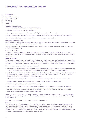### **Directors' Remuneration Report**

#### **Introduction**

Committee members David Orr (Chairman)

Paul Barnes Bruno Holthof Tom Jenkins

#### Committee responsibilities

The Committee meets at least once a year and is responsible for:

- Reviewing the performance of the Executive Directors.
- Agreeing remuneration structures and quantum, including bonus awards and share awards.
- Determining the basis of Executive Director service agreements, having due regard to the interests of the shareholders.

No individual participates on discussions or decisions concerning their own remuneration.

#### Corporate Governance Code

As detailed in the Corporate Governance Report on page 26, the Board has adopted the Quoted Companies Alliance Corporate Governance Code (QCA Code) and its 'comply or explain' provisions.

This report sets out the Group's remuneration policy for the Directors and explains how this policy was applied during the financial year to 30 June 2019.

#### Remuneration policy

All Directors have service agreements that are reviewed annually by the Board. All Board members retire at each Annual General Meeting, and at their own request alongside the recommendation of the Nominations Committee, are put forward for re-election.

#### Executive Directors

The remuneration policy has been designed to ensure that Executive Directors receive appropriate incentive and reward given their performance, responsibility and experience. When assessing this, the Remuneration Committee seeks to ensure that the policy aligns the interests of the Executive Directors with those of shareholders and links to the future strategy of the business.

The Company's remuneration policy for Executive Directors is:

- To consider the individual's experience and the nature and complexity of their work in order to set a competitive base salary that attracts and retains individuals of the highest quality, whilst avoiding remunerating more than is necessary.
- To align base salary to the median level for AIM companies of a similar size and profile, with an upper limit for the Executive Management of 3% of the prevailing year's Group gross profit. This was increased from 2.5% in May 2019 to reflect the appointment of Bart Leemans to the Board as Executive Director.
- To link remuneration packages to the Group's long-term performance through both bonus schemes and share plans.
- To set performance measures which are simple to understand, easy to measure and unambiguous.
- To set an appropriate balance between fixed and variable pay.
- To provide post-retirement benefits through payment into private pension arrangements and/or of salary supplements.
- To provide employment related benefits including provision of life assurance, car allowance and medical insurances.
- To award share options linked to the performance of the Group.

Executive Directors' remuneration packages are considered annually by the Remuneration Committee in line with Company policy, with a view to attracting, retaining and motivating Executive Directors of the calibre necessary to deliver the strategic targets of the Board.

Remuneration packages comprise a number of elements, set out as follows:

#### **Base salary**

The base salary is normally reviewed annually in June. Within the review process, which is undertaken by the Remuneration Committee, the Committee takes account of the profitability and ongoing development of the Group and the individual's contribution. Consideration is also given to the need to retain and motivate individuals, with reference made to available information on salary levels in comparable organisations. To assist in this process, the Remuneration Committee draws on the findings of external salary surveys and undertakes its own research.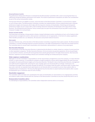#### **Annual performance incentive**

The performance of Executive Directors is evaluated by the Remuneration Committee with a view to ensuring that there is a sufficiently strong link between performance and reward. The results of performance evaluations are taken into consideration as part of the annual remuneration review.

The Executive Directors are eligible to receive, at the discretion of the Remuneration Committee, an annual bonus capped at 100% of base salary. The Remuneration Committee considers the implementation of bonus awards based upon corporate performance targets and measures which align with the long-term interests of shareholders. Stretching and transparent performance targets are put in place with a view to linking clearly the motivation of individuals to the value drivers of the business. The existing Executive Directors' bonus scheme pays out upon the achievement of pre-tax profit in excess of the Company's budget on an annual basis.

#### **Pensions and other benefits**

The Group does not operate a Group pension scheme; instead individuals receive contributions of up to 15% of salary to their private pension arrangements and/or, where pension contributions are not appropriate, in the form of a salary supplement. Other benefits provided are a car allowance, life assurance and private medical insurance.

#### **Share awards**

Executive Directors may, at the discretion of the Remuneration Committee, be granted share option awards. The Remuneration Committee is currently reviewing long-term incentive provisions in the light of developments in both best and market practice. The Committee plans to consult major shareholders and shareholder representatives in advance of any award grant.

#### Non-Executive Directors

The remuneration of the Non-Executive Directors is determined by the Board as a whole, based on a review of current practices in other equivalent companies. The Non-Executive Directors: (i) do not receive any pension payments; (ii) do not participate in any incentive schemes; and (iii) will not be granted share awards going forward in the light of best practice. Non-Executive Directors' expenses incurred travelling to Board and Committee meetings are reimbursed by the Company.

#### Wider employee considerations

Although it is not the Committee's responsibility to set the remuneration arrangements across the Company, it is kept informed of these. In many instances, it is possible for members of staff to qualify for a bonus which largely follows the same structure and applies the same performance targets as for Executive Directors. The Board's view is that Executive Directors, management and staff should be targeted with achieving the same strategic goals and should benefit accordingly. Furthermore, the Committee encourages share ownership amongst all staff and, in accordance with this policy, permanent staff, no matter their pay scale or job role, are awarded share option grants at set intervals which accumulate to 40,000 share options after 10 completed years of employment. The Executive Management has the discretion to award market priced options after 10 years of employment up to a maximum value of 100% of salary.

#### Shareholder engagement

The Committee seeks and takes into consideration the views of shareholders on remuneration on an ongoing basis and they are invited to make contact directly with the Chairman of the Remuneration Committee at any time should they wish to do so.

#### Remuneration Committee advice

In undertaking its responsibilities, the Committee seeks independent external advice as necessary.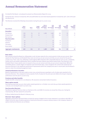### **Annual Remuneration Statement**

On behalf of the Board, I am pleased to present our Remuneration Report for 2019.

During the year, revenue increased by 18% and profit before tax and share-based payments increased by 19%. Cash at the year end was £4.2m.

The Directors received the following remuneration during the year to 30 June 2019:

| <b>Name of Director</b>     | <b>Salary</b><br>and fees<br>$f'$ 000 | <b>Bonus</b><br>$f'$ 000 | <b>Taxable</b><br><b>benefits</b><br>$f'$ 000 | <b>Gain on</b><br>exercise of<br>share options<br>$f'$ 000 | 2019<br><b>Total</b><br>(excl. pension)<br>$f'$ 000 | 2018<br><b>Total</b><br>(excl. pension)<br>$f'$ 000 | 2019<br><b>Retirement</b><br>provision<br>$f'$ 000 | 2018<br><b>Retirement</b><br>provision<br>$f'$ 000 |
|-----------------------------|---------------------------------------|--------------------------|-----------------------------------------------|------------------------------------------------------------|-----------------------------------------------------|-----------------------------------------------------|----------------------------------------------------|----------------------------------------------------|
| Executive                   |                                       |                          |                                               |                                                            |                                                     |                                                     |                                                    |                                                    |
| <b>Paul Swinney</b>         | 230                                   | 54                       | 23                                            | 1,300                                                      | 1,607                                               | 289                                                 | 35                                                 | 35                                                 |
| Elizabeth Dixon             | 180                                   | 43                       | 14                                            |                                                            | 237                                                 | 562                                                 | 27                                                 | 27                                                 |
| <b>Bart Leemans</b>         | 126                                   | 27                       |                                               |                                                            | 153                                                 | $\overline{\phantom{a}}$                            |                                                    |                                                    |
| <b>Non-Executive</b>        |                                       |                          |                                               |                                                            |                                                     |                                                     |                                                    |                                                    |
| <b>Paul Barnes</b>          | 43                                    |                          |                                               |                                                            | 43                                                  | 35                                                  |                                                    |                                                    |
| David Orr                   | 35                                    |                          |                                               |                                                            | 35                                                  | 35                                                  |                                                    |                                                    |
| <b>Tom lenkins</b>          | 35                                    |                          |                                               |                                                            | 35                                                  | 25                                                  |                                                    |                                                    |
| <b>Bruno Holthof</b>        | 14                                    |                          |                                               |                                                            | 14                                                  | $\overline{\phantom{a}}$                            |                                                    |                                                    |
| <b>Aggregate emoluments</b> | 663                                   | 124                      | 37                                            | 1,300                                                      | 2,124                                               | 946                                                 | 62                                                 | 62                                                 |

#### Base salary

Bart Leemans joined the Board on 18 November 2018; his base salary for the current period is £180,000 per annum. Base salaries for Paul Swinney and Elizabeth Dixon were set at £230,000 per annum and £180,000 per annum for the year to 30 June 2019. From 1 July 2019, following a review against AIM companies with comparable features such as size, complexity, market sector and market capitalisation which revealed that base salaries were below market levels, Paul Swinney's and Elizabeth Dixon's base salaries were increased to £250,000 per annum and £185,000 per annum respectively. Whilst the Committee places a certain degree of emphasis upon benchmark data, it also recognises the central roles played by the Executive Directors in the significant performance improvement which the Company has seen in recent years and the Board's desire to retain the existing management team.

#### Annual performance incentive

Based on performance in the year ended 30 June 2019, annual bonuses equating to 24% of salary were awarded to the Executive Directors. This compared to bonus awards of 16% of salary for the prior year and reflects the Group's improved performance over the year to 30 June 2019.

#### Pensions and other benefts

Taxable benefits comprised of a car allowance, life assurance and private medical insurance.

#### Share option awards

Paul Swinney exercised 242,500 share option awards granted on 12 October 2010 and 260,415 share awards granted on 7 January 2016 during the year to 30 June 2019.

#### Non-Executive Directors

Paul Barnes replaced Francisco Soler as Chairman at the 2018 AGM. He receives an annual fee of £50,000. During his Chairmanship, Mr Soler waived his annual fee.

Dr Bruno Holthof joined the Board in February 2019.

#### Directors' share options

Aggregate emoluments disclosed above include the amount charged to the income statement in accordance with IFRS 2 in respect of the fair value of options granted or held by the Directors to acquire ordinary shares in the Company. Details of options held by the Directors are as follows: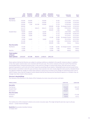|                                 | <b>Total</b><br>shares<br>granted | <b>Total options</b><br>exercised at<br>01 July 2018 | <b>Options</b><br>exercised<br>in the year | <b>Options</b><br>exercised at<br>30 June 2019 | <b>Total options</b><br>unexercised at<br>30 June 2019 | <b>Exercise</b><br>price | <b>Earliest date</b><br>of exercise | <b>Date of</b><br>expiry |
|---------------------------------|-----------------------------------|------------------------------------------------------|--------------------------------------------|------------------------------------------------|--------------------------------------------------------|--------------------------|-------------------------------------|--------------------------|
| <b>Executive</b>                |                                   |                                                      |                                            |                                                |                                                        |                          |                                     |                          |
| <b>Paul Swinney</b>             | 250,000                           | 250,000                                              | -                                          | 250,000                                        | -                                                      | 59.50p                   | 23/12/2005                          | 22/12/2015               |
|                                 | 250,000                           | 250,000                                              |                                            | 250,000                                        | $\overline{\phantom{0}}$                               | 53.75p                   | 12/10/2009                          | 12/10/2019               |
|                                 | 250,000                           | 7,500                                                | 242,500                                    | 250,000                                        | -                                                      | 53.75p                   | 12/10/2010                          | 12/10/2019               |
|                                 | 500,000                           |                                                      |                                            | ۰                                              | 500,000                                                | 65.00 <sub>p</sub>       | On change of control                | 12/10/2019               |
|                                 | 414,179                           | -                                                    | 260,415                                    | 260,415                                        | 153,764                                                | 1.00 <sub>p</sub>        | 07/01/2016                          | 07/01/2021               |
|                                 | 500,000                           | $\overline{\phantom{0}}$                             |                                            |                                                | 500,000                                                | 1.00 <sub>p</sub>        | Various                             | Various                  |
| <b>Elizabeth Dixon</b>          | 60,000                            | 60,000                                               | ÷                                          | 60,000                                         | -                                                      | 53.75p                   | 23/07/2008                          | 23/07/2018               |
|                                 | 60,000                            | 60,000                                               | -                                          | 60,000                                         | -                                                      | 53.75p                   | 04/08/2009                          | 04/08/2019               |
|                                 | 10.000                            | 10,000                                               | -                                          | 10,000                                         | -                                                      | 53.75p                   | 21/12/2011                          | 21/12/2021               |
|                                 | 87,500                            |                                                      |                                            | ۰                                              | 87,500                                                 | 65.00p                   | On change of control                | 03/03/2024               |
|                                 | 10,000                            | 10,000                                               | $\overline{\phantom{m}}$                   | 10,000                                         | ۰                                                      | 79.00p                   | 24/12/2014                          | 24/12/2024               |
|                                 | 222,388                           |                                                      |                                            | $\qquad \qquad$                                | 222,388                                                | 1.00 <sub>p</sub>        | 07/01/2016                          | 07/01/2021               |
|                                 | 400,000                           |                                                      |                                            | $\overline{\phantom{0}}$                       | 400,000                                                | 1.00 <sub>p</sub>        | <b>Various</b>                      | <b>Various</b>           |
| <b>Non-Executive</b>            |                                   |                                                      |                                            |                                                |                                                        |                          |                                     |                          |
| <b>Paul Barnes</b>              | 87,500                            |                                                      |                                            | $\qquad \qquad$                                | 87,500                                                 | 65.00p                   | On change of control                | 12/10/2019               |
|                                 | 45,000                            |                                                      |                                            | $\overline{\phantom{0}}$                       | 45,000                                                 | 1.00 <sub>p</sub>        | <b>Various</b>                      | Various                  |
| David Orr                       | 45,000                            |                                                      |                                            |                                                | 45,000                                                 | 1.00 <sub>p</sub>        | Various                             | <b>Various</b>           |
| <b>Total number</b><br>of Board |                                   |                                                      |                                            |                                                |                                                        |                          |                                     |                          |
| share options                   | 3,191,567                         | 647,500                                              | 502,915                                    | 1,150,415                                      | 2,041,152                                              |                          |                                     |                          |

Share options held by the Directors are subject to vesting conditions as detailed in the specific instances above. In addition to the share option awards above and consistent with the prior year, the service contracts at the year-end for Paul Swinney and Elizabeth Dixon contained provisions that, in the event of a change in control of the Group, they will receive a bonus payment equivalent to 150% and 75% of their respective prevailing annual salaries. Following the year-end and as part of the Remuneration Committee's desire for past and future share awards to be more closely aligned to best practice, Elizabeth Dixon has agreed to forfeit her change of control share options in return for an increase in her change of control bonus from 75% to 185% of salary. Given that the change of control awards held by Paul Swinney and Paul Barnes lapsed on 12 October 2019, no changes have been made to these awards.

#### Directors' shareholdings

The interests of the Directors in the shares of the Company at 30 June 2019 and 30 June 2018 were:

| <b>Ordinary 1p shares</b> | 30 June 2019 | 30 June 2018             |
|---------------------------|--------------|--------------------------|
| <b>Executive</b>          |              |                          |
| <b>Paul Swinney</b>       | 476,429      | 468,129                  |
| <b>Elizabeth Dixon</b>    | 45,000       | 45,000                   |
| <b>Bart Leemans</b>       | 949,627      | $\overline{\phantom{a}}$ |
| <b>Non-Executive</b>      |              |                          |
| <b>Paul Barnes</b>        | 366,095      | 575,180                  |
| David Orr                 | 28,191       | 19,511                   |

The market price of the Company's shares as at 30 June 2019 was 290p. The range during the year was 215p to 318.50p. (Source – London Stock Exchange).

**David Orr** Remuneration Committee Chairman 31 October 2019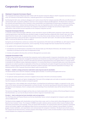### **Corporate Governance**

#### Chairman's Corporate Governance Report

This Corporate Governance Report has been written with the Quoted Companies Alliance ('QCA') Corporate Governance Code in mind. As Chairman of the Board of Directors, corporate governance is my responsibility.

By following the QCA code, my Board colleagues and I seek to ensure that the Company operates efficiently and effectively and communicates well, to promote confidence and trust in the Company's Board and Management. The Board aims to balance the interests and expectations of the Company's many shareholders and stakeholders by observing a transparent set of rules, practices and processes. I believe that by adhering to this clear set of guidelines which clarify authority and responsibility, requiring constant measurement and review, the Company is best placed to manage risk and achieve a high level of performance, both of which are pre-requisites to the Company's long-term success.

#### Corporate Governance Review

In 2018 the London Stock Exchange's AIM Rule 26 was amended to require all AIM quoted companies to give details of the corporate governance code that they have decided to apply, to explain how they comply with their chosen code, and, if they depart from the chosen code, to explain where and why. In my view, there are two obvious choices of code: the FRC'S UK Corporate Governance Code and the QCA's Corporate Governance Code (the 'QCA Code'). The latter has been drafted with SMEs in mind and the Board has chosen to apply it.

During the year the Board has carried out a review of the requirements of the QCA Code and AIM Rule 26, with respect to both its governance arrangements and practices, and its reporting. The key changes that have resulted from this review are:

- An update to this Corporate Governance Report.
- Consideration by the Nominations Committee of the desired make-up of the Board of Directors, the members of each committee to the Board and the level of independence held.
- A review and update to the Executive and Senior Management succession plan.

#### Corporate Governance Code

The QCA Code is based upon the principle that companies need to deliver growth in long-term shareholder value. This requires an efficient, effective and dynamic management framework and should be accompanied by good communication which helps to promote confidence and trust. The QCA Code takes key elements of good governance and applies them in a manner which is workable for the different needs of growing companies. It is constructed around 10 broad principles and a set of disclosures. Companies are asked to provide an explanation of how they are meeting the principles through the prescribed disclosures. Where a company departs from the principles the Board is asked to provide a well-reasoned explanation for doing so. The following section of this Corporate Governance Report seeks to provide this:

#### **Principle 1 – Establish a strategy and business model which creates long-term value for shareholders**

The Board reviews and re-sets the Company's strategic goals annually. In 2018 the primary goals were set as:

- To increase the Company's value to shareholders.
- To replicate market penetration achieved in targeted clinical areas in the UK in all overseas markets.

Secondary objectives, goals and 'game changing plays' form part of the strategic plan and make an essential contribution to how the Company will deliver medium to long-term growth.

The Company has a clear strategic plan set by the Board, including financial performance targets, an approach to risk, and a vision of the values necessary and appropriate to achieve the plan. Via internal reporting and interaction between the Board, Management and employees, there is company-wide understanding of how shareholder value will be derived from these principles.

The business strategy, financial targets and key risks are clearly stated within various sections of the Annual Report to ensure that Shareholders can see how the Board intends to deliver long-term shareholder value.

#### **Principle 2 – Seek to understand and meet shareholder needs and expectations**

The Chief Executive and Finance Director are the key shareholder liaison contacts alongside the Company's public relations advisors Walbrook PR.

The Board actively engages with shareholders at least three times a year, each in a forum which allows Management and the Board to hear investors' views. The Company's NOMAD and public relations advisor provide written investor feedback after all investor presentations and meetings. These are shared with the Board. Via communication with the Company's nominated advisor and analyst, together with Regulatory News Service announcements and the Company's Annual Report, the Board gauges investor sentiment, sets expectations and communicates the Company's intentions. The Board sees all write ups on the Company by the financial press, monitors popular online blogs and has a series of online facilities in place that provide a conduit between the Company and shareholders.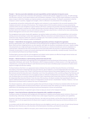#### **Principle 3 – Take into account wider stakeholder and social responsibilities and their implications for long-term success**

Management's close day-to-day connection with employees combined with periodic engagement surveys, all staff meetings and education sessions, ensure good relations with and between employees. These activities allow employees to share their views on ways in which the Company can improve products, processes and outcomes. The Board's assessment is that the Company's culture is positive, engaged and energetic, which is reflected in its achievement of its strategic goals.

An appropriate and positive relationship with suppliers and customers is a pre-requisite to the successful operation of the Company and exists in all areas of the business. The Company seeks to find innovative solutions to issues presented by customers which not only strengthens its good relations with those customers but provides immediate feedback allowing the Company to continually re-evaluate its strategic positioning and product offering. Product design and development, which has been vital to the Company's success and continues to be a key day to day function, is driven by the close understanding between Management and end users of the Company's products.

The management team works closely with regulators, key opinion leaders and authors of clinical guidelines in all countries, seeking counsel and working in cohort when appropriate. Effective connections and relationships are a key element of the 'protective moat' referred to within the Company's strategic plan. Post market surveillance and effective complaints handling are a pre-requisite of the Company's quality accreditation.

#### **Principle 4 – Embed effective risk management, considering both opportunities and threats, throughout the organisation**

Business opportunities, wins, losses and threats are documented by the management team monthly and shared with the Board. Risks and their mitigating factors are also reported, with high-risk situations immediately acted upon. Health & Safety risk assessments are a high priority given the nature of the business as a chemical manufacturer and are completed on a continual basis. Operational risks and uncertainties are discussed daily within the business in departmental meetings. A disaster recovery plan is in place and scenario planning events take place periodically, normally annually. Financial risks are considered by the Board at each Board meeting.

The Board gains assurance that the risk management and related control systems are effective through internal review and assessment, which is part of its continuous improvement strategy.

#### **Principle 5 – Maintain the Board as a well-functioning, balanced team led by the Chair**

The Board receives information and reporting from every geographical and functional part of the business, direct from the responsible individuals, each month. The information, which is always provided in a timely manner, is of a high quality and comprehensive, ensuring that the Board is well informed and has the tools to facilitate proper assessment of matters which require its insight and decision making.

The Board believes that there is an appropriate balance between Executive and Non-Executive Directors on the Board. Tom Jenkins is the Senior Independent Non-Executive Director, Bruno Holthof is a second Independent Non-Executive Director, joining the Board in January 2019. Tristel's Chief Executive and Finance Director have worked together for over 10 years and Bart Leemans joined the Executive team in November 2018. Since the publication of the 2018 Annual Report Paul Swinney and Liz Dixon were married. All Directors are encouraged to foster an attitude of independence of character and judgement. That said, the Board does not currently comply with the QCA Code's requirement that at least half of Directors of the Board should be independent Non-Executive Director. Given the size of the business, the Board considers that expanding the Board to appoint additional Directors purely for reasons of independence would not be in shareholders' interests. However, in all new appointments the Board seeks to address the issue of independence.

The relevant experience, skills and personal qualities that each Director brings to the Board are detailed within the Directors' Biographies, published within the Remuneration Report. Each Director keeps their skillset up to date by reading relevant publications and attending external training and personal development courses and workshops.

Each Non-Executive Director is expected to give at least 16 days per annum to the Company's business.

#### **Principle 6 – Ensure that the Directors collectively have all appropriate skills, capabilities and experience**

The Board consists of individuals with backgrounds and experience in publicly and privately-owned commerce, finance and manufacturing. Collectively, the Board's members have a wide range of experience, personal qualities and capabilities.

At present, the Board contains three Executive Directors, two male and one female, and four Non-Executive Directors, all of whom are male. In all new appointments the Board aims to appoint candidates who bring new and diverse attributes to its complexion.

In accordance with the QCA Code Non-Executive Directors are only eligible to serve for up to 10 years. At each Annual General Meeting all other Directors are, at the discretion of the Nominations Committee, put forward for re-election.

Paul Barnes has served as a NED for nine years, prior to which he was an Executive Director.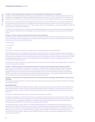#### **Principle 7 – Evaluate Board performance based on clear and relevant objectives, seeking continuous improvement**

The performance and effectiveness of the Board, its committees and individual Directors is reviewed by the Chairman and the Board on an ongoing basis. Training is available should a Director request it, or if the Chairman feels it is necessary. The performance of the Board is measured by the Chairman with reference to the Company's achievement of its strategic goals.

Over the course of the past three years the Board has grown from five to seven members. This is considered acceptable as the Company has increased in size and complexity and those Board members that remain on the Board still have much to contribute. The existing Board size of seven is large enough to allow a mix of backgrounds, views and capabilities, whilst still small enough to be dynamic and effective.

The Board continually assesses the candidacy of Tristel staff with respect to succession planning for Executive Management and has in place a short-term plan to be instigated in the event of the loss or incapacity of the key roles of CEO or Finance Director.

#### **Principle 8 – Promote a corporate culture that is based on ethical values and behaviour**

The Board promotes a corporate culture that is based on sound ethical values and behaviour through their own actions and words, and ensures that these are apparent and understood in every part of the business. They are embodied in three words which describe the core values of the Company:

- No-Nonsense
- Considerate
- Energetic

These values are applied consistently to employee personal development and training programmes.

By adhering to these values, the Board believes that the Company will maintain a healthy corporate culture, focusing upon what is important, whilst taking a balanced approached to achieving its goals. Infection prevention is a vital yet complex area of healthcare, and hospitals can be reluctant to put their trust in new products and change. The Board feels that if an honest and straightforward approach is taken, whilst supporting customers through the process of adopting new products, the Company can best achieve its goals.

The flat hierarchy of the Company means that the Board can assess the state of Company's culture easily, which it considers to be positive and spirited at present.

#### Principle 9 - Maintain governance structures and processes that are fit for purpose and support good decision-making by the Board

Given that one of the Company's core values is 'no-nonsense', the Board seeks to strike a balance between maintaining adequate governance without imposing structures that slow or weaken decision making and progress. The Company's governance structures are fluid and have by necessity adapted over time, hand-in-hand with the changes to the business. The Board's members are well informed, have access to all parts of the business and are appropriately equipped through their own skills, experience and personality to make good business decisions.

#### Principle 10 - Communicate how the Company is governed and is performing by maintaining dialogue with shareholders and other relevant **stakeholders**

This Corporate Governance Report is included within the Corporate Governance section of the Tristel website and is reviewed and updated regularly.

#### Board of Directors

The Company is controlled by the Board of Directors, which comprises three Executives, one of whom is the Chief Executive Officer, and four NEDs. The role of the Chief Executive Officer and Chairman are separate. The Executive Directors are full time employees of the Company; the NEDs are part-time employees who are required to give at least 16 days per annum to their role.

All Directors can take independent advice to assist them in their duties if necessary.

The Board is responsible to shareholders for the proper management of the Company and meets formally at least six times a year to set the overall direction and strategy of the Company, to review operating and financial performance and to consider and advise on senior management appointments. The Board also monitors and approves financial policy and budgets, including capital expenditure. All key decisions are subject to Board approval.

The Company Secretary is responsible for ensuring that Board procedures are followed and that all applicable rules and regulations are complied with. Liz Dixon, Finance Director, performs the role of Company Secretary, providing an internal advisory role to the Board. The QCA's guidelines state that the role of Company Secretary should not be held by an Executive Director, and as such we do not comply with this requirement. It is the Board's view that the size and complexity of the business does not necessitate a separate role of Company Secretary. Liz Dixon is supported and guided in this role by the Company's legal advisors.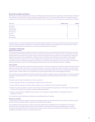#### Board and Committee attendance

The Board met six times during the year and its committees met a further four times in accordance with their terms of reference. The attendance of the Directors at these meetings is detailed below. On the occasions when a Director is unable to attend a meeting, any comments he has arising from the information pack circulated prior to the meeting are provided to the Chairman.

| $2018 - 2019$        | <b>Eligible to attend</b> | <b>Attended</b> |
|----------------------|---------------------------|-----------------|
| <b>Paul Barnes</b>   | 10                        | 10              |
| <b>Paul Swinney</b>  | 6                         | 6               |
| Elizabeth Dixon      | 6                         | 6               |
| <b>Bart Leemans</b>  | 4                         | 4               |
| David Orr            | 10                        | 10              |
| Tom Jenkins          | 10                        | 10              |
| <b>Bruno Holthof</b> | 4                         | 4               |

The Board does not currently comply with the QCA Code's requirement that the Chairman of the Board of Directors should not Chair any of the Committees to the Board. It is expected that Bruno Holthof, recently appointed as a Non-Executive Director, will chair the Nominations Committee once he has become familiar with the Company.

#### Committees of the Board

#### **Remuneration Committee**

The Remuneration Committee operates under terms of reference which are reviewed annually, meeting at least once per year, and comprises all Non-Executive Directors under the chairmanship of David Orr. It reviews, inter alia, the performance of the Executive Directors and sets the scale and structure of their remuneration and basis of their service agreements, having due regard to the interests of the shareholders. The Remuneration Committee also determines the allocation of share options to Executive Directors. No Director has a service agreement exceeding one year. One of the policies of the Remuneration Committee is that no individual participates on discussions or decisions concerning his/her own remuneration. The Directors' Remuneration Report is set out in the Annual Report where the work carried out during the past year is detailed.

#### **Audit Committee**

The Audit Committee operates under terms of reference which are reviewed annually and comprises all Non-Executive Directors under the chairmanship of Tom Jenkins. It meets at least twice a year and, amongst other duties, overviews the monitoring of the Company's internal controls, accounting policies and financial reporting, and provides a forum through which the external auditors report. It meets at least once a year with the external auditors without Executive Management present.

The Company does not comply with the QCA's requirement to publish a separate Audit Committee Report as it believes that the information provided within this Corporate Governance Report gives shareholders adequate information on the Committee's activities.

During the year the Audit Committee met on two occasions to:

- Discuss findings and hear recommendations arising from the annual audit.
- Discuss with the Company's external auditors matters such as compliance with accounting standards.
- Monitor the external auditor's compliance with relevant ethical and professional guidance on the rotation of audit partners, the level of fees paid by the Company and other related requirements.
- Approve the appointment of KPMG LLP, post tender, as the Company's external auditors, including their terms of engagement and fees.

The Committee reported formally to the Board on proceedings after each meeting.

#### **Nominations Committee**

The Nominations Committee operates under terms of reference which are reviewed annually and comprises all Non-Executive Directors and one Executive Director, under the Chairmanship of Paul Barnes.

The Committee meets at least once a year to consider the performance and effectiveness of the Board and its Directors; whether Directors retiring by rotation should be put forward for re-election at the Annual General Meeting; to consider succession planning for Directors and other senior executives; and to identify and nominate for the approval of the Board candidates to fill Board vacancies as and when they arise.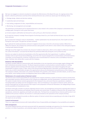- Strategy design, debate and decision making.
- Leadership style and technique.
- Goal setting, assignment of roles, responsibilities and resources.
- Monitoring, risk management and oversight.

The performance of the Board and its individual Directors is also viewed in the context of the Company's achievement of its strategic goals. During the 2018-19 year these were:

1. To meet analysts' profit before tax forecast for 2018-19 of £5.5m, which has been achieved.

2. To meet the Company's strategic financial goals of achieving at least £22.3m of sales by financial year 2019-20, which has been achieved.

3. To increase the Company's value to shareholders – market capitalization has decreased by £10m, from £138m to £128m during the 2018-19 year. This goal has not been achieved.

4. To replicate the market penetration achieved in targeted clinical areas in the UK in all overseas markets. Whilst this is difficult to measure, the Company has achieved overseas sales growth of 26% which is clear evidence that solid good progress is being made towards this goal.

Although one of the targets has not been met, because it relates to share price, which can be subject to influences outside of the control of the Board, I conclude that the Board has performed effectively during the 2018-19 financial year.

Directors are subject to election by shareholders at the first opportunity after their appointment. In addition, all Board members retire at each Annual General Meeting, and at their own request alongside the recommendation of the Nominations Committee, are put forward for re-election. All Directors were recommended for re-election at the 2018 AGM bar Francisco Soler, Chairman, who retired after 25 years with the Company.

#### Relations with shareholders

The Board considers effective communication with shareholders to be very important and encourages regular dialogue with both institutional and private investors. The Board responds promptly to communications received verbally or in writing. Directors regularly attend meetings with both private and institutional shareholders and analysts throughout the year. Shareholders are given at least 21 days' notice of the Annual General Meeting held in December and Shareholder Open Day held in July, at which shareholders are given the opportunity to discuss the development and performance of the Company. The Company's website, www.tristel.com contains full details of its activities, press releases and other details, as well as share price details, share trading activities and Regulatory News Service (RNS) announcements.

#### Maintenance of a sound system of internal control

The Directors have overall responsibility for ensuring that the Company maintains a system of internal control to provide them with reasonable assurance that the assets of the Company are safeguarded, and that shareholders' investments are protected. The system includes internal controls appropriate for the Company's size, and covers financial, operational, compliance (including health and safety) and risk management areas. There are limitations in any system of internal control, which can provide reasonable but not total assurance with respect to the preparation of financial information, the safeguarding of assets and the possibility of misstatement or loss.

The Board continually considers its policies regarding internal control, risk management and business reporting with respect to the major areas of the business and methods used to monitor and control them. In addition to financial risk, the reviews cover operational, commercial, regulatory and health and safety risks. The Board has concluded that an internal audit function is not justified at this juncture. However, this decision is continually reviewed as the operations of the Company develop.

The key procedures designed to provide an effective system of internal controls that are operating up to the date of sign-off of this report are set out below.

#### Control environment

There is an organisational structure with clearly defined lines of responsibility and delegation of accountability and authority.

#### Risk management

The Group employs Directors and senior personnel with the appropriate knowledge and experience for a business engaged in activities in its field of operations, and undertake regular risk assessments and reviews of its activities.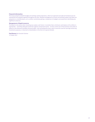#### Financial information

The Group prepares detailed budget and working capital projections, which are approved annually by the Board and are maintained and updated regularly throughout the year. Detailed management accounts and working capital cash flows are prepared on a monthly basis, as is a written commentary giving a comparison to budgets and projections identifying any significant variances.

#### Management of liquid resources

The Board is risk averse when investing any surplus cash funds. It considers that a minimum cash balance of £3 million is appropriate – providing adequate protection against unexpected events – for the current size of the business and seeks to adhere to this wherever possible and practicable. Cash exceeding this level, which cannot be used for earnings enhancing investment purposes, is returned to shareholders in the form of a special divided.

**Paul Barnes** Non-Executive Chairman

31 October 2019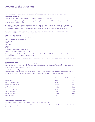### **Report of the Directors**

The Directors present their report and the consolidated financial statements for the year ended 30 June 2019.

#### Results and dividends

There was a profit for the year after taxation amounting to  $f_4.031m$  (2018:  $f_3.272m$ ).

A final dividend of £1.303m (2.98p per share) was paid during the year in respect of the year ended 30 June 2018. (2017: £1.130m (2.63p per share)).

An interim dividend of £0.907m (2.04p per share) was paid during the year in respect of the year ended 30 June 2019 (2018: £0.688m, 1.60p per share); The Directors recommend a final dividend of 3.50p per share (2018: 2.98p per share). If approved, the total distribution of dividends for the year ended 30 June 2019 will be £2.467m (2018: £1.975m).

A review of the Group's performance for the year ended 30 June 2019 is contained in the Chairman's Statement on pages 6 to 7 and the Chief Executive's Report on pages 8 to 13.

#### Directors' of the Company

The Directors, who held office during the year, were as follows:

FA Soler (resigned 11 December 2018) PC Swinney EA Dixon PM Barnes DWE Orr **TAI Ienkins** BLM Holthof (appointed 5 February 2019) BVM Leemans (appointed 6 December 2018)

The Group provides Directors and Officers indemnity insurance for the benefit of the Directors of the Group. For the year to 30 June 2019 the policy cost £8,300 (2018: £7,900).

Details of Directors' interests in the share capital of the Company are disclosed in the Directors' Remuneration Report set out on pages 22 to 25.

#### Corporate governance

Tristel plc is committed to maintaining high standards of corporate governance and has applied strong and appropriate policies, given the size of the Group, its current stage of development and the constitution of the Board. Further details are provided in the Corporate Governance Report.

#### Substantial shareholdings

Except for the Directors' interests in the shares of the Company, as given in the Directors' Remuneration Report on page 25, the Directors are aware of the following who were interested in 3% or more of the Company's equity at 30 June 2019:

|                                      | <b>No. of shares</b> | % of issued share capital |
|--------------------------------------|----------------------|---------------------------|
| <b>Francisco Soler</b>               | 6,071,334            | 13.62%                    |
| <b>Charles Stanley Stockbrokers</b>  | 4,127,034            | 9.26%                     |
| Investec Wealth & Investment         | 3,033,806            | 6.81%                     |
| Hargreaves Lansdown                  | 2,996,947            | 6.73%                     |
| Unicorn Asset Management             | 2,815,829            | 6.32%                     |
| <b>Montanaro Investment Managers</b> | 2,425,000            | 5.44%                     |
| <b>Amarti Global Investors</b>       | 1,844,046            | 4.14%                     |
| <b>Barclays Smart Investor</b>       | 1,506,668            | 3.38%                     |
| Interactive Investor                 | 1,345,886            | 3.02%                     |

#### Principal risks and uncertainties

Reference to this topic can be found within the Strategic Report on pages 17 to 18.

Reference to the Groups primary research and development advancements can be found within the Chief Executive's Report on page 12.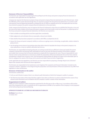#### Statement of Directors' Responsibilities

The Directors are responsible for preparing the Annual Report and the Group and parent company financial statements in accordance with applicable law and regulations.

Company law requires the Directors to prepare Group and parent company financial statements for each financial year. Under the AIM Rules of the London Stock Exchange they are required to prepare the Group financial statements in accordance with International Financial Reporting Standards as adopted by the EU (IFRSs as adopted by the EU) and applicable law and they have elected to prepare the parent company financial statements on the same basis.

Under company law the Directors must not approve the financial statements unless they are satisfied that they give a true and fair view of the state of affairs of the Group and parent company and of their profit or loss for that period. In preparing each of the Group and parent company financial statements, the Directors are required to:

- Select suitable accounting policies and then apply them consistently.
- Make judgements and estimates that are reasonable, relevant and reliable.
- State whether they have been prepared in accordance with IFRSs as adopted by the EU.
- Assess the Group and parent company's ability to continue as a going concern, disclosing, as applicable, matters related to going concern.
- Use the going concern basis of accounting unless they either intend to liquidate the Group or the parent company or to cease operations, or have no realistic alternative but to do so.

The Directors are responsible for keeping adequate accounting records that are sufficient to show and explain the parent company's transactions and disclose with reasonable accuracy at any time the financial position of the parent company and enable them to ensure that its financial statements comply with the Companies Act 2006. They are responsible for such internal control as they determine is necessary to enable the preparation of financial statements that are free from material misstatement, whether due to fraud or error, and have general responsibility for taking such steps as are reasonably open to them to safeguard the assets of the Group and to prevent and detect fraud and other irregularities.

Under applicable law and regulations, the Directors are also responsible for preparing a Strategic Report and a Directors' Report that complies with that law and those regulations.

The Directors are responsible for the maintenance and integrity of the corporate and financial information included on the Company's website. Legislation in the UK governing the preparation and dissemination of financial statements may differ from legislation in other jurisdictions.

#### Disclosure of information to the auditor

The Directors confirm that:

- So far as each Director is aware, there is no relevant audit information of which the Company's auditor is unaware.
- The Directors have taken all the steps that they ought to have taken as Directors in order to make themselves aware of any relevant audit information and to establish that the Company's auditor is aware of that information.

#### Reappointment of auditors

KPMG LLP is the Company's auditor having been appointed for the first year on the 10 May 2019. In accordance with section 485 of the Companies Act 2006, a resolution for the re-appointment of KPMG LLP as auditors of the Company is to be proposed at the forthcoming Annual General Meeting.

#### **APPROVED BY THE BOARD ON 31 OCTOBER 2019 AND SIGNED ON ITS BEHALF BY:**

EA Dixon Finance Director 31 October 2019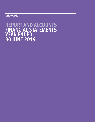### **Tristel Plc**

# **REPORT AND ACCOUNTS FINANCIAL STATEMENTS YEAR ENDED 30 JUNE 2019**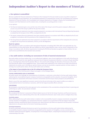### **Independent Auditor's Report to the members of Tristel plc**

#### **1. Our opinion is unmodifed**

We have audited the financial statements of Tristel plc ('the Company') for the year ended 30 June 2019 which comprise of the Consolidated Income Statement, the Consolidated Statement of Comprehensive Income, the Consolidated and Company Statement of Financial Position, the Consolidated and Company Statements of Changes in Equity, the Consolidated and Company Cash-Flow Statement and the related notes, including the accounting policies in note 1.

#### In our opinion:

- The financial statements give a true and fair view of the state of the Group's and of the parent company's affairs as at 30 June 2019 and of the Group's profit for the year then ended.
- The Group financial statements have been properly prepared in accordance with International Financial Reporting Standards as adopted by the European Union (IFRSs as adopted by the EU).
- The parent company financial statements have been properly prepared in accordance with IFRSs as adopted by the EU and as applied in accordance with the provisions of the Companies Act 2006.
- The Group financial statements have been prepared in accordance with the requirements of the Companies Act 2006 and, as regards the Group financial statements, Article 4 of the IAS Regulation.

#### Basis for opinion

We conducted our audit in accordance with International Standards on Auditing (UK) ('ISAs (UK)') and applicable law. Our responsibilities are described below. We have fulfilled our ethical responsibilities under, and we remain independent of the Group in accordance with, UK ethical requirements including the FRC Ethical Standard as applied to listed entities. No nonaudit services prohibited by that standard were provided.

#### **2. Key audit matters: including our assessment of risks of material misstatement**

Key audit matters are those matters that, in our professional judgment, were of most significance in the audit of the financial statements and include the most significant assessed risks of material misstatement (whether or not due to fraud) identified by us, including those which had the greatest effect on: the overall audit strategy; the allocation of resources in the audit; and directing the efforts of the engagement team. These matters were addressed in the context of our audit of the financial statements as a whole, and in forming our opinion thereon, and we do not provide a separate opinion on these matters. In arriving at our audit opinion above, the key audit matters were as follows:

#### a The impact of uncertainties due to the UK exiting the European Union

Refer to page 8 of the Chief Executive's Report and page 17 of the Strategic Report.

#### **THE RISK: UNPRECEDENTED LEVELS OF UNCERTAINTY**

All audits assess and challenge the reasonableness of estimates, in particular as described in the key audit matters below addressing the recoverability of parent company investments and goodwill and the valuation of acquired intangibles. All of these depend on assessment of the future economic environment and the Group's future prospects and performance.

Brexit is one of the most significant economic events for the UK and at the date of this report its effects are subject to unprecedented levels of uncertainty or outcomes, with the full range of possible effects unknown.

#### **OUR RESPONSE**

We developed a standardized firm-wide approach to the consideration of the uncertainties arising from Brexit in planning and performing our audits. Our procedures included:

#### **2Dr Brexit knowledge**

We considered the Directors' assessment of Brexit-related sources of risk for the Group's business and financial resources compared with our own understanding of the risks. We considered the Directors' plan to take action to mitigate these risks.

#### **Sensitivity analysis**

When addressing the key audit matters below in relation to the recoverability of parent company investments and goodwill and the valuation of intangibles, we compared the Directors' analysis to our assessment of the full range of reasonably possible scenarios resulting from Brexit uncertainty and, where forecast cash flows are required to be discounted, considered adjustments to discounts rates for the level of remaining uncertainty.

#### **Assessing transparency**

As well as assessing individual disclosures as part of our procedures on the key audit matters below addressing the recoverability of parent company investments and goodwill and the valuation of intangibles, we also considered all of the Brexit related disclosures together, including those in the Strategic Report, comparing the overall picture against our understanding of the risks.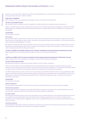However, no audit should be expected to predict the unknowable factors or all possible future implications for a company and this is particularly the case in relation to Brexit.

#### b Revenue recognition

Refer to page 49 in the accounting policy and page 55 in Note 3 for the financial disclosures

#### **THE RISK: SALES AROUND YEAR END**

We consider the risk in relation to revenue recognition to relate specifically to recognition around the year end.

There is a risk that revenue may be misstated due to share option incentives issued to key management, which vest if certain EBITDA targets are satisfied and increased shareholder pressure to maintain EPS and ensure dividends can continue to be distributed.

#### **OUR RESPONSE**

Our procedures included:

#### **Tests of detail**

We selected a sample of sales invoices either side of year end to assess whether revenue has been recognised in the correct financial period, by agreeing the date, amount, description and quantity to relevant documentation, such as delivery notes or other third-party acknowledgement of receipt.

We selected a sample of credit notes raised after the year-end to assess whether revenue has been recognised in the correct financial period, by agreeing the date, amount, quantity and description to relevant documentation, such as sales invoices, credit note approvals or other third-party documents.

## c (i) Recoverability of Goodwill relating to the 'Ecomed' acquisition in the group fnancial statements (£4.1m)

Refer to page 51 for the accounting policy and page 67 in Note 11 for the financial disclosures.

*and*

## c (ii) Recoverability of the 'Ecomed' investment in the Company fnancial statements of Tristel plc. (£6.4m)

Refer to page 50 for the accounting policy and page 72 in Note 13 for the financial disclosures

# **THE RISK: FORECAST-BASED ESTIMATE**

During the year Tristel plc acquired three entities referred to as the 'Ecomed' companies.

There is a risk in relation to the recoverability of the Ecomed goodwill and the investment in Ecomed as they require the Directors to make assessments which rely upon forecasts and expected future performance. The estimated recoverable amount is subjective due to the inherent uncertainty involved in forecasting and discounting future cash flows.

The effect of these matters is that, as part of our risk assessment, we determined that the value in use of goodwill has a high degree of estimation uncertainty, with a potential range of reasonable outcomes greater than our materiality for the financial statements as a whole and possibly many times that amount. The financial statements (note 11) disclose the sensitivity estimated by the Group.

#### **OUR RESPONSE**

Our procedures included:

#### **Historical comparisons**

We assessed the reasonableness of the forecasts used by considering the historical accuracy of previous budgets.

#### **Benchmarking assumptions**

Comparing the Groups assumptions to externally derived data in relation to key inputs such as projected growth rates and discount rates. Key inputs used to derive the discount rates were agreed to market data.

#### **Sensitivity analysis**

We performed sensitivity analysis over the key assumptions of the cash-flow forecasts. This included sensitising the discount rate, growth rates and profit margins within the forecasts. We critically assessed the extent to which a change in these assumptions, both individually or in aggregate, would result in a goodwill impairment, and considered the likelihood of such events occurring.

#### **Assessing transparency**

Assessing whether the Group's disclosures about the sensitivity of the outcome of the impairment assessment to changes in key assumptions reflected the risks inherent in the valuation of goodwill.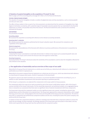#### d Valuation of acquired intangibles on the acquisition of 'Ecomed' (£1.8m)

Refer to page 50 for the accounting policy and page 68 in Note 12 for the financial disclosures.

#### **THE RISK: FORECAST-BASED ESTIMATE**

The valuation of acquired intangibles includes a number of judgmental areas and key assumptions, such as revenue growth and discount rates used.

The effect of these matters is that, as part of our risk assessment, we determined that the valuation of intangibles has a high degree of estimation uncertainty, with a potential range of reasonable outcomes greater than our materiality for the financial statements as a whole, and possibly many times that amount. The financial statements (note 2) disclose the sensitivity estimated by the group.

#### **OUR RESPONSE**

Our procedures included:

#### **Accounting analysis**

We assessed the acquisition accounting with reference to the relevant accounting standards.

#### **Assessing valuer's credentials**

We critically assessed the valuations performed by the Group's valuation expert. We assessed the competence and capabilities of the expert used.

#### **Historical comparisons**

We assessed the reasonableness of the forecasts with reference to previous performance of Ecomed prior to acquisition by the Group.

#### **Benchmarking assumptions**

Comparing the Group's assumptions to externally derived data in relation to key inputs such as projected growth rates and discount rates. Key inputs used to derive the discount rates were agreed to market data.

#### **Assessing transparency**

Assessing whether the Group's disclosures about the sensitivity of the assumptions used to value the intangibles reflected the risks inherent in the valuation.

#### **3. Our application of materiality and an overview of the scope of our audit**

Materiality for the group financial statements as a whole was set at £282,500, determined with reference to a benchmark of profit before tax of which it represents 5%.

Materiality for the parent company financial statements as a whole was set at £135,000, which was determined with reference to a benchmark of company total assets, of which it represents 1% the benchmark.

We agreed to report to the Audit Committee any corrected or uncorrected identified misstatements exceeding £14,100, in addition to other identified misstatements that warranted reporting on qualitative grounds.

Of the Group's 15 components, we subjected five components to full scope audits for Group purposes.

The components within the scope of our work accounted for 94% of the Group's profit before taxation, 86% of the Group's revenue and 89% of the Group's total assets. For the remaining components, we performed analysis, at an aggregated group level, to reexamine our assessment that there were no significant risks of material misstatement with these components.

The Group team instructed the component auditor as to the significant areas to be covered, including the relevant risks detailed above and the information to be reported back. The Group team approved the component materialities, which ranged from £135,000 to £212,000, having regard to the mix of size and risk profile of the Group across the components. The work on two of the 15 components was performed by component auditors and the rest, including the audit of the parent company, was performed by the Group team.

In relation to these two components telephone conference meetings were held with these component auditors to assess the audit risk and strategy. At these meetings, the findings reported to the Group team were discussed in more detail, and any further work required by the Group team was then performed by the component auditor.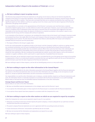## **4. We have nothing to report on going concern**

The Directors have prepared the financial statements on the going concern basis as they do not intend to liquidate the Company or the Group or to cease their operations, and as they have concluded that the Company's and the Group's financial position means that this is realistic. They have also concluded that there are no material uncertainties that could have cast significant doubt over their ability to continue as a going concern for at least a year from the date of approval of the financial statements ('the going concern period').

Our responsibility is to conclude on the appropriateness of the Directors' conclusions and, had there been a material uncertainty related to going concern, to make reference to that in this audit report. However, as we cannot predict all future events or conditions and as subsequent events may result in outcomes that are inconsistent with judgements that were reasonable at the time they were made, the absence of reference to a material uncertainty in this auditor's report is not a guarantee that the Group and the Company will continue in operation.

In our evaluation of the Directors' conclusions, we considered the inherent risks to the Group's and Company's business model and analysed how those risks might affect the Group's and Company's financial resources or ability to continue operations over the going concern period. The risks that we considered most likely to adversely affect the Group's and Company's available financial resources over this period were:

• The impact of Brexit on the Group's supply chain.

As this risk could potentially cast significant doubt on the Group's and the Company's ability to continue as a going concern, we considered sensitivities over the level of available financial resources indicated by the Group's financial forecasts taking account of reasonably possible (but not unrealistic) adverse effects that could arise from these risks individually and collectively and evaluated the achievability of the actions the Directors consider they would take to improve the position should the risks materialise. We also considered less predictable but realistic second order impacts, such as the erosion of customer or supplier confidence, which could result in a rapid reduction of available financial resources.

Based on this work, we are required to report to you if we have concluded that the use of the going concern basis of accounting is inappropriate or there is an undisclosed material uncertainty that may cast significant doubt over the use of that basis for a period of at least a year from the date of approval of the financial statements.

We have nothing to report in these respects, and we did not identify going concern as a key audit matter.

# **5. We have nothing to report on the other information in the Annual Report**

The Directors are responsible for the other information presented in the Annual Report together with the financial statements. Our opinion on the financial statements does not cover the other information and, accordingly, we do not express an audit opinion or, except as explicitly stated below, any form of assurance conclusion thereon.

Our responsibility is to read the other information and, in doing so, consider whether, based on our financial statements audit work, the information therein is materially misstated or inconsistent with the financial statements or our audit knowledge. Based solely on that work we have not identified material misstatements in the other information.

#### Strategic Report and Directors' Report

Based solely on our work on the other information:

- We have not identified material misstatements in the strategic report and the Directors' report.
- In our opinion the information given in those reports for the financial year is consistent with the financial statements.
- In our opinion those reports have been prepared in accordance with the Companies Act 2006.

#### **6. We have nothing to report on the other matters on which we are required to report by exception**

Under the Companies Act 2006, we are required to report to you if, in our opinion:

- Adequate accounting records have not been kept by the parent company, or returns adequate for our audit have not been received from branches not visited by us.
- The parent company financial statements are not in agreement with the accounting records and returns.
- Certain disclosures of Directors' remuneration specified by law are not made.
- We have not received all the information and explanations we require for our audit.

We have nothing to report in these respects.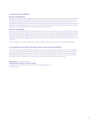### **7. Respective responsibilities**

#### Directors' responsibilities

As explained more fully in their statement set out on page 33, the Directors are responsible for: the preparation of the financial statements including being satisfied that they give a true and fair view; such internal control as they determine is necessary to enable the preparation of financial statements that are free from material misstatement, whether due to fraud or error; assessing the Group and parent company's ability to continue as a going concern, disclosing, as applicable, matters related to going concern; and using the going concern basis of accounting unless they either intend to liquidate the Group or the parent company or to cease operations, or have no realistic alternative but to do so.

#### Auditor's responsibilities

Our objectives are to obtain reasonable assurance about whether the financial statements as a whole are free from material misstatement, whether due to fraud or error, and to issue our opinion in an auditor's report. Reasonable assurance is a high level of assurance, but does not guarantee that an audit conducted in accordance with ISAs (UK) will always detect a material misstatement when it exists. Misstatements can arise from fraud or error and are considered material if, individually or in aggregate, they could reasonably be expected to influence the economic decisions of users taken on the basis of the financial statements.

A fuller description of our responsibilities is provided on the FRC's website at www.frc.org.uk/auditorsresponsibilities.

#### **8. The purpose of our audit work and to whom we owe our responsibilities**

This report is made solely to the Company's members, as a body, in accordance with Chapter 3 of Part 16 of the Companies Act 2006 and the terms of our engagement by the Company. Our audit work has been undertaken so that we might state to the Company's members those matters we are required to state to them in an auditor's report and for no other purpose. To the fullest extent permitted by law, we do not accept or assume responsibility to anyone other than the Company and the Company's members, as a body, for our audit work, for this report, or for the opinions we have formed.

**Mark Prince Senior Statutory Auditor FOR AND ON BEHALF OF KPMG LLP, STATUTORY AUDITOR**  Chartered Accountants, Botanic House, 100 Hills Road, Cambridge CB2 1AR 31 October 2019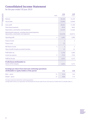# **Consolidated Income Statement**

for the year ended 30 June 2019

|                                                                                                       | <b>NOTE</b> | $f'$ 000  | $f'$ 000       |
|-------------------------------------------------------------------------------------------------------|-------------|-----------|----------------|
| Revenue                                                                                               |             | 26,169    | 22,220         |
| Cost of sales                                                                                         |             | (5, 504)  | (5,040)        |
| Gross profit                                                                                          |             | 20,665    | 17,180         |
| Share-based payments                                                                                  |             | (852)     | (665)          |
| Depreciation, amortisation and impairments                                                            |             | (1, 537)  | (1, 564)       |
| Administrative expenses, excluding share-based payments,<br>depreciation, amortisation and impairment |             | (13, 579) | (10, 971)      |
| Operating profit                                                                                      | 4           | 4,697     | 3,980          |
| Finance income                                                                                        |             | 5         | 2              |
| <b>Finance costs</b>                                                                                  |             | (1)       |                |
| Net finance income                                                                                    | 5           | 4         | $\overline{2}$ |
| Share of profit of equity accounted investees                                                         |             | 45        | 24             |
| Profit before tax                                                                                     |             | 4,746     | 4,006          |
| Income tax expense                                                                                    | 9           | (715)     | (734)          |
| Profit for the year                                                                                   |             | 4,031     | 3,272          |
| <b>Profit/(loss) attributable to:</b>                                                                 |             |           |                |
| <b>Owners of the Company</b>                                                                          |             | 4,031     | 3,272          |
| <b>Earnings per share from total and continuing operations</b>                                        |             |           |                |
| attributable to equity holders of the parent                                                          |             | 2019      | 2018           |
| Basic - pence                                                                                         | 22          | 9.14      | 7.62           |
| Diluted - pence                                                                                       | 22          | 8.86      | 7.33           |

2019

2018

The above results were derived from continuing operations.

Earnings before interest, tax, depreciation and amortisation for the year ended 30 June 2019 were £6,279,000 (2018 £5,568,000). (Note 4.)

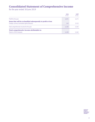# **Consolidated Statement of Comprehensive Income**

for the year ended 30 June 2019

|                                                                                                               | 2019<br>$f'$ 000 | 2018<br>$f'$ 000 |
|---------------------------------------------------------------------------------------------------------------|------------------|------------------|
| Profit for the year                                                                                           | 4,031            | 3,272            |
| Items that will be reclassified subsequently to profit or loss<br>Foreign currency translation gains/(losses) | 149              | (112)            |
| Total comprehensive income for the year                                                                       | 4,180            | 3,160            |
| Total comprehensive income attributable to:<br>Owners of the Company                                          | 4,180            | 3.160            |

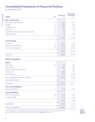# **Consolidated Statement of Financial Position**

as at 30 June 2019

| <b>Assets</b><br><b>NOTE</b>                            | 30 June 2019<br>$f'$ 000 | 30 June 2018<br>$f'$ 000 |
|---------------------------------------------------------|--------------------------|--------------------------|
| <b>Non-current assets</b>                               |                          |                          |
| Property, plant and equipment<br>10                     | 1,466                    | 1,328                    |
| Goodwill<br>11                                          | 5,150                    | 998                      |
| Intangible assets<br>12                                 | 7,593                    | 5,954                    |
| Investments<br>13                                       | 807                      | 589                      |
| Investments accounted for using the equity method<br>13 | 65                       | 46                       |
| Deferred tax assets                                     | 9<br>709                 | 399                      |
|                                                         | 15,790                   | 9,314                    |
| <b>Current assets</b>                                   |                          |                          |
| Inventories<br>14                                       | 2,957                    | 2,279                    |
| Trade and other receivables<br>15                       | 5,370                    | 4,286                    |
| Cash and cash equivalents<br>16                         | 4,170                    | 6,661                    |
|                                                         | 12,497                   | 13,226                   |
| <b>Total assets</b>                                     | 28,287                   | 22,540                   |
| <b>Equity and liabilities</b>                           |                          |                          |
| <b>Equity</b>                                           |                          |                          |
| Share capital<br>17                                     | 446                      | 432                      |
| Share premium                                           | 11,427                   | 11,058                   |
| Foreign currency translation reserve                    | 83                       | (66)                     |
| Merger reserve                                          | 2,205                    | 478                      |
| <b>Retained earnings</b>                                | 9,191                    | 6,518                    |
| Equity attributable to owners of the Company            | 23,352                   | 18,420                   |
| Non-controlling interests                               | 7                        | 7                        |
| <b>Total equity</b>                                     | 23,359                   | 18,427                   |
| <b>Non-current liabilities</b>                          |                          |                          |
| Deferred tax liabilities                                | 9<br>550                 | 205                      |
| <b>Current liabilities</b>                              |                          |                          |
| Trade and other payables<br>20                          | 3,539                    | 3,201                    |
| Income tax liability                                    | 9<br>839                 | 707                      |
|                                                         | 4,378                    | 3,908                    |
| <b>Total liabilities</b>                                | 4,928                    | 4,113                    |
| Total equity and liabilities                            | 28,287                   | 22,540                   |

\*Share in associate has been reclassified from other debtors in 2018 into investments accounted for using the equity method. Approved by the Board on 31 October 2019 and signed on its behalf by: **EA Dixon** Finance Director



Reclassified\*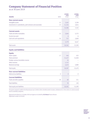# **Company Statement of Financial Position**

as at 30 June 2019

|                                                            |             | 30 June<br>2019 | 30 June<br>2018 |
|------------------------------------------------------------|-------------|-----------------|-----------------|
| <b>Assets</b>                                              | <b>NOTE</b> | $f'$ 000        | $f'$ 000        |
| <b>Non-current assets</b>                                  |             |                 |                 |
| Intangible assets                                          | 12          | 3,262           | 3,338           |
| Investments in subsidiaries, joint ventures and associates | 13          | 11,324          | 3,814           |
|                                                            |             | 14,586          | 7,152           |
| <b>Current assets</b>                                      |             |                 |                 |
| Trade and other receivables                                | 15          | 3,046           | 5,772           |
| Income tax asset                                           |             | 6               | 6               |
| Cash and cash equivalents                                  | 16          | 727             | 2,669           |
|                                                            |             | 3,779           | 8,447           |
| <b>Total assets</b>                                        |             | 18,365          | 15,599          |
| <b>Equity and liabilities</b>                              |             |                 |                 |
| <b>Equity</b>                                              |             |                 |                 |
| Share capital                                              | 17          | 446             | 432             |
| Share premium                                              |             | 11,427          | 11,058          |
| Foreign currency translation reserve                       |             | 54              |                 |
| Other reserves                                             |             | 1,727           |                 |
| Retained earnings                                          |             | 4,633           | 3,989           |
| <b>Total equity</b>                                        |             | 18,287          | 15,479          |
| <b>Non-current liabilities</b>                             |             |                 |                 |
| Deferred tax liabilities                                   | 9           | 9               | 9               |
| <b>Current liabilities</b>                                 |             |                 |                 |
| Trade and other payables                                   | 20          | 69              | 111             |
| <b>Total liabilities</b>                                   |             | 78              | 120             |
| Total equity and liabilities                               |             | 18,365          | 15,599          |

The parent company's profit for the financial year was £2.002m (2018: £0.885m) which includes a dividend of £2.793m (2018: £1.465m) received from its subsidiary companies.

Approved by the Board on 31 October 2019 and signed on its behalf by: **EA Dixon** Finance Director Registration number: 04728199

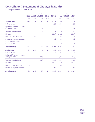# **Consolidated Statement of Changes in Equity**

for the year ended 30 June 2019

|                                                             | <b>Share</b><br>capital<br>$f'$ 000 | <b>Share</b><br>$f'$ 000 | <b>Foreign</b><br>currency<br>premium translation<br>$f'$ 000 | <b>Merger</b><br><b>reserve</b><br>$f'$ 000 | <b>Retained</b><br>earnings<br>$f'$ 000 | <b>Total</b><br>$f'$ 000 | Non-<br>controlling<br><b>interests</b><br>$f'$ 000 | <b>Total</b><br>equity<br>$f'$ 000 |
|-------------------------------------------------------------|-------------------------------------|--------------------------|---------------------------------------------------------------|---------------------------------------------|-----------------------------------------|--------------------------|-----------------------------------------------------|------------------------------------|
| <b>At 1 July 2018</b>                                       | 432                                 | 11,058                   | (66)                                                          | 478                                         | 6,518                                   | 18,420                   | 7                                                   | 18,427                             |
| Profit for the year                                         |                                     |                          |                                                               |                                             | 4,031                                   | 4,031                    |                                                     | 4,031                              |
| Exchange difference on translation<br>of foreign operations |                                     |                          | 149                                                           |                                             |                                         | 149                      |                                                     | 149                                |
| Total comprehensive income                                  |                                     |                          | 149                                                           |                                             | 4.031                                   | 4,180                    | $\overline{\phantom{0}}$                            | 4.180                              |
| <b>Dividends</b>                                            |                                     |                          | -                                                             | $\overline{\phantom{0}}$                    | (2,210)                                 | (2,210)                  |                                                     | (2,210)                            |
| New share capital subscribed                                | 7                                   | 369                      |                                                               |                                             |                                         | 376                      |                                                     | 376                                |
| Share-based payment transactions                            |                                     |                          |                                                               |                                             | 852                                     | 852                      |                                                     | 852                                |
| Acquisition of subsidiaries,<br>increase in equity          | $\overline{7}$                      |                          |                                                               | 1,727                                       |                                         | 1,734                    |                                                     | 1,734                              |
| At 30 June 2019                                             | 446                                 | 11,427                   | 83                                                            | 2,205                                       | 9,191                                   | 23,352                   | 7                                                   | 23,359                             |
| At 1 July 2017                                              | 427                                 | 10,705                   | 46                                                            | 478                                         | 4,399                                   | 16,055                   | 7                                                   | 16,062                             |
| Profit for the year                                         |                                     |                          |                                                               |                                             | 3,272                                   | 3,272                    |                                                     | 3,272                              |
| Exchange difference on translation<br>of foreign operations |                                     |                          | (112)                                                         |                                             |                                         | (112)                    |                                                     | (112)                              |
| Total comprehensive income                                  |                                     |                          | (112)                                                         | $\overline{\phantom{0}}$                    | 3,272                                   | 3,160                    | L,                                                  | 3,160                              |
| <b>Dividends</b>                                            |                                     |                          |                                                               | $\overline{\phantom{0}}$                    | (1,818)                                 | (1,818)                  |                                                     | (1,818)                            |
| New share capital subscribed                                | 5                                   | 353                      |                                                               |                                             |                                         | 358                      |                                                     | 358                                |
| Share-based payment transactions                            |                                     |                          |                                                               |                                             | 665                                     | 665                      |                                                     | 665                                |
| At 30 June 2018                                             | 432                                 | 11,058                   | (66)                                                          | 478                                         | 6,518                                   | 18,420                   | 7                                                   | 18,427                             |

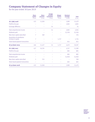# **Company Statement of Changes in Equity**

for the year ended 30 June 2019

|                                                   | <b>Share</b><br>capital<br>$f'$ 000 | <b>Share</b><br>premium<br>$f'$ 000 | <b>Foreign</b><br>currency<br>translation<br>$f'$ 000 | <b>Merger</b><br><b>reserve</b><br>$f'$ 000 | <b>Retained</b><br>earnings<br>$f'$ 000 | <b>Total</b><br>$f'$ 000 |
|---------------------------------------------------|-------------------------------------|-------------------------------------|-------------------------------------------------------|---------------------------------------------|-----------------------------------------|--------------------------|
| At 1 July 2018                                    | 432                                 | 11,058                              |                                                       |                                             | 3,989                                   | 15,479                   |
| Profit for the year                               |                                     |                                     |                                                       |                                             | 2,002                                   | 2,002                    |
| Exchange difference                               |                                     |                                     | 54                                                    |                                             |                                         | 54                       |
| Total comprehensive income                        |                                     |                                     | 54                                                    |                                             | 2,002                                   | 2,056                    |
| Dividends paid                                    |                                     |                                     |                                                       |                                             | (2,210)                                 | (2,210)                  |
| New share capital subscribed                      | 7                                   | 369                                 |                                                       |                                             |                                         | 376                      |
| Acquisition of subsidiaries<br>increase in equity | $\overline{7}$                      |                                     |                                                       | 1,727                                       |                                         | 1,734                    |
| Share-based payment transactions                  |                                     |                                     |                                                       |                                             | 852                                     | 852                      |
| At 30 June 2019                                   | 446                                 | 11,427                              | 54                                                    | 1,727                                       | 4,633                                   | 18,287                   |
| At 1 July 2017                                    | 427                                 | 10,705                              |                                                       |                                             | 4,257                                   | 15,389                   |
| Profit for the year                               |                                     |                                     |                                                       |                                             | 885                                     | 885                      |
| Total comprehensive income                        |                                     |                                     |                                                       |                                             | 885                                     | 885                      |
| Dividends paid                                    |                                     |                                     |                                                       |                                             | (1,818)                                 | (1,818)                  |
| New share capital subscribed                      | 5                                   | 353                                 |                                                       |                                             |                                         | 358                      |
| Share-based payment transactions                  | -                                   |                                     |                                                       |                                             | 665                                     | 665                      |
| At 30 June 2018                                   | 432                                 | 11,058                              |                                                       |                                             | 3,989                                   | 15,479                   |

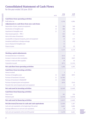# **Consolidated Statement of Cash Flows**

for the year ended 30 June 2019

|                                                            | <b>NOTE</b> | 2019<br>$f'$ 000 | 2018<br>$f'$ 000 |
|------------------------------------------------------------|-------------|------------------|------------------|
| <b>Cash flows from operating activities</b>                |             |                  |                  |
| Profit before tax                                          |             | 4,746            | 4,006            |
| <b>Adjustments to cash flows from non-cash items</b>       |             |                  |                  |
| Depreciation of plant, property & equipment                | 10          | 584              | 548              |
| Amortisation of intangible asset                           | 12          | 886              | 950              |
| Impairment of intangible asset                             | 11          | 67               | 67               |
| Share-based payments - IFRS 2                              |             | 852              | 665              |
| Gain on fair value of investment                           |             | (98)             |                  |
| Loss/(profit) on disposal of property, plant and equipment |             | 21               | (17)             |
| Unrealised profit/(loss) in foreign exchange               |             | 72               | (78)             |
| Loss on disposal of intangible asset                       |             | 12               |                  |
| Finance income                                             |             | (5)              | (2)              |
|                                                            |             | 7,137            | 6,139            |
| <b>Working capital adjustments</b>                         |             |                  |                  |
| (Increase)/decrease in inventories                         |             | (415)            | 13               |
| Increase in trade and other receivables                    |             | (414)            | (587)            |
| Increase in trade and other payables                       |             | 49               | 54               |
| Corporation tax paid                                       |             | (871)            | (1, 124)         |
| <b>Net cash flow from operating activities</b>             |             | 5,486            | 4,495            |
| <b>Cash flows from investing activities</b>                |             |                  |                  |
| Interest received                                          |             | 5                | $\overline{2}$   |
| Purchase of intangible assets                              | 12          | (669)            | (997)            |
| Purchase of investment in Ecomed                           | 11          | (4,706)          |                  |
| Purchase of investment in MobileODT                        | 13          | (120)            |                  |
| Purchase of property plant and equipment                   |             | (678)            | (516)            |
| Proceeds from sale of property plant and equipment         |             |                  | 63               |
| Net cash used in investing activities                      |             | (6, 168)         | (1,448)          |
| <b>Cash flows from financing activities</b>                |             |                  |                  |
| Share issues                                               |             | 383              | 358              |
| Dividends paid                                             |             | (2,210)          | (1,818)          |
| <b>Net cash used in financing activities</b>               |             | (1,827)          | (1,460)          |
| Net (decrease)/increase in cash and cash equivalents       |             | (2,509)          | 1,587            |
| Cash and cash equivalents at the beginning of the period   |             | 6,661            | 5,088            |
| Exchange differences on cash and cash equivalents          |             | 18               | (14)             |
| Cash and cash equivalents at the end of the period         |             | 4,170            | 6,661            |

**THE NOTES ON PAGES 48 TO 82 FORM AN INTEGRAL PART OF THESE FINANCIAL STATEMENTS**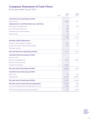# **Company Statement of Cash Flows**

for the year ended 30 June 2019

|                                                          | <b>NOTE</b> | 2019<br>$f'$ 000 | 2018<br>f'000 |
|----------------------------------------------------------|-------------|------------------|---------------|
| <b>Cash flows from operating activities</b>              |             |                  |               |
| Profit before tax                                        |             | 2,002            | 885           |
| <b>Adjustments to cash flows from non-cash items</b>     |             |                  |               |
| Amortisation of intangible asset                         | 12          | 258              | 244           |
| Gain on fair value of investment                         | 13          | (98)             |               |
| Unrealised loss on foreign exchange                      |             | (73)             |               |
| <b>Finance income</b>                                    |             | (3)              | (3)           |
|                                                          |             | 2,086            | 1,126         |
| <b>Working capital adjustments</b>                       |             |                  |               |
| Decrease in trade and other receivables                  |             | 2,726            | 393           |
| (Decrease)/increase in trade and other payables          |             | (42)             | 26            |
| Corporation tax paid                                     |             |                  |               |
| <b>Net cash flow from operating activities</b>           |             | 4,770            | 1,545         |
| <b>Cash flows from investing activities</b>              |             |                  |               |
| Interest received                                        |             | 3                | 3             |
| Purchase of intangible assets                            | 12          | (182)            | (186)         |
| Purchase of trade and assets                             |             |                  |               |
| <b>Purchase of investments</b>                           | 11          | (4,706)          |               |
| Net cash used in investing activities                    |             | (4,885)          | (183)         |
| <b>Cash flows from financing activities</b>              |             |                  |               |
| Share issues                                             |             | 383              | 358           |
| Dividends paid                                           |             | (2,210)          | (1,818)       |
| Net cash used in financing activities                    |             | (1,827)          | (1,460)       |
| Net (decrease) in cash and cash equivalents              |             | (1, 942)         | (98)          |
| Cash and cash equivalents at the beginning of the period |             | 2,669            | 2,767         |
| Cash and cash equivalents at the end of the period       |             | 727              | 2,669         |

**THE NOTES ON PAGES 48 TO 82 FORM AN INTEGRAL PART OF THESE FINANCIAL STATEMENTS**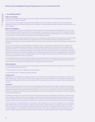## **1. Accounting policies**

#### Basis of accounting

These financial statements have been prepared in accordance with International Financial Reporting Standards (IFRS) as adopted by the European Union (EU).

There have been no new financial reporting standards effective for the year which have impacted the accounting policies stated below. Tristel plc, the Group's ultimate parent company, is a limited liability company incorporated and domiciled in the United Kingdom.

#### Basis of consolidation

The Group financial statements consolidate those of the Company and all of its subsidiary undertakings drawn up to 30 June 2019. Subsidiaries are entities over which the Group has rights or is exposed to variable returns from its involvement with the investee and has the power to affect those returns by controlling the financial and operating policies so as to obtain benefits from its activities. The Group obtains and exercises control through voting rights.

Unrealised gains on transactions between the Group and its subsidiaries are eliminated. Unrealised losses are also eliminated unless the transaction provides evidence of an impairment of the asset transferred. Amounts reported in the financial statements of subsidiaries have been adjusted where necessary to ensure consistency with the accounting policies adopted by the Group.

Acquisitions of subsidiaries are dealt with by the acquisition method. The acquisition method involves the recognition at fair value of all identifiable assets and liabilities, including contingent liabilities of the subsidiary, at the acquisition date, regardless of whether or not they were recorded in the financial statements of the subsidiary prior to acquisition. These fair values are also used as the basis for subsequent measurement in accordance with the Group accounting policies. Goodwill is stated after separating out identifiable intangible assets. Goodwill represents the excess of the aggregate of the consideration transferred and the amount of non-controlling interest over the fair value of the Group's share of the identifiable net assets of the acquired subsidiary at the date of acquisition.

Non-controlling interests, presented as part of equity, represent a proportion of a subsidiary's profit or loss and net assets that is not held by the Group. The Group attributes total comprehensive income or loss of subsidiaries between the assets of the parent and the non-controlling interests based on their respective ownership interests.

#### Audit exemption

The following subsidiaries are exempt from the requirements of the UK Companies Act 2006 relating to the audit of individual accounts by virtue of s479A of the Act:

- Tristel International Limited Registered number 07874262
- Scorcher Idea Limited Registered number 04602679

#### Going concern

Management have considered the trading performance of the Group with underlying trends and expectations, this forms the basis of the Group's current forecasts. The forecasts in addition to the resources available to the Group leave management to believe that the Group will continue for the foreseeable future for a period of not less than 12 months from date of approval of accounts.

#### Associates

Associates are those entities over which the Group has significant influence but which are neither subsidiaries nor interests in joint ventures. Investments in associates are recognised initially at cost and the results of the associate are subsequently accounted for using the equity method. Acquired investments in associates are also subject to purchase method accounting. However, any goodwill or fair value adjustment attributable to the share in the associate is included in the amount recognised as investment in associates.

All subsequent changes to the share of interest in the equity of the associate are recognised in the Group's carrying amount of the investment. Unless otherwise stated changes resulting from the profit or loss generated by the associate are reported in 'share of profits of associates' in the consolidated income statement and therefore affect net results of the Group. These changes include subsequent depreciation, amortisation or impairment of the fair value adjustments of assets and liabilities.

Items that have been recognised directly in the associate's other comprehensive income are recognised in the consolidated other comprehensive income of the Group. However, when the Group's share of losses in an associate equals or exceeds its interest in the associate, including any unsecured receivables, the Group does not recognise further losses, unless it has incurred obligations or made payments on behalf of the associate. If the associate subsequently reports profits, the investor resumes recognising its share of those profits only after its share of the profits equals the share of losses not recognised.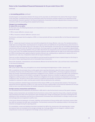*continued*

### **1. Accounting policies** *continued*

Unrealised gains on transactions between the Group and its associates are eliminated to the extent of the Group's interest in the associates. Unrealised losses are also eliminated unless the transaction provides evidence of an impairment of the asset transferred. Amounts reported in the financial statements of associates have been adjusted where necessary to ensure consistency with the accounting policies adopted by the Group.

#### Changes in accounting policy

### **EU adopted IFRSs not yet applied**

As of 30 June 2019, the following Standards and Interpretations are in issue but not yet effective and have not been adopted early by the Group:

- IFRS 16 Leases (effective 1 January 2019)
- IFRS 17 Insurance contracts (effective 1 January 2021)

The Directors anticipate that the adoption of IFRS 17 in future periods will have no material effect on the financial statements of the Group.

#### **IFRS 16**

IFRS 16 – Leases was issued in January 2016 and will be adopted by the Group effective 1 July 2019. The standard provides a single lease accounting model, requiring lessees to recognise assets and liabilities for all operating leases unless the term is 12 months or less or the leased asset is of a low value. As at the reporting date, the Group has non-cancellable operating lease commitments of £4.8m (note 18). Of these commitments, the Group expects to recognise right of use assets of approximately £3.7m on 1 July 2019 and lease liabilities of £3.9m (after adjustments for prepayments and accrued lease payments recognised as at 30 June 2019). The modified retrospective transition approach will be applied with the right of use assets being measured as if IFRS 16 had always been applied using the transition discount rate, subsequently an adjustment to equity of £0.2m is expected as at 1 July 2019. Comparative results will not require restatement.

There are no other standards that are not yet effective and that would be expected to have a material impact on the Group in the current or future reporting periods and on foreseeable future transactions.

None of the standards, interpretations and amendments effective for the first time from 1 July 2018 have had a material effect on the financial statements.

#### Revenue recognition

IFRS 15 was issued in May 2014 and applies to an annual reporting period beginning on or after 1 January 2018.

IFRS 15 establishes the principles that an entity applies when reporting information about the nature, amount, timing and uncertainty of revenue and cash flows from a contract with a customer. Applying IFRS 15, the Group recognises revenue to depict the transfer of promised goods (performance obligations) to the customer in an amount that reflects the consideration to which the entity expects to be entitled in exchange for those goods. Revenue is therefore recognised as performance obligations to deliver products are satisfied. Performance obligations for the sale of products are dependent on the terms and conditions of sale. The point in time at which revenue is recognised may therefore vary between the point goods are made available for customers to collect, and the point at which they are delivered to the customers.

The Group undertook a detailed impact assessment of the impact of IFRS 15 on its revenues from products. The Group has determined that the application of IFRS 15 on 1 July 2018 has not had a material effect on the financial statements for the year ended 30 June 2019 and has therefore not restated comparative information for prior periods.

#### Foreign currency transactions and balances

The consolidated financial statements are presented in GBP, which is also the functional currency of the parent company.

Foreign currency transactions are translated into the functional currency of the respective Group entity, using the exchange rates prevailing at the dates of the transactions (spot exchange rate). Foreign exchange gains and losses resulting from the settlement of such transactions and from the re-measurement of monetary items denominated in a foreign currency at yearend exchange rates are recognised in profit or loss.

In the Group's financial statements, all assets, liabilities and transactions of Group entities with a functional currency other than GBP are translated into GBP upon consolidation. The functional currencies of the subsidiary entities in the Group have remained unchanged during the reporting period.

On consolidation, assets and liabilities have been translated into GBP at the closing rate at the reporting date. Income and expense items are translated at the average exchange rate. Exchange differences are charged or credited to other comprehensive income and recognised in the foreign currency reserve in equity.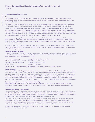# **1. Accounting policies** *continued*

## Tax

The tax expense for the year comprises current and deferred tax. Tax is recognised in profit or loss, except that a change attributable to an item of income or expense recognised as other comprehensive income is also recognised directly in other comprehensive income.

The charge for current tax is based on the results for the year as adjusted for items, which are non-assessable or disallowed. It is calculated according to local tax rules, using tax rates enacted or substantively enacted by the balance sheet date.

Deferred tax is provided using the balance sheet liability method, providing for temporary differences between the carrying amounts of assets and liabilities for financial reporting purposes and the amounts used for taxation purposes. A deferred tax asset is recognised only to the extent that it is probable that future taxable profits will be available against which an asset can be utilised. However, deferred tax is not provided on the initial recognition of goodwill, nor on the initial recognition of an asset or liability unless the related transaction is a business combination or affects tax or accounting profit.

Deferred tax on temporary differences associated with shares in subsidiaries and associates is not provided if reversal of these temporary differences can be controlled by the Group and it is probable that reversal will not occur in the foreseeable future. In addition, tax losses available to be carried forward as well as other income tax credits to the Group are assessed for recognition as deferred tax assets.

Changes in deferred tax assets or liabilities are recognised as a component of tax expense in the income statement, except where they relate to items that are charged or credited directly to equity in which case the related deferred tax is also charged or credited directly to equity.

#### Property, plant and equipment

Property, plant and equipment are held at cost less accumulated depreciation and impairment losses. Depreciation is provided at the following annual rates in order to write off each asset less the estimated residual value of property, plant and equipment over their estimated useful economic lives as follows:

Improvements to property<br>Other property, plant and equipment Straight line over 3 and 5 years Other property, plant and equipment Furniture, fittings and equipment Straight line over 4 and 5 years Motor vehicles  $S$ traight line over  $4$  years

The residual value and useful economic life of property, plant and equipment are reviewed annually.

#### Intangible assets

In determining the amortisation policy of an intangible asset, its estimated useful economic life in terms of years or the number of stock units likely to be sold, is considered. Where a finite useful economic life of the asset can be estimated, amortisation is calculated from the point at which the asset is brought into use, and charged to the income statement over its lifetime. Where it is considered that an intangible asset has an indefinite useful economic life, such as goodwill, no amortisation is charged. Instead, in accordance with IAS 36 the asset is tested annually for impairment, comparing the recoverable amount to the carrying amount. The recoverable amount is calculated by reference to future cash flows expected to be generated by the asset.

## Patents, trademarks, licences and proprietary technology

Patents, trademarks and licences that are acquired by the Group are stated at cost less accumulated amortisation and impairment losses. Amortisation is charged over the useful life of the asset, on a straight-line basis of between seven and 20 years.

#### Investments and other fnancial assets

For assets measured at fair value, gains and losses will either be recorded in profit or loss or other comprehensive income. For investments in debt instruments, this will depend on the business model in which the investment is held. For investments in equity instruments, this will depend on whether the Company has made an irrevocable election at the time of initial recognition to account for the equity investment at fair value through other comprehensive income.

The Company subsequently measures all equity investments at fair value. Where the Company's management has elected to present fair value gains and losses on equity investments in other comprehensive income, there is no subsequent reclassification of fair value gains and losses to profit or loss. Dividends from such investments continue to be recognised in profit or loss as other income when the Company's right to receive payments is established.

Changes in the fair value of financial assets at fair value through profit or loss are recognised in other gain/(losses) in the statement of profit or loss as applicable.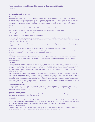*continued*

## **1. Accounting policies** *continued*

#### **Research and development**

Research expenditure is written off as incurred. Development expenditure is also written off as incurred, except where the Directors are satisfied, having due regard to the nature and scope of each development project assessed, as to the technical, commercial and financial feasibility of the project. In such cases, the identifiable expenditure of the relevant project is deferred and amortised over the period during which the Group is expected to benefit, as administration costs, as detailed below.

Development costs incurred are capitalised when all the following conditions are satisfied:

- Completion of the intangible asset is technically feasible so that it will be available for use or sale.
- The Group intends to complete the intangible asset and use or sell it.
- The Group has the ability to use or sell the intangible asset.
- The intangible asset will generate probable future economic benefits. Among other things, this requires that there is a market for the output from the intangible asset or for the intangible asset itself, or, if it is to be used internally, the asset will be used in generating such benefits.
- There are adequate technical, financial and other resources to complete the development and to use or sell the intangible asset.
- The expenditure attributable to the intangible asset during its development can be measured reliably.

Provision is made for any impairment. The amortisation of intangible assets is charged to administrative expenses in the income statement on a straight-line basis of between seven years and 25 years.

#### **Software**

Software that is acquired from third parties by the Group is stated at cost less accumulated amortisation and impairment losses. Amortisation is charged over the useful life of the asset, deemed to be seven years based on historical trends of software utilisation.

#### Goodwill

Goodwill arising on consolidation represents the excess of the cost of acquisition over the Group's interest in the fair value of the identifiable assets and liabilities of a subsidiary at the date of acquisition. Goodwill is initially recognised as an asset at cost and is subsequently measured at cost less any accumulated impairment losses. Goodwill which is recognised as an asset is reviewed for impairment at least annually. Any impairment is recognised immediately in profit or loss and is not subsequently reversed.

For the purpose of impairment testing, goodwill is allocated to the cash-generating unit acquired. Cash-generating units to which goodwill has been allocated are tested for impairment annually, or more frequently where there is an indication that the unit may be impaired. If the recoverable amount of the cash-generating unit is less than the carrying amount of the unit, the impairment loss is allocated first to reduce the carrying amount of any goodwill allocated to the unit and then to other assets of the unit pro-rata on the basis of the carrying amount of each asset in the unit. An impairment loss recognised for goodwill is not reversed in a subsequent period. The details of these assumptions are set out in note 11.

#### Cash and cash equivalents

Cash and cash equivalents comprise cash held by the Group and short term on demand bank deposits with an original maturity of three months or less. The assets are subject to an insignificant risk of change in value. The carrying amount of these assets approximates to their fair value.

#### Trade and other receivables

Trade and other receivables are initially recognised at fair value, plus transaction costs. Subsequently they are measured at amortised cost using the effective interest rate method.

## Inventories

Inventories are valued on a first-in, first-out basis at the lower of cost and net realisable value. Cost includes materials and direct labour. Net realisable value is based on estimated selling price, less further costs expected to be incurred to completion and disposal. Provision is made for obsolete and slow moving and defective items where applicable.

#### Trade and other payables

Trade and other payables, including loans and other borrowings are initially recognised at fair value, net of direct issue costs. Subsequently they are measured at amortised cost using the effective interest rate method.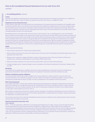## **1. Accounting policies** *continued*

#### Leases

All leases are regarded as operating leases and the payments made under them are charged to profit/(loss) on a straight-line basis over the lease term. Lease incentives are spread over the term of the lease on a straight-line basis.

#### Impairment of non-fnancial assets

At each balance sheet date, the Group reviews the carrying amount of its property, plant and equipment and intangible assets to determine whether there is any indication that those assets have suffered an impairment loss. If any such indication exists, the recoverable amount of the asset is estimated in order to determine the extent of the impairment loss (if any). Where the asset does not generate cash flows that are independent from other assets, the Group estimates the recoverable amount of the cash-generating unit to which the asset belongs.

Recoverable amount is the higher of fair value less costs to sell and value in use. In assessing value in use, the estimated future cash flows are discounted to their present value using a pre-tax discount rate that reflects current market assessments of the time value of money and the risks specific to the asset for which the estimates of future cash flows have not been adjusted. If the recoverable amount of an asset (or cash-generating unit) is estimated to be less than its carrying amount, the carrying amount of the asset (or cash-generating unit) is reduced to its recoverable amount. With the exception of goodwill, all assets are subsequently reassessed for indications that an impairment loss previously recognised may no longer exist. An impairment charge that has been recognised is reversed if the cash-generating unit's recoverable amount exceeds its carrying amount.

#### Equity

Equity comprises the following:

- 'Share capital' represents the nominal value of equity shares.
- 'Share premium' represents the excess over nominal value of the fair value of consideration received for equity shares, net of expenses of the share issue.
- 'Merger reserve' represents merger relief taken in respect of the premium paid on the issue of shares to finance the acquisition of a subsidiary undertaking prior to the Group's IFRS transition date.
- 'Retained earnings' represents all current and prior period profits, losses and share-based payments.
- 'Foreign exchange reserve' comprises foreign currency translation of the financial statements of the Group's foreign entities into GBP.

#### Dividends

Final dividends are recognised as a liability in the Group's financial statements in the period in which the dividends are approved by shareholders, while interim dividends are recognised in the period in which the dividends are paid.

#### Defned contribution pension obligation

For money purchase schemes the amount charged to the income statement in respect of pension costs and other postretirement benefits is the contributions payable in the year. Differences between contributions payable in the year and the contributions actually paid are shown as either accruals or prepayments in the statement of financial position.

#### Share-based payments

In accordance with IFRS 2, the fair value of equity-settled share-based payments to employees is determined at the date of grant and is expensed on a straight-line basis over the vesting period on the Group's estimate of shares or options that will eventually vest. In the case of options granted, the fair value is measured by using either the Monte Carlo or Black-Scholes pricing model. Further details are set out in note 24.

Where options are granted over the parent company shares to employees of subsidiary undertakings, the cost of investment in the subsidiary is increased by the fair value of the options granted with a corresponding entry included in equity and assessed for impairment in accordance with IAS 36.

The proceeds received net of any directly attributable transaction costs are credited to share capital (nominal value) and share premium when the options are exercised.

#### Financial instruments (post July 2018) **Initial recognition**

IFRS 9 – Financial Instruments is effective for accounting periods beginning on or after 1 January 2018 and replaces existing accounting standard IAS 39 Financial Instruments: Recognition and Measurement. IFRS 9 addresses the classification, measurement and derecognition of financial assets and financial liabilities and introduces the new rules for hedge accounting, a new impairment model for financial assets and early recognition of expected credit losses. The Group adopted IFRS 9 on 1 July 2018. The Group does not have a material history of credit losses, or is it involved in financial instruments, therefore the application of IFRS 9 has not had a material effect on the financial statements.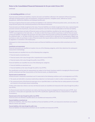*continued*

## **1. Accounting policies** *continued*

Financial assets and financial liabilities comprise all assets and liabilities reflected in the statement of financial position, although excluding property, plant and equipment, investment properties, intangible assets, deferred tax assets, prepayments, deferred tax liabilities and employee benefits plan.

The Group recognises financial assets and financial liabilities in the statement of financial position when, and only when, the Group becomes party to the contractual provisions of the financial instrument.

Financial assets are initially recognised at fair value. Financial liabilities are initially recognised at fair value, representing the proceeds received net of premiums, discounts and transaction costs that are directly attributable to the financial liability.

All regular way purchases and sales of financial assets and financial liabilities classified as fair value through profit or loss ('FVTPL') are recognised on the trade date, i.e. the date on which the Group commits to purchase or sell the financial assets or financial liabilities. All regular way purchases and sales of other financial assets and financial liabilities are recognised on the settlement date, i.e. the date on which the asset or liability is received from or delivered to the counterparty. Regular way purchases or sales are purchases or sales of financial assets that require delivery within the time frame generally established by regulation or convention in the market place.

Subsequent to initial measurement, financial assets and financial liabilities are measured at either amortised cost or fair value.

#### **Classification and measurement**

Financial instruments are classified at inception into one of the following categories, which then determine the subsequent measurement methodology:

Financial assets are classified into one of the following three categories:

- Financial assets at amortised cost.
- Financial assets at fair value through other comprehensive income (FVTOCI).
- Financial assets at fair value through the profit or loss (FVTPL).

Financial liabilities are classified into one of the following two categories:

- Financial liabilities at amortised cost.
- Financial liabilities at fair value through the profit or loss (FVTPL).

The classification and the basis for measurement are subject to the Group's business model for managing the financial assets and the contractual cash-flow characteristics of the financial assets, as detailed below:

#### **Financial assets at amortised cost**

A financial asset is measured at amortised cost if it meets both of the following conditions and is not designated as at FVTPL:

- The assets are held within a business model whose objective is to hold assets in order to collect contractual cash flows.
- The contractual terms of the financial assets give rise on specified dates to cash flows that are solely payments of principal and interest on the principal amount outstanding.

If either of the above two criteria is not met, the financial assets are classified and measured at fair value through the profit or loss (FVTPL).

If a financial asset meets the amortised cost criteria, the Group may choose to designate the financial asset at FVTPL. Such an election is irrevocable and applicable only if the FVTPL classification significantly reduces a measurement or recognition inconsistency.

#### **Financial assets at fair value through the profit or loss (FVTPL)**

Financial assets not otherwise classified above are classified and measured as FVTPL.

#### **Financial liabilities at amortised cost**

All financial liabilities, other than those classified as financial liabilities at FVTPL, are measured at amortised cost using the effective interest rate method.

#### **Financial liabilities at fair value through the profit or loss**

Financial liabilities not measured at amortised cost are classified and measured at FVTPL.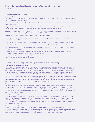## **1. Accounting policies** *continued*

#### Impairment of fnancial assets

The Group recognises loss allowances for expected credit losses (ECL) on financial instruments that are not measured at FVPTL, namely accounts and other receivables.

The Group classifies its financial instruments into stage 1, stage 2 and stage 3, based on the applied impairment methodology, as described below:

Stage 1: For financial instruments where there has not been a significant increase in credit risk since initial recognition and that are not credit-impaired on origination, the Group recognises an allowance based on the 12-month ECL.

Stage 2: For financial instruments where there has been a significant increase in credit risk since initial recognition but they are not credit-impaired, the Group recognises an allowance for the lifetime ECL.

**Stage 3:** For credit-impaired financial instruments, the Group recognises the lifetime ECL.

The Group measures loss allowances at an amount equal to the lifetime ECL, except for the following, for which they are measured as a 12-month ECL:

- Debt securities that are determined to have a low credit risk (equivalent to investment grade rating) at the reporting date.
- Other financial instruments on which the credit risk has not increased significantly since their initial recognition.

The Group considers a debt security to have low credit risk when their credit risk rating is equivalent to the globally understood definition of 'investment grade'.

A 12-month ECL is the portion of the lifetime ECL that represents the ECLs that result from default events on a financial instrument that are possible within 12 months from the reporting date.

Provisions for credit-impairment are recognised in the statement of income and are reflected in accumulated provision balances against each relevant financial instruments balance.

# **2. Critical accounting judgements and key sources of estimation uncertainty**

#### Signifcant judgments and estimates

The preparation of financial statements in conformity with IFRS requires management to make judgments, estimates and assumptions that affect the application of policies and reported amounts of assets and liabilities, income and expenses. The estimates and associated assumptions are based on historical experience and various other factors that are believed to be reasonable under the circumstances, the results of which form the basis of making the judgments about carrying values of assets and liabilities that are not readily apparent from other sources. Actual results may differ from these estimates.

The estimates and underlying assumptions are reviewed on an ongoing basis. Revisions to accounting estimates are recognised in the period in which the estimate is revised if the revision affects only that period, or in the period of the revision and future periods if the revision affects both current and future periods. The Directors consider that the key judgments and sources of estimation made in preparation of the financial statements relate to the following:

#### **Intangible assets**

The intangible assets acquired during the year were valued independently by a third party. Estimation uncertainty relates to future trading forecasts and assumptions about determination of a suitable discount rate and assessment of useful life. Sensitivity analysis was also provided on the asset values identified with immaterial impact on carrying values. A 1% increase in the discount rate applied caused a decrease of £50k in the value of the asset acquired and a 1% decrease in the discount rate caused a £54k increase in value.

### **Goodwill and investments in Ecomed**

In assessing impairment, management estimates the recoverable amount of each asset or cash-generating unit, based on expected future cash flows and uses an interest rate to discount them. Estimation uncertainty relates to future trading forecasts, particularly with respect to new entities acquired in the year and assumptions about determination of a suitable discount rate and assessment of useful life. Sensitivity analysis has been performed and a reasonable change in assumptions will not have a material impact on carrying value.

#### **Research and development**

Research expenses are defined as costs incurred with the prospect of gaining new scientific knowledge and technical knowledge and understanding. Development expenses are defined as application of research findings or specialist knowledge for the development of new or substantially improved products or application of the product. Research and development expenses are incurred for in-house development as well as numerous collaborations with third parties.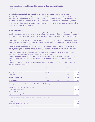*continued*

### **2. Critical accounting judgements and key sources of estimation uncertainty** *continued*

Research costs are not capitalised. Development costs are capitalised under closely defined conditions and only if there is reasonable certainty of receiving future cash flows in relation to the development. These judgements are based on the information available at each balance sheet date. Economic success of any product development is uncertain at the time of recognition as judgement is required when distinguishing the research and development phases of new product design projects, and determining whether the recognition requirements for capitalisation of the development costs are met. Specific recognition requirements are detailed in note 1.

#### **3. Segmental analysis**

Management considers the Company's revenue lines to be split into three operating segments, which span the different Group entities. The operating segments consider the nature of the product sold, the nature of production, the class of customer and the method of distribution. The Company's operating segments are identified initially from the information which is reported to the chief operating decision maker.

The first segment concerns the manufacture and sale of infection control and hygiene products that includes the Company's chlorine dioxide chemistry, and are used primarily for infection control in hospitals. This segment generates approximately 92% of Company revenues (2018: 90%).

The second segment which constitutes  $3\%$  (2018:  $4\%$ ) of the business activity, relates to the manufacture and sale of disinfection and cleaning products, principally into veterinary and animal welfare sectors ('Animal healthcare'). During prior years all sales for this segment were made to a distributor who supplied the end user.

The third segment addresses the pharmaceutical and personal care product manufacturing industries ('Contamination control'), and has generated 5% (2018: 6%) of the Company's revenues this year.

The operation is monitored and measured on the basis of the key performance indicators of each segment, these being revenue and gross profit, and strategic decisions are made on the basis of revenue and gross profit generating from each segment.

The Company's centrally incurred administrative expenses and operating income, and assets and liabilities, cannot be allocated to individual segments.

|                                 | <b>Human</b> | Animal     | <b>Contamination</b> | 2019         |
|---------------------------------|--------------|------------|----------------------|--------------|
|                                 | healthcare   | healthcare | control              | <b>Total</b> |
|                                 | $f'$ 000     | $f'$ 000   | $f'$ 000             | $f'$ 000     |
| Revenue from external customers | 23,946       | 808        | 1,415                | 26,169       |
| Cost of material                | 4,736        | 275        | 493                  | 5,504        |
| <b>Segment gross profit</b>     | 19.210       | 533        | 922                  | 20,665       |
| <b>Gross margin</b>             | 80%          | 66%        | 65%                  | 79%          |

Centrally incurred income and expenses not attributable to individual segments:

| Depreciation and amortisation of non-financial assets | 1,537  |
|-------------------------------------------------------|--------|
| Other administrative expenses                         | 13.579 |
| Share-based payments                                  | 852    |
| <b>Segment operating profit</b>                       | 4.697  |

Segment operating profit can be reconciled to Group profit before tax as follows:

| <b>Total profit before tax</b>          | 4.746 |
|-----------------------------------------|-------|
| Results from equity accounted associate | 45    |
| Finance income                          |       |
|                                         |       |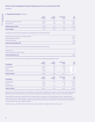# **3. Segmental analysis** *continued*

|                                 | <b>Human</b><br>healthcare<br>$f'$ 000 | <b>Animal</b><br>healthcare<br>$f'$ 000 | <b>Contamination</b><br>control<br>$f'$ 000 | 2018<br><b>Total</b><br>$f'$ 000 |
|---------------------------------|----------------------------------------|-----------------------------------------|---------------------------------------------|----------------------------------|
| Revenue from external customers | 19,869                                 | 919                                     | 1,432                                       | 22,220                           |
| Cost of material                | 4,161                                  | 369                                     | 510                                         | 5,040                            |
| <b>Segment gross profit</b>     | 15,708                                 | 550                                     | 922                                         | 17,180                           |
| <b>Gross margin</b>             | 79%                                    | 60%                                     | 64%                                         | 77%                              |

Centrally incurred income and expenses not attributable to individual segments:

| <b>Segment operating profit</b>                       | 3.980  |
|-------------------------------------------------------|--------|
| Share-based payments                                  | 665    |
| Other administrative expenses                         | 10.971 |
| Depreciation and amortisation of non-financial assets | 1,564  |
|                                                       |        |

Segment operating profit can be reconciled to Group profit before tax as follows:

| Finance income<br>Results from equity accounted associate | 24    |
|-----------------------------------------------------------|-------|
| <b>Total profit before tax</b>                            | 4.006 |

The Group's revenues from external customers are divided into the following geographical areas:

| Geography             | <b>Human</b><br>healthcare<br>$f'$ 000 | <b>Animal</b><br>healthcare<br>$f'$ 000 | <b>Contamination</b><br>control<br>$f'$ 000 | 2019<br><b>Total</b><br>$f'$ 000 |
|-----------------------|----------------------------------------|-----------------------------------------|---------------------------------------------|----------------------------------|
| United Kingdom        | 10,024                                 | 567                                     | 1,205                                       | 11,796                           |
| Europe                | 8,184                                  | 29                                      | 159                                         | 8,372                            |
| Rest of the World     | 5,738                                  | 212                                     | 51                                          | 6,001                            |
| <b>Total revenues</b> | 23,946                                 | 808                                     | 1,415                                       | 26,169                           |
|                       | <b>Human</b>                           | <b>Animal</b>                           | <b>Contamination</b>                        | 2018                             |

| Geography             | <b>Human</b><br>healthcare<br>$f'$ 000 | <b>Animal</b><br>healthcare<br>$f'$ 000 | <b>Contamination</b><br>control<br>$f'$ 000 | 2018<br><b>Total</b><br>$f'$ 000 |
|-----------------------|----------------------------------------|-----------------------------------------|---------------------------------------------|----------------------------------|
| United Kingdom        | 8,912                                  | 665                                     | 1,258                                       | 10,835                           |
| Germany               | 3,989                                  | $\qquad \qquad -$                       | 34                                          | 4,023                            |
| Rest of the World     | 6,973                                  | 254                                     | 135                                         | 7,362                            |
| <b>Total revenues</b> | 19,874                                 | 919                                     | 1,427                                       | 22,220                           |

Revenues from external customers in the Company's domicile (United Kingdom), as well as its other major markets (Rest of the World) have been identified on the basis of internal management reporting systems, which are also used for VAT purposes.

Human healthcare revenues were derived from a large number of customers, but include £6.595m from a single customer which makes up 28% of this segment's revenue (2018: £5.357m, being 27%). Animal healthcare revenues were derived from a number of customers, with the largest customer accountable for £0.139m, which represents 17% of revenue for that segment (2018: £0.186m, 20% from a single customer).

During the year 25.2% of the Group's total revenues were earned from a single customer (2018: 24.1%).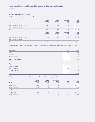*continued*

# **3. Segmental analysis** *continued*

The following table provides further information on the Group's revenues:

|                                       | <b>Human</b><br>healthcare<br>$f'$ 000 | <b>Animal</b><br>healthcare<br>$f'$ 000 | <b>Contamination</b><br>control<br>$f'$ 000 | 2019<br><b>Total</b><br>$f'$ 000 |
|---------------------------------------|----------------------------------------|-----------------------------------------|---------------------------------------------|----------------------------------|
| Revenue recognised at a point in time | 23,919                                 | 808                                     | 1,415                                       | 26,142                           |
| Revenue recognised over time          | 27                                     | $\overline{\phantom{a}}$                |                                             | 27                               |
| <b>Total revenues</b>                 | 23,946                                 | 808                                     | 1,415                                       | 26,169                           |
|                                       |                                        |                                         |                                             |                                  |
|                                       | <b>Human</b><br>healthcare<br>$f'$ 000 | <b>Animal</b><br>healthcare<br>$f'$ 000 | <b>Contamination</b><br>control<br>$f'$ 000 | 2018<br><b>Total</b><br>$f'$ 000 |
| Revenue recognised at a point in time | 19,874                                 | 919                                     | 1,427                                       | 22,220                           |
| Revenue recognised over time          |                                        |                                         |                                             |                                  |

The Group's non-current assets (excluding deferred tax) are divided into the following geographical areas and by segment:

| Geography                 | 2019<br>$f'$ 000         | 2018<br>$f'$ 000 |
|---------------------------|--------------------------|------------------|
| <b>United Kingdom</b>     | 13,813                   | 7,582            |
| Germany                   | 127                      | 148              |
| Rest of the World         | 1,141                    | 1,185            |
| <b>Non-current assets</b> | 15,081                   | 8,915            |
| <b>Segment</b>            | 2019<br>$f'$ 000         | 2018<br>$f'$ 000 |
| Human healthcare          | 13,030                   | 6,744            |
| Animal healthcare         | 2,051                    | 2,171            |
| Contamination control     | $\overline{\phantom{0}}$ |                  |
|                           | 15,081                   | 8,915            |

The Group's current assets and liabilities are shown, where identifiable, by segment, below:

| 2019                       | <b>Human</b><br>healthcare<br>$f'$ 000 | <b>Animal</b><br>healthcare<br>$f'$ 000 | <b>Contamination</b><br>control<br>$f'$ 000 | <b>Group</b><br>$f'$ 000 | <b>Total</b><br>$f'$ 000 |
|----------------------------|----------------------------------------|-----------------------------------------|---------------------------------------------|--------------------------|--------------------------|
| Segment assets             | 4,397                                  | 289                                     | 429                                         | 7,382                    | 12,497                   |
| <b>Segment liabilities</b> | 1,542                                  | 18                                      | 48                                          | 2,770                    | 4,378                    |
| 2018                       |                                        |                                         |                                             |                          |                          |
| Segment assets             | 4,294                                  | 221                                     | 428                                         | 8,283                    | 13,226                   |
| Segment liabilities        | 1,181                                  | 14                                      | 23                                          | 2,690                    | 3,908                    |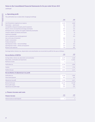*continued*

# **4. Operating proft**

The profit before tax is stated after charging/(crediting):

|                                                                    | 2019<br>$f'$ 000 | 2018<br>$f'$ 000 |
|--------------------------------------------------------------------|------------------|------------------|
| Cost of inventories recognised as an expense                       | 5,329            | 4,696            |
| Depreciation - owned assets                                        | 584              | 548              |
| Loss/(profit) on disposal of property, plant & equipment           | 21               | (17)             |
| Patents, licences and proprietary technology amortisation          | 265              | 244              |
| Development costs, customer and supplier relationship amortisation | 547              | 642              |
| Computer software and website amortisation                         | 74               | 64               |
| Impairment of goodwill                                             | 67               | 67               |
| Gain on settlement of pre-existing agreement                       |                  | (41)             |
| Gain on fair value of investment                                   | (98)             |                  |
| Auditor's remuneration                                             | 159              | 70               |
| Foreign exchange loss                                              | 79               | 59               |
| Operating lease rentals – land and buildings                       | 397              | 342              |
| Operating lease rentals – vehicles and equipment                   | 144              | 116              |
| Research costs expensed                                            | 739              | 981              |

Earnings before interest, tax, depreciation and amortisation are reconciled to profit for the year as follows:

| <b>Reconciliation of EBITDA</b>                                                                                                   | 2019<br>$f'$ 000       | 2018<br>$f'$ 000                    |
|-----------------------------------------------------------------------------------------------------------------------------------|------------------------|-------------------------------------|
| Earnings before, interest, tax, depreciation and amortisation<br>Depreciation, amortisation and impairments<br>Net finance income | 6,279<br>(1, 537)<br>4 | 5,568<br>(1, 564)<br>$\overline{2}$ |
| Profit before tax                                                                                                                 | 4,746                  | 4,006                               |
| <b>Taxation</b>                                                                                                                   | (715)                  | (734)                               |
| Profit for the year                                                                                                               | 4,031                  | 3,272                               |
| <b>Reconciliation of adjusted pre-tax profit</b>                                                                                  |                        |                                     |
| Profit before tax<br>Share-based payment                                                                                          | 4,746<br>852           | 4,006<br>665                        |
| Adjusted pre tax profit                                                                                                           | 5,598                  | 4,671                               |
| Revenue for the year<br>Pre tax profit margin<br>Adjusted pre tax profit margin                                                   | 26,169<br>18%<br>21%   | 22,220<br>18%<br>21%                |

# **5. Finance income and costs**

| <b>Finance income</b>            | 2019<br>$f'$ 000 | 2018<br>$f'$ 000 |
|----------------------------------|------------------|------------------|
| Interest income on bank deposits |                  |                  |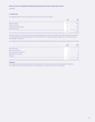*continued*

## **6. Staf costs**

The aggregate payroll costs (including Directors' remuneration) were as follows:

|                              | 2019<br>$f'$ 000 | 2018<br>$f'$ 000 |
|------------------------------|------------------|------------------|
| Wages and salaries           | 6,916            | 5,455            |
| Social security costs        | 545              | 410              |
| Share-based payment expenses | 852              | 665              |
| Other pension costs          | 231              | 222              |
|                              | 8,544            | 6,752            |

A charge of £852,000 (2018: £665,000) to share-based payments in accordance with IFRS 2 arises from transactions accounted for as equity-settled share-based payments. This is included within the wages and salaries figures above. No remuneration is paid through the Company.

The average number of persons employed by the Group (including Directors) during the year, analysed by category was as follows:

|                                   | 2019<br>Number | 2018<br>Number |
|-----------------------------------|----------------|----------------|
| <b>Executive Directors</b>        |                |                |
| Non-Executive Directors           | ર              | 3              |
| Sales, marketing and distribution | 55             | 45             |
| Administration and support        | 38             | 33             |
| Production                        | 44             | 41             |
|                                   | 142            | 124            |

# **Company**

The Company had no employees during the year. Directors of the Company were remunerated through its subsidiary. An immaterial amount of this remuneration is considered to be in relation to Tristel plc the Company.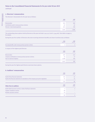*continued*

# **7. Directors' remuneration**

The Directors' remuneration for the year was as follows:

|                                              | 2019<br>$f'$ 000 | 2018<br>$f'$ 000 |
|----------------------------------------------|------------------|------------------|
| Remuneration                                 | 824              | 606              |
| Contributions paid to money purchase schemes | 62               | 62               |
| Directors' share-based payments              | 615              | 340              |
|                                              | 1,501            | 1.008            |

The outstanding share options held by Directors at the year end total 2,041,152 (2018: 2,544,067). See table on page 25 for details.

During the year the number of Directors who were receiving retirement benefits and share incentives was as follows:

|                                                         | 2019<br>Number           | 2018<br>Number   |
|---------------------------------------------------------|--------------------------|------------------|
| Accruing benefits under money purchase pension scheme   | $\overline{\phantom{a}}$ |                  |
| In respect of the highest paid Director:                |                          |                  |
|                                                         | 2019<br>$f'$ 000         | 2018<br>$f'$ 000 |
| Remuneration                                            | 307                      | 222              |
| Company contributions to money purchase pension schemes | 35                       | 27               |
| Gain on exercise of options                             | 1,300                    | 340              |
|                                                         | 1,642                    | 589              |

During the year the highest paid Director exercised share options.

# **8. Auditors' remuneration**

|                                                                                          | 2019<br>$f'$ 000 | 2018<br>$f'$ 000 |
|------------------------------------------------------------------------------------------|------------------|------------------|
| Audit of these financial statements                                                      | 134              | 41               |
| Audit of the financial statements of subsidiaries of the Company pursuant to legislation | 21               | 25               |
|                                                                                          | 155              | 66               |
| <b>Other fees to auditors</b>                                                            | 2019<br>$f'$ 000 | 2018<br>$f'$ 000 |
| Audit-related assurance services: review of half-year statements                         | 4                | 4                |
| Taxation compliance services                                                             | 69               |                  |
| All other assurance services                                                             | 22               |                  |
|                                                                                          | 95               | Д                |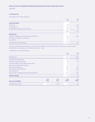*continued*

## **9. Income tax**

Tax charged in the income statement:

|                                                                | 2019<br>$f'$ 000 | 2018<br>$f'$ 000 |
|----------------------------------------------------------------|------------------|------------------|
| <b>Current taxation</b>                                        |                  |                  |
| Overseas tax                                                   | 798              | 850              |
| UK corporation tax                                             | 221              | 255              |
| UK corporation tax adjustment to prior periods                 | (16)             | (2)              |
|                                                                | 1,003            | 1,103            |
| <b>Deferred tax</b>                                            |                  |                  |
| Arising from origination and reversal of temporary differences | (322)            | (369)            |
| UK deferred tax adjustment to prior periods                    | (20)             |                  |
| Tax rate effect                                                | 54               |                  |
| Tax expense in the income statement                            | 715              | 734              |

The tax on profit before tax for the year is lower than the standard rate of corporation tax in the UK (2018 – lower than the standard rate of corporation tax in the UK) of 19% (2018 – 19%).

The differences are reconciled below:

|                                                               |                                  |                                  | 2019<br>$f'$ 000            | 2018<br>$f'$ 000            |
|---------------------------------------------------------------|----------------------------------|----------------------------------|-----------------------------|-----------------------------|
| Profit before tax                                             |                                  |                                  | 4,746                       | 4,006                       |
| Corporation tax at standard rate                              |                                  |                                  | 902                         | 761                         |
| Adjustment in respect of prior years                          |                                  |                                  | (36)                        | (2)                         |
| Increase from effect of capital allowances depreciation       |                                  |                                  | 10                          |                             |
| Expenses not deductible for tax purposes                      |                                  |                                  | 166                         | 24                          |
| Other temporary differences                                   |                                  |                                  |                             | 131                         |
| (Decrease) from effect of patent box                          |                                  |                                  | (226)                       | (163)                       |
| Tax rate differences                                          |                                  |                                  | 225                         | 115                         |
| Enhanced relief on qualifying scientific research expenditure |                                  |                                  | (151)                       | (132)                       |
| <b>Total tax charge</b>                                       |                                  |                                  | 715                         | 734                         |
| <b>Current tax liability</b>                                  | 2019<br><b>Group</b><br>$f'$ 000 | 2018<br><b>Group</b><br>$f'$ 000 | 2019<br>Company<br>$f'$ 000 | 2018<br>Company<br>$f'$ 000 |
| Corporation tax at 30 June                                    | 839                              | 707                              | (6)                         | (6)                         |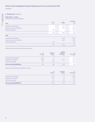# *continued*

# **9. Income tax** *continued*

# Deferred tax – Group

Deferred tax assets and liabilities

| 2019                              | <b>Asset</b><br>$f'$ 000 | <b>Liability</b><br>$f'$ 000 | <b>Net deferred</b><br>tax<br>$f'$ 000 |
|-----------------------------------|--------------------------|------------------------------|----------------------------------------|
| Accelerated tax depreciation      | -                        | (97)                         | (97)                                   |
| Acquired in business combinations | -                        | (453)                        | (453)                                  |
| Share-based payment               | 709                      | $\overline{\phantom{0}}$     | 709                                    |
|                                   | 709                      | (550)                        | 159                                    |
| 2018                              |                          |                              |                                        |
| Accelerated tax depreciation      |                          | (128)                        | (128)                                  |
| Acquired in business combinations |                          | (197)                        | (197)                                  |
| Share-based payment               | 519                      |                              | 519                                    |
|                                   | 519                      | (325)                        | 194                                    |

Deferred tax movements during the current year:

|                              | At<br>1 July 2018<br>$f'$ 000 | <b>Recognised</b><br>in income<br>$f'$ 000 | <b>Acquired</b><br>in business<br>combinations<br>$f'$ 000 | At<br>30 June 2019<br>$f'$ 000 |
|------------------------------|-------------------------------|--------------------------------------------|------------------------------------------------------------|--------------------------------|
| Accelerated tax depreciation | (128)                         | 31                                         | -                                                          | (97)                           |
| Recognition of intangibles   | (197)                         | 67                                         | (323)                                                      | (453)                          |
| Share-based payment          | 519                           | 190                                        | $\sim$                                                     | 709                            |
| Net tax assets/(liabilities) | 194                           | 288                                        | (323)                                                      | 159                            |

Deferred tax movements during the prior year:

|                              | At<br>1 July 2017<br>$f'$ 000 | <b>Recognised</b><br>in income<br>$f'$ 000 | At<br>30 June 2018<br>$f'$ 000 |
|------------------------------|-------------------------------|--------------------------------------------|--------------------------------|
| Accelerated tax depreciation | (145)                         | 17                                         | (128)                          |
| Recognition of intangibles   | (217)                         | 20                                         | (197)                          |
| Share-based payment          | 187                           | 332                                        | 519                            |
| Net tax assets/(liabilities) | (175)                         | 369                                        | 194                            |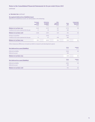*continued*

# **9. Income tax** *continued*

# Recognised deferred tax (liability)/asset

Deferred tax (liabilities)/assets are attributable to the following:

|                                               | <b>Fixed asset</b><br>timing<br>differences<br>$f'$ 000 | <b>Deferred tax</b><br>on acquired<br>intangibles<br>$f'$ 000 | Other<br>temporary<br>differences<br>$f'$ 000 | Group<br>total<br>$f'$ 000 | <b>Company fixed</b><br>asset timing<br>differences<br>$f'$ 000 |
|-----------------------------------------------|---------------------------------------------------------|---------------------------------------------------------------|-----------------------------------------------|----------------------------|-----------------------------------------------------------------|
| <b>Balance at 30 June 2017</b>                | (145)                                                   | (217)                                                         | 187                                           | (175)                      | (9)                                                             |
| Credited to the income statement for the year | 17                                                      | 20                                                            | 332                                           | 369                        |                                                                 |
| <b>Balance at 30 June 2018</b>                | (128)                                                   | (197)                                                         | 519                                           | 194                        | (9)                                                             |
| Arising on acquisition                        | -                                                       | (323)                                                         |                                               | (323)                      |                                                                 |
| Credited to the income statement for the year | 31                                                      | 67                                                            | 190                                           | 288                        |                                                                 |
| <b>Balance at 30 June 2019</b>                | (97)                                                    | (453)                                                         | 709                                           | 159                        | (9)                                                             |

Other temporary differences include tax relief on research and development spend.

| Net deferred tax asset/(liability)                           | Group<br>$f'$ 000 | Company<br>$f'$ 000        |
|--------------------------------------------------------------|-------------------|----------------------------|
| Deferred tax liability                                       | (550)             | (9)                        |
| Deferred tax asset                                           | 709               |                            |
| <b>Balance at 30 June 2019</b>                               | 159               | (9)                        |
|                                                              |                   |                            |
|                                                              | Group<br>$f'$ 000 | <b>Company</b><br>$f'$ 000 |
| Net deferred tax asset/(liability)<br>Deferred tax liability | (205)             | (9)                        |
| Deferred tax asset                                           | 399               |                            |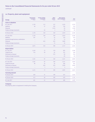*continued*

# **10. Property, plant and equipment**

| Group                                  | <b>Improvements</b><br>to property<br>$f'$ 000 | <b>Furniture, fittings</b><br>& equipment<br>£'000 | <b>Motor</b><br>vehicles<br>$f'$ 000 | Other property,<br>plant & equipment<br>$f'$ 000 | <b>Total</b><br>$f'$ 000 |
|----------------------------------------|------------------------------------------------|----------------------------------------------------|--------------------------------------|--------------------------------------------------|--------------------------|
| <b>Cost or valuation</b>               |                                                |                                                    |                                      |                                                  |                          |
| At 1 July 2017                         | 1,730                                          | 115                                                | 357                                  | 1,593                                            | 3,795                    |
| <b>Additions</b>                       | 48                                             | 27                                                 | 105                                  | 336                                              | 516                      |
| <b>Disposals</b>                       |                                                |                                                    | (115)                                | (5)                                              | (120)                    |
| Foreign exchange movements             |                                                | (2)                                                | $\overline{2}$                       | (5)                                              | (5)                      |
| At 30 June 2018                        | 1,778                                          | 140                                                | 349                                  | 1,919                                            | 4,186                    |
| At 1 July 2018                         | 1,778                                          | 140                                                | 349                                  | 1,919                                            | 4,186                    |
| <b>Additions</b>                       | 297                                            | 8                                                  | 44                                   | 329                                              | 678                      |
| Acquired through business combinations |                                                |                                                    | 27                                   | 13                                               | 40                       |
| <b>Disposals</b>                       |                                                | (45)                                               | (45)                                 | (560)                                            | (650)                    |
| Foreign exchange movements             |                                                |                                                    | 15                                   | 16                                               | 31                       |
| At 30 June 2019                        | 2,075                                          | 103                                                | 390                                  | 1,717                                            | 4,285                    |
| <b>Depreciation</b>                    |                                                |                                                    |                                      |                                                  |                          |
| At 1 July 2017                         | 1,249                                          | 72                                                 | 170                                  | 895                                              | 2,386                    |
| Charge for year                        | 116                                            | 20                                                 | 61                                   | 351                                              | 548                      |
| Eliminated on disposal                 |                                                |                                                    | (71)                                 | (3)                                              | (74)                     |
| Foreign exchange movements             |                                                |                                                    |                                      | (2)                                              | (2)                      |
| At 30 June 2018                        | 1,365                                          | 92                                                 | 160                                  | 1,241                                            | 2,858                    |
| At 1 July 2018                         | 1,365                                          | 92                                                 | 160                                  | 1,241                                            | 2,858                    |
| Charge for the year                    | 90                                             | 24                                                 | 64                                   | 406                                              | 584                      |
| Eliminated on disposal                 |                                                | (45)                                               | (25)                                 | (559)                                            | (629)                    |
| Foreign exchange movements             |                                                | $\mathbf{1}$                                       | $\mathbf{1}$                         | 4                                                | 6                        |
| At 30 June 2019                        | 1,455                                          | 72                                                 | 200                                  | 1,092                                            | 2,819                    |
| <b>Carrying amount</b>                 |                                                |                                                    |                                      |                                                  |                          |
| At 30 lune 2019                        | 620                                            | 31                                                 | 190                                  | 625                                              | 1,466                    |
| At 30 June 2018                        | 413                                            | 48                                                 | 189                                  | 678                                              | 1,328                    |
| At 1 July 2017                         | 481                                            | 43                                                 | 187                                  | 698                                              | 1,409                    |

# **Company**

No property, plant or equipment is held by the Company.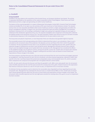*continued*

## **11. Goodwill**

#### Group Goodwill

Goodwill in the year relates to the acquisition of the Ecomed Group, our European distributor (see below). The activity is separately identifiable as the operations of the newly incorporated entities Tristel Belgium, Tristel France and Tristel Netherlands and form a single cash-generating unit within human healthcare.

The balance of the acquired goodwill is in respect of Newmarket Technologies Limited (NTL), formerly Tristel Technologies Limited and AshMed Pty. On 30 April 2010 the activities of NTL were hived over to Tristel Solutions Limited. The relevant revenue lines are now separately identifiable within human healthcare and form a single cash-generating unit within the Group's management reporting. In August 2016, the Group acquired the trade and assets of AshMed Pty, our Australian distributor's business for £1.1m including a contribution to legal costs, giving rise to goodwill of £465,000 and a gain on settlement of the distribution agreement of £41,000. The separate intangibles were recognised in full along with a deferred tax liability arising on the transaction of £242,000. The total acquisition related costs amount to £59,000 and were included in administrative expenses in the Consolidated Income Statement for the year ended 30 June 2017.

The Group tests annually for impairment, or more frequently if there are indications that goodwill might be impaired.

The recoverable amount of all cash-generating units (CGUs) is determined from value in use calculations. Value in use is calculated as the net present value of the projected, risk-adjusted, pre-tax cash flows of the CGU in which the goodwill is contained. The key assumptions for the value in use calculations are those regarding discount rates, growth rates and expected changes to selling prices and direct costs during the period. Management estimates discount rates using the Group's post-tax weighted average cost of capital which was calculated at 16%. Management has considered the effects on the weighted average cost of capital of currency, pricing and specific country risk. Growth rates are based upon industry growth forecasts within the CGU, likewise, changes in selling prices and direct costs are based on recent history and expectations of future changes in the market.

The Group prepares cash-flow forecasts over a five-year period and derived from the most recent financial budgets approved by management. Cash-flow forecasts for each CGU are considered, and where deemed appropriate, adjusted to reflect risks specific to the CGU. Cash flows beyond this period were extrapolated using a terminal growth rate of 1%, which is prudent when compared to the compound annual growth rate in the global infection control market.

For NTL, the rate used to discount the forecast cash flows for goodwill is 16%. With a zero sales growth rate, the net present value of profits expected over the next five-years exceeds the carrying value of £0.466m. However based on the expectation that revenue is forecast to decline at a rate of 10% year-on-year, an impairment of £0.1m has been recorded.

For Ashmed, the key assumptions used to determine the recoverable value of goodwill are those regarding discount rates and growth rates. Management has estimated the discount rate as a market-derived WACC of 16%. Growth rates are based upon industry growth forecasts within the CGU and on recent history and expectations of future changes in the market. The net present value of profits expected over the next eight years exceeds the carrying value of £0.440m, as such no impairment has been recorded.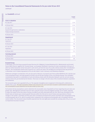# **11. Goodwill** *continued*

|                                        | Goodwill<br>$f'$ 000 |
|----------------------------------------|----------------------|
| <b>Cost or valuation</b>               |                      |
| At 1 July 2017                         | 1,244                |
| At 30 June 2018                        | 1,244                |
| At 1 July 2018                         | 1,244                |
| Acquired through business combinations | 4,184                |
| Foreign exchange movements             | 35                   |
| At 30 June 2019                        | 5,463                |
| <b>Impairment</b>                      |                      |
| At 1 July 2017                         | 179                  |
| Impairment                             | 67                   |
| At 30 June 2018                        | 246                  |
| At 1 July 2018                         | 246                  |
| Impairment                             | 67                   |
| At 30 June 2019                        | 313                  |
| <b>Carrying amount</b>                 |                      |
| At 30 June 2019                        | 5,150                |
| At 30 June 2018                        | 998                  |

## Ecomed Group

In November 2018, the Group acquired Ecomed Services N.V. (Belgium), Ecomed Nederland B.V. (Netherlands) and Ecomed France SARL (France), together the 'Ecomed Group', our European distributor's business for total consideration of £6.4m, of which an initial transaction of  $f_3$ m was paid in cash and  $f_1.4$ m from the issue of 573,860 ordinary shares (the 'Consideration Shares'). The Consideration Shares were issued at 242.7 pence per share, the average price during the thirty-day period to 15 November 2018. A balancing payment of £0.5m was made in cash in January 2019 following completion.

Additional contingent consideration of £1.6m was paid in February 2019 based upon final audited EBITDA for the calendar year 2018 exceeding €0.84m, and sales growth of at least 15% for the year ending 30 June 2019 being achieved. The contingent consideration was paid in a combination of cash and ordinary shares with the allocation between cash ( $f_1$ , $2m$ ) and 135,915 ordinary shares (£0.4m) decided by the Vendors. There was no change in the fair value of the investment between acquisition and settlement.

The transaction gave rise to goodwill of  $f_4$ , 1m. The separate intangibles were recognised in full along with a deferred tax liability of £0.323m. The total acquisition related costs amount to £0.277m and were included in administrative expenses in the Consolidated Income Statement for the year ended 30 June 2019.

For Ecomed, the key assumptions used to determine the recoverable value of goodwill are those regarding discount rates and growth rates. Management estimates discount rates using the Group's post-tax weighted average cost of capital, adjusted to reflect the impact of the time value of money, tax effects and risks associated with the CGU, which was calculated at 16%. Growth rates are based upon industry growth forecasts within the CGU and on recent history and expectations of future changes in the market. Cash flows over five years were considered and beyond this period cash flows were extrapolated using a terminal growth rate of 1%, which is prudent when compared to the compound annual growth rate in the global infection control market. The net present value of profits expected over the next eight years exceeds the carrying value of £4.1m, as such no impairment has been recorded.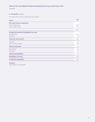*continued*

# **11. Goodwill** *continued*

The details of the business combination are as follows:

| Group                                                | <b>Total</b><br>$f'$ 000 |
|------------------------------------------------------|--------------------------|
| <b>Fair value at date of acquisition</b>             |                          |
| Amount settled in cash                               | 4,706                    |
| Amount settled in shares                             | 1,734                    |
|                                                      | 6,440                    |
| <b>Recognised amounts of identifiable net assets</b> |                          |
| Intangible assets                                    | 1,843                    |
| <b>Fixed assets</b>                                  | 40                       |
| <b>Total non-current assets</b>                      | 1,883                    |
| Inventories                                          | 263                      |
| Trade and other receivables                          | 689                      |
| <b>Total current assets</b>                          | 952                      |
| Other liabilities                                    | 256                      |
| Deferred tax                                         | 323                      |
| <b>Total current liabilities</b>                     | 579                      |
| <b>Identifiable net assets</b>                       | 2,256                    |
| <b>Goodwill on acquisition</b>                       | 4,184                    |

# **Company**

The Company has no goodwill.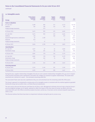*continued*

# **12. Intangible assets**

| <b>Group</b>                           | <b>Patents, licences</b><br>& proprietary<br>technology<br>$f'$ 000 | <b>Customer</b><br>& supplier<br>relationships<br>$f'$ 000 | <b>Computer</b><br>software<br>& website<br>$f'$ 000 | <b>Development</b><br>of marketable<br>products<br>$f'$ 000 | <b>Total</b><br>$f'$ 000 |
|----------------------------------------|---------------------------------------------------------------------|------------------------------------------------------------|------------------------------------------------------|-------------------------------------------------------------|--------------------------|
| <b>Cost or valuation</b>               |                                                                     |                                                            |                                                      |                                                             |                          |
| At 1 July 2017                         | 5,490                                                               | 804                                                        | 311                                                  | 4,133                                                       | 10,738                   |
| <b>Additions</b>                       | 184                                                                 | 196                                                        | 124                                                  | 493                                                         | 997                      |
| Foreign exchange movements             |                                                                     | (17)                                                       |                                                      |                                                             | (17)                     |
| At 30 June 2018                        | 5,674                                                               | 983                                                        | 435                                                  | 4,626                                                       | 11,718                   |
| At 1 July 2018                         | 5,674                                                               | 983                                                        | 435                                                  | 4,626                                                       | 11,718                   |
| <b>Additions</b>                       | 130                                                                 |                                                            | 160                                                  | 379                                                         | 669                      |
| Acquired through business combinations | 63                                                                  | 1,780                                                      |                                                      |                                                             | 1,843                    |
| <b>Disposals</b>                       | (12)                                                                |                                                            |                                                      | (2)                                                         | (14)                     |
| Foreign exchange movements             | $\mathbf{1}$                                                        | 27                                                         |                                                      |                                                             | 28                       |
| At 30 June 2019                        | 5,856                                                               | 2,790                                                      | 595                                                  | 5,003                                                       | 14,244                   |
| <b>Amortisation</b>                    |                                                                     |                                                            |                                                      |                                                             |                          |
| At 1 July 2017                         | 1,837                                                               | 87                                                         | 62                                                   | 2,828                                                       | 4,814                    |
| Amortisation charge                    | 244                                                                 | 291                                                        | 64                                                   | 351                                                         | 950                      |
| At 30 June 2018                        | 2,081                                                               | 378                                                        | 126                                                  | 3,179                                                       | 5,764                    |
| At 1 July 2018                         | 2,081                                                               | 378                                                        | 126                                                  | 3,179                                                       | 5,764                    |
| Amortisation charge                    | 265                                                                 | 263                                                        | 74                                                   | 284                                                         | 886                      |
| Foreign exchange movements             |                                                                     | $\mathbf{1}$                                               |                                                      |                                                             | 1                        |
| At 30 June 2019                        | 2,346                                                               | 642                                                        | 200                                                  | 3,463                                                       | 6,651                    |
| <b>Carrying amount</b>                 |                                                                     |                                                            |                                                      |                                                             |                          |
| At 30 June 2019                        | 3,510                                                               | 2,148                                                      | 395                                                  | 1,540                                                       | 7,593                    |
| At 30 June 2018                        | 3,593                                                               | 605                                                        | 309                                                  | 1,447                                                       | 5,954                    |

During the year, supplier relationships intangible of £228,000 and customer relationships intangible of £1,552,000 in respect of the Ecomed acquisition were capitalised in full within the category of customer & supplier relationships. The assets were amortised over a period of 10 years – the estimated remaining useful life.

The associated Trade name was also capitalised at  $E63,000$  and amortised over the remaining useful life of five years.

The Group's approach to reviewing the carrying value of its intangible assets is consistent with the method applied to goodwill held by the Group (set out within note 11 of these financial statements).

The rate used to discount the forecast cash flows for all CGUs is 16%. Management estimates discount rates using the Group's post-tax weighted average cost of capital, adjusted to reflect the impact of the time value of money, tax effects and risks associated with each CGU. Where sensitivity analysis has been carried out, it has been via the removal of growth expectations within a CGU.

The Directors believe that there have been no impairment indicators during the year to 30 June 2019.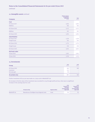*continued*

# **12. Intangible assets** *continued*

| <b>Company</b>        | <b>Patents, licences</b><br>& proprietary<br>technology<br>$f'$ 000 | <b>Total</b><br>$f'$ 000 |
|-----------------------|---------------------------------------------------------------------|--------------------------|
| <b>Cost</b>           |                                                                     |                          |
| At 30 June 2017       | 4,926                                                               | 4,926                    |
| <b>Additions</b>      | 186                                                                 | 186                      |
| At 30 June 2018       | 5,112                                                               | 5,112                    |
| <b>Additions</b>      | 182                                                                 | 182                      |
| At 30 June 2019       | 5,294                                                               | 5,294                    |
| <b>Amortisation</b>   |                                                                     |                          |
| At 30 June 2017       | 1,530                                                               | 1,530                    |
| Charge for year       | 244                                                                 | 244                      |
| At 30 June 2018       | 1,774                                                               | 1,774                    |
| Charge for year       | 258                                                                 | 258                      |
| At 30 June 2019       | 2,032                                                               | 2,032                    |
| <b>Net book value</b> |                                                                     |                          |
| 30 June 2019          | 3,262                                                               | 3,262                    |
| 30 June 2018          | 3,338                                                               | 3,338                    |

# **13. Investments**

| Group           | 2019<br>$f'$ 000 | 2018<br>$f'$ 000 |
|-----------------|------------------|------------------|
| At 30 June 2018 | 589              | 589              |
| Investment      | 120              | $\hspace{0.5cm}$ |
| Fair value gain | 98               | $\hspace{0.5cm}$ |
| At 30 June 2019 | 807              | 589              |

Further investment of £120,000 was made on 17 July 2018 in MobileODT Ltd.

An increase in the fair value of the investment was recorded for 2019 through profit and loss, there was no significant increase in the carrying value for 2018.

|               | <b>Principal activity</b>                          | <b>Registered office</b> | 2019<br><b>Proportion of</b><br>ownership<br>interest & voting<br>rights held | 2018<br><b>Proportion of</b><br>ownership<br>interest & voting<br>rights held |
|---------------|----------------------------------------------------|--------------------------|-------------------------------------------------------------------------------|-------------------------------------------------------------------------------|
| MobileODT Ltd | Manufacture of intelligent visual diagnostic tools | <i><b>Israel</b></i>     | 3%                                                                            | 3%                                                                            |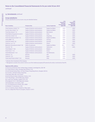# *continued*

## **13. Investments** *continued*

### Group subsidiaries

Group subsidiaries as at 30 June 2019 are detailed below:

| <b>Name of subsidiarv</b>            | <b>Principal activity</b>            | <b>Country of registration</b> | 2019<br><b>Proportion of</b><br>ownership<br>interest & voting<br>rights held | 2018<br><b>Proportion of</b><br>ownership<br>interest & voting<br>rights held |
|--------------------------------------|--------------------------------------|--------------------------------|-------------------------------------------------------------------------------|-------------------------------------------------------------------------------|
| Tristel Solutions Limited * (1)      | Supply of infection control products | <b>England and Wales</b>       | 100%                                                                          | 100%                                                                          |
| Scorcher Idea Limited * (1)          | Supply of infection control products | <b>England and Wales</b>       | 100%                                                                          | 100%                                                                          |
| Tristel New Zealand $*(2)$           | Supply of infection control products | New Zealand                    | 100%                                                                          | 100%                                                                          |
| Tristel Medical Equipment Co Ltd (3) | Supply of infection control products | China                          | 100%                                                                          | 100%                                                                          |
| Tristel Asia Limited $*(4)$          | Supply of infection control products | <b>Hong Kong</b>               | 100%                                                                          | 100%                                                                          |
| Tristel International Limited * (1)  | Supply of infection control products | <b>England and Wales</b>       | 100%                                                                          | 100%                                                                          |
| Tristel GMBH $*(5)$                  | Supply of infection control products | Germany                        | 100%                                                                          | 100%                                                                          |
| Tristel Pty Limited $*(6)$           | Supply of infection control products | Australia                      | 100%                                                                          | 100%                                                                          |
| Tristel Sp. z.o.o $*(7)$             | Supply of infection control products | Poland                         | 100%                                                                          | 100%                                                                          |
| Medichem International Limited * (8) | <b>Holder of trademarks</b>          | <b>England and Wales</b>       | 50% **                                                                        | $50\%$ **                                                                     |
| Tristel AG $*(9)$                    | Supply of infection control products | Switzerland                    | 100%                                                                          | 100%                                                                          |
| Tristel Belgium * (10)               | Supply of infection control products | <b>Belgium</b>                 | 100%                                                                          |                                                                               |
| Tristel France * (11)                | Supply of infection control products | France                         | 100%                                                                          |                                                                               |
| Tristel Netherlands $*(12)$          | Supply of infection control products | The Netherlands                | 100%                                                                          |                                                                               |
| Tristel Inc $*(1)$                   | Dormant                              | <b>USA</b>                     | 100%                                                                          | 100%                                                                          |
| Tristel $GK*(13)$                    | Dormant                              | Japan                          | 100%                                                                          | 100%                                                                          |
| Tristel India Private Limited * (14) | Dormant                              | India                          | 100%                                                                          | 100%                                                                          |

\* indicates direct investment of the Company

\*\* Management considers that control is held as use of the intellectual property (IP) owned by the entity is restricted by Tristel Plc

#### **Registered office address:**

- (1) Unit 1B, Lynx Business Park, Fordham Road, Snailwell, Cambridgeshire, CB8 7NY
- (2) 23 Birch Avenue, Judea, Tauranga, Bay Of Plenty, 3110
- (3) 16/F Oriental Century Plaza, 345 Xian Xi Road, Chang Ning District, Shanghai 200336
- (4) 21st Floor, 168 Electric Road, Hong Kong
- (5) Karl-Marx-Allee 90A, 10243 Berlin
- (6) 40/328 Reserve Road, Cheltenham, Victoria, 3192
- (7) Pl. Piłsudskiego 1, 00-078 Warszawa, Poland
- (8) 2 Lords Court, Basildon, England, SS13 1SS
- (9) Sandgrube 29, CH 9050 Appenzell, Schweiz
- (10) Smallandlaan 14 B, Anvers, 2660

(11) 130, Boulevard de la Liberté, Lille, 59000

(12) Binderij 7 R, Amstelveen, 1185

(13) 2-25 Sudacho, Kanda, Chiyoda-ku, Tokyo, Japan

(14) 335, Udyog Vihar Phase-IV, Gurugram, Haryana-122015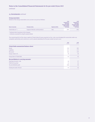*continued*

# **13. Investments** *continued*

#### Group associates

Details of the Group associates as at 30 June 2019 are as follows:

|                          |                                      | 2019<br><b>Proportion of</b><br>ownership<br>interest & voting |                             | 2018<br><b>Proportion of</b><br>ownership<br>interest & voting |
|--------------------------|--------------------------------------|----------------------------------------------------------------|-----------------------------|----------------------------------------------------------------|
| <b>Name of associate</b> | <b>Principal activity</b>            | <b>Registered office</b>                                       | rights held by<br>the Group | rights held by<br>the Group                                    |
| Tristel Italia srl $*$ + | Supply of infection control products | Italy                                                          | 20%                         | 20%                                                            |

\* indicates direct investment of the Company

+ indicates accounted for using the equity method

The remaining 80% of the share capital of Tristel Italia Srl was acquired on the 1 July 2019 bringing this associate under our complete ownership and control as a 100% owned subsidiary for the year ended 30 June 2020.

|                                                | 2019<br>$f'$ 000 | 2018<br>$f'$ 000 |
|------------------------------------------------|------------------|------------------|
| <b>Tristel Italia summarised balance sheet</b> |                  |                  |
| Assets                                         | 559              | 502              |
| <b>Liabilities</b>                             | 233              | 273              |
| Net assets                                     | 326              | 229              |
| Group's share in %                             | 20               | 20               |
| Group share in Tristel Italia                  | 65               | 46               |
| <b>Reconciliation to carrying amounts</b>      |                  |                  |
| Opening net assets 1 July                      | 46               | 27               |
| Profit for the period                          | 45               | 24               |
| Tax and dividends paid                         | (26)             | (5)              |
| Closing net assets 30 June                     | 65               | 46               |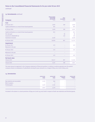### **13. Investments** *continued*

| <b>Company</b>                                            | <b>Shares in Group</b><br>undertakings<br>and associate<br>$f'$ 000 | <b>Other</b><br>investments<br>$f'$ 000 | <b>Total</b><br>$f'$ 000 |
|-----------------------------------------------------------|---------------------------------------------------------------------|-----------------------------------------|--------------------------|
| <b>Cost</b>                                               |                                                                     |                                         |                          |
| At 30 June 2017                                           | 2,993                                                               | 589                                     | 3,582                    |
| Capital contributions as a result of share-based payments | 665                                                                 |                                         | 665                      |
| At 30 June 2018                                           | 3,658                                                               | 589                                     | 4,247                    |
| Capital contributions as a result of share-based payments | 852                                                                 |                                         | 852                      |
| Fair value gain                                           |                                                                     | 98                                      | 98                       |
| Investment in MobileODT Ltd                               |                                                                     | 120                                     | 120                      |
| Investment in Ecomed                                      | 6,440                                                               |                                         | 6,440                    |
| At 30 June 2019                                           | 10,950                                                              | 807                                     | 11,757                   |
| <b>Impairment</b>                                         |                                                                     |                                         |                          |
| At 30 June 2017                                           | 433                                                                 |                                         | 433                      |
| Movement in the year                                      |                                                                     |                                         |                          |
| At 30 June 2018                                           | 433                                                                 |                                         | 433                      |
| Movement in the year                                      |                                                                     |                                         |                          |
| At 30 June 2019                                           | 433                                                                 |                                         | 433                      |
| <b>Net book value</b>                                     |                                                                     |                                         |                          |
| 30 June 2019                                              | 10,517                                                              | 807                                     | 11,324                   |
| 30 June 2018                                              | 3,225                                                               | 589                                     | 3,814                    |

The total amount recognised in the Company statement of financial position in relation to options granted over the parent company shares to employees of subsidiaries during the year amounts to a charge of £852,000 (2018: £665,000).

### **14. Inventories**

|                               | 30 June 2019<br>Group<br>$f'$ 000 | 30 June 2018<br><b>Group</b><br>$f'$ 000 | 30 June 2019<br>Company<br>$f'$ 000 | 30 June 2018<br><b>Company</b><br>$f'$ 000 |
|-------------------------------|-----------------------------------|------------------------------------------|-------------------------------------|--------------------------------------------|
| Raw materials and consumables | 1,532                             | 948                                      | $\sim$                              | $\overline{\phantom{0}}$                   |
| Work in progress              | $\overline{\phantom{0}}$          |                                          | $\sim$                              | $\overline{\phantom{0}}$                   |
| Finished goods                | 1,425                             | 1,326                                    | $\sim$                              | $\hspace{0.5cm}$                           |
|                               | 2,957                             | 2,279                                    | $\sim$                              | $\overline{\phantom{a}}$                   |

Included in the above is a stock provision of £99,000 (2018: 95,000) held in respect of both raw materials and finished goods.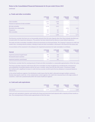*continued*

### **15. Trade and other receivables**

|                                               | 30 June 2019<br><b>Group</b><br>$f'$ 000 | 30 June 2018<br>Group<br>$f'$ 000 | 30 June 2019<br><b>Company</b><br>$f'$ 000 | 30 June 2018<br><b>Company</b><br>$f'$ 000 |
|-----------------------------------------------|------------------------------------------|-----------------------------------|--------------------------------------------|--------------------------------------------|
| Trade receivables                             | 4,163                                    | 3,550                             | $\overline{\phantom{a}}$                   |                                            |
| Provision for impairment of trade receivables | (27)                                     | (95)                              | $\overline{\phantom{a}}$                   |                                            |
| Net trade receivables                         | 4,136                                    | 3,455                             | $\overline{\phantom{a}}$                   |                                            |
| Receivables from related parties              | $\overline{\phantom{0}}$                 | $\qquad \qquad$                   | 2,918                                      | 5,695                                      |
| Prepayments                                   | 923                                      | 587                               | 37                                         | 22                                         |
| Other receivables                             | 311                                      | 244                               | 91                                         | 55                                         |
|                                               | 5,370                                    | 4,286                             | 3,046                                      | 5,772                                      |

The Directors consider that there are no irrecoverable amounts from the sale of goods other than those already identified and included within the impairment allowance. This position has been determined by reference to past default experience.

The trade and other receivables classified as financial instruments are disclosed below. The Company's exposure to credit and market risks, including maturity analysis, relating to trade and other receivables is disclosed in the financial risk review note.

A reconciliation of the movement in the allowance for impairment provisions for trade receivables is as follows:

| <b>Current</b>                       | 30 June 2019 | 30 June 2018 | 30 June 2019             | 30 June 2018   |
|--------------------------------------|--------------|--------------|--------------------------|----------------|
|                                      | Group        | Group        | <b>Company</b>           | <b>Company</b> |
|                                      | $f'$ 000     | $f'$ 000     | $f'$ 000                 | $f'$ 000       |
| Impairment provision brought forward | (95)         | (58)         | $\overline{\phantom{a}}$ |                |
| Decrease/(increase) in provision     | 68           | (37)         | $\overline{\phantom{a}}$ |                |
| Impairment provision carried forward | (27)         | (95)         | $\overline{\phantom{a}}$ |                |

The Directors consider that the carrying amount of trade and other receivables is a reasonable approximation of their fair value.

The Group calculates expected credit losses (ECLs) for receivables at initial recognition by considering the consequences and probabilities of possible defaults only for the next 12 months, rather than the life of the asset. It continues to apply this method until a significant increase in credit risk has occurred, at which point the loss allowance is measured based on Lifetime ECLs.

In the animal healthcare segment, the distribution model means that the debt is allocated amongst multiple customers, thereby reducing the credit risk. In the contamination control segment, the credit risk is lessened due to the large number of customers. Credit risk is predominantly within the human healthcare segment.

### **16. Cash and cash equivalents**

|              | 30 June 2019 | 30 June 2018 | 30 June 2019 | 30 June 2018   |
|--------------|--------------|--------------|--------------|----------------|
|              | <b>Group</b> | Group        | Company      | <b>Company</b> |
|              | $f'$ 000     | $f'$ 000     | $f'$ 000     | $f'$ 000       |
| Cash at bank | 4,170        | 6,661        | 727<br>L     | 2,669          |

Cash and cash equivalents comprise cash held by the Group and short-term bank deposits with a maturity of three months or less. The carrying amount of these assets approximates to their fair value.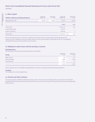# **17. Share capital**

| Allotted, called up and fully paid shares | 30 June 2019<br>Number'ooo | 30 June 2019<br>$f'$ 000 | 30 June 2018<br>Number'ooo | 30 June 2018<br>$f'$ 000 |
|-------------------------------------------|----------------------------|--------------------------|----------------------------|--------------------------|
| Ordinary of £0.01 each                    | 44,563                     | 445.63                   | 43,192                     | 431.92                   |
|                                           |                            |                          | <b>Number</b>              | £'000                    |
| 30 June 2018                              |                            |                          | 43,192,133                 | 432                      |
| Issued during the year                    |                            |                          | 661,415                    |                          |
| Issued on acquisition                     |                            |                          | 709,775                    |                          |
| 30 June 2019                              |                            |                          | 44,563,323                 | 446                      |

661,415 ordinary shares of 1 pence each, related to the exercise of 661,415 share options issued during the year (2018: 442,716) in addition to 709,775 ordinary shares of 1 pence each issued on acquisition (2018: nil). The weighted average exercise price was 81.84 pence (2018: 80.80p).

### **18. Obligations under leases and hire purchase contracts**

### Operating leases

The total future value of minimum lease payments is as follows:

| Group                | 30 June 2019<br>$f'$ 000 | 30 June 2018<br>$f'$ 000 |
|----------------------|--------------------------|--------------------------|
| Within one year      | 724                      | 445                      |
| In two to five years | 1,938                    | 1,259                    |
| In over five years   | 2,114                    | 37                       |
|                      | 4,776                    | 1,741                    |

Leases comprise of non-cancellable operating leases in relation to property and manufacturing equipment.

### **Company**

The Company has no lease agreements.

### **19. Pension and other schemes**

The Group operates a defined contribution pension scheme. The pension cost charge for the year represents contributions payable by the Group to the scheme and amounted to £231,000 (2018: £222,000), with £40,000 (2018: £33,000) outstanding at the year end.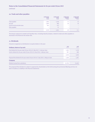*continued*

### **20. Trade and other payables**

|                                 | 30 June 2019<br><b>Group</b><br>$f'$ 000 | 30 June 2018<br>Group<br>$f'$ 000 | 30 June 2019<br><b>Company</b><br>$f'$ 000 | 30 June 2018<br><b>Company</b><br>$f'$ 000 |
|---------------------------------|------------------------------------------|-----------------------------------|--------------------------------------------|--------------------------------------------|
| Trade payables                  | 1,986                                    | 1,748                             | 21                                         | 33                                         |
| <b>Accruals</b>                 | 1,089                                    | 990                               | 48                                         | 78                                         |
| Social security and other taxes | 464                                      | 432                               | $\overline{\phantom{a}}$                   | $\overline{\phantom{a}}$                   |
| Other payables                  | $\overline{\phantom{a}}$                 | 31                                | $\hspace{0.05cm}$                          | $\overline{\phantom{a}}$                   |
|                                 | 3,539                                    | 3,201                             | 69                                         | 111                                        |

The Group's exposure to market and liquidity risks, including maturity analysis, related to trade and other payables is disclosed in the financial risk review note.

# **21. Dividends**

Amounts recognised as distributions to equity holders in the year:

| <b>Ordinary shares of 1p each</b>                                                                                                                                    | 2019<br>$f'$ 000 | 2018<br>$f'$ 000 |
|----------------------------------------------------------------------------------------------------------------------------------------------------------------------|------------------|------------------|
| Final dividend for the year ended 30 June 2018 of 2.98p (2017: 2.63p) per share<br>Interim dividend for the year ended 30 June 2019 of 2.04p (2018: 1.60p) per share | 1,303<br>907     | 1,130<br>688     |
|                                                                                                                                                                      | 2.210            | 1,818            |
| Proposed final dividend for the year ended 30 June 2019 of 3.50p (2018: 2.98p) per share                                                                             | 1.560            | 1,287            |
| <b>Company</b>                                                                                                                                                       |                  |                  |
| Dividend received from subsidiaries                                                                                                                                  | (2.793)          | (1.465)          |

The proposed final dividend is subject to approval by shareholders at the forthcoming Annual General Meeting and has not been included as a liability in the financial statements.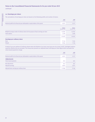*continued*

### **22. Earnings per share**

The calculations of earnings per share are based on the following profits and number of shares:

|                                                                                     | 2019<br>$f'$ 000 | 2018<br>$f'$ 000 |
|-------------------------------------------------------------------------------------|------------------|------------------|
| Retained profit for the financial year attributable to equity holders of the parent | 4.031            |                  |

|                                                                                                         | <b>Shares</b><br>Number'000 | <b>Shares</b><br>Number'000 |
|---------------------------------------------------------------------------------------------------------|-----------------------------|-----------------------------|
| Weighted average number of ordinary shares for the purpose of basic earnings per share<br>Share options | 44,086<br>1,399             | 42,956<br>1,688             |
|                                                                                                         | 45,485                      | 44,644                      |
| <b>Earnings per ordinary share</b>                                                                      |                             |                             |
| <b>Basic</b>                                                                                            | 9.14 <sub>p</sub>           | 7.62p                       |
| <b>Diluted</b>                                                                                          | 8.86p                       | 7.33 <sub>p</sub>           |

A total of 320,000 options of ordinary shares were anti-dilutive at 30 June 2019 (430,000 at 30 June 2018). Contingent options would be dilutive but are excluded. The Group also presents an adjusted basic earnings per share figure which excludes the share-based payments charge:

|                                                                                     | 2019<br>$f'$ 000 | 2018<br>$f'$ 000  |
|-------------------------------------------------------------------------------------|------------------|-------------------|
| Retained profit for the financial year attributable to equity holders of the parent | 4,031            | 3,272             |
| <b>Adjustments</b>                                                                  |                  |                   |
| Share-based payments                                                                | 852              | 665               |
| Net adjustments                                                                     | 852              | 665               |
| Adjusted earnings                                                                   | 4,883            | 3,937             |
| Adjusted basic earnings per ordinary share                                          | 11.08p           | 9.16 <sub>p</sub> |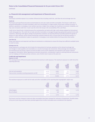*continued*

### **23. Financial risk management and impairment of fnancial assets**

#### **Group**

The Group's activities expose it to a number of financial risks including credit risk, cash-flow risk and exchange-rate risk:

#### **Credit risk**

The Group's principal financial assets are bank balances and cash, trade and other receivables. The Group's credit risk is primarily attributable to its trade receivables, which are concentrated in a large number of low value customer accounts. In addition, operations in emerging or new markets may have a higher than average risk of political or economic instability, and may carry increased credit risk. In each case the risk to the Group is the recoverability of the cash flows.

Credit risk on liquid funds is limited because the counterparties are banks with high credit ratings assigned by international credit rating agencies. The credit risk on trade and other receivables is managed by agreeing appropriate payment terms with customers, obtaining credit agency ratings of all potential customers; by requiring wherever possible payment for goods in advance or upon delivery; and by closely monitoring customers balances due, to ensure they do not become overdue. In addition, careful consideration is given to operations in emerging or new markets before the Group enters that market.

### **Cash-flow risk**

Group cash balances and expected cash flow are monitored on a daily basis to ensure the Group has sufficient available funds to meet its needs.

#### **Exchange-rate risk**

Group exposure to exchange-rate risk includes the measurement of overseas operations at the relevant exchange rate and changes in trade payables and receivables as a result of exchange-rate movements. Daily exchange-rate movements are monitored and any losses or gains incurred are taken to the income statement and reported in the Group's internal management information. Before agreeing any overseas transactions, consideration is given to utilising financial instruments such as hedging and forward purchase contracts, none of which were in place at the year end.

#### Credit risk and impairment

#### **Exposure to credit**

The carrying amount of financial assets represents the maximum credit exposure. The maximum exposure to credit risk at the reporting date was:

|                                                           | 2019<br><b>Group</b><br>carrying<br>amount<br>$f'$ 000 | 2018<br>Group<br>carrying<br>amount<br>$f'$ 000 | 2019<br><b>Company</b><br>carrying<br>amount<br>$f'$ 000 | 2018<br><b>Company</b><br>carrying<br>amount<br>$f'$ 000 |
|-----------------------------------------------------------|--------------------------------------------------------|-------------------------------------------------|----------------------------------------------------------|----------------------------------------------------------|
| Cash and cash equivalents                                 | 4,170                                                  | 6,661                                           | 727                                                      | 2,669                                                    |
| Trade and other receivables excluding prepayments and VAT | 4,416                                                  | 3,745                                           | 3.009                                                    | 5,750                                                    |
|                                                           | 8,586                                                  | 10,406                                          | 3,736                                                    | 8,419                                                    |

#### The maximum exposure to credit risk for trade and other receivables at the reporting date by geographic region was:

|                   | 2019<br>Group<br>carrying<br>amount<br>$f'$ 000 | 2018<br>Group<br>carrying<br>amount<br>$f'$ 000 | 2019<br><b>Company</b><br>carrying<br>amount<br>$f'$ 000 | 2018<br><b>Company</b><br>carrying<br>amount<br>$f'$ 000 |
|-------------------|-------------------------------------------------|-------------------------------------------------|----------------------------------------------------------|----------------------------------------------------------|
| United Kingdom    | 2,500                                           | 3,285                                           | 3,009                                                    | 5,750                                                    |
| Rest of the World | 1,916                                           | 460                                             | $\overline{\phantom{0}}$                                 | $\hspace{0.05cm}$                                        |
|                   | 4,416                                           | 3,745                                           | 3,009                                                    | 5,750                                                    |

The Group's and the Company's trade and other receivables have been reviewed for indicators of impairment. Doubtful debts of £27,000 (2018: £95,000) have been provided against but no other receivables were considered to be impaired.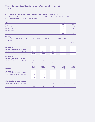*continued*

# **23. Financial risk management and impairment of fnancial assets** *continued*

In addition, some of the unimpaired trade and other receivables are past due as at the reporting date. The age of the trade and other receivables past due but not impaired are as follows:

| Group                | 2019<br>$f'$ 000         | 2018<br>$f'$ 000                |
|----------------------|--------------------------|---------------------------------|
| Not past due         | 3,157                    | 2,854                           |
| Past due 0-30 days   | 696                      | 719                             |
| Past due 31-120 days | 563                      | 172                             |
| Past due 120 days +  | $\overline{\phantom{a}}$ | $\hspace{0.1mm}-\hspace{0.1mm}$ |
|                      | 4,416                    | 3,745                           |

### Liquidity risk

The following are the contractual maturities of financial liabilities, including interest payments and excluding the impact of netting agreements:

| <b>Group</b>                                                | <b>Carrying</b><br>amount<br>$f'$ 000 | <b>Contractual</b><br>cash flows<br>$f'$ 000 | 6 months<br>or less<br>$f'$ 000 | 6 to 12<br>months<br>$f'$ 000 | <b>More than</b><br>12 months<br>$f'$ 000 |
|-------------------------------------------------------------|---------------------------------------|----------------------------------------------|---------------------------------|-------------------------------|-------------------------------------------|
| 30 June 2019<br><b>Non-derivative financial liabilities</b> |                                       |                                              |                                 |                               |                                           |
| Trade and other payables (excluding taxes)                  | 3,075                                 | 3,075                                        | 3,075                           |                               |                                           |
|                                                             | 3,075                                 | 3,075                                        | 3,075                           |                               |                                           |
| 30 June 2018                                                |                                       |                                              |                                 |                               |                                           |
| <b>Non-derivative financial liabilities</b>                 |                                       |                                              |                                 |                               |                                           |
| Trade and other payables (excluding taxes)                  | 2,769                                 | 2,769                                        | 2,769                           |                               |                                           |
|                                                             | 2,769                                 | 2,769                                        | 2,769                           |                               |                                           |
| <b>Company</b>                                              | <b>Carrying</b><br>amount<br>$f'$ 000 | <b>Contractual</b><br>cash flows<br>$f'$ 000 | 6 months<br>or less<br>$f'$ 000 | 6 to 12<br>months<br>$f'$ 000 | <b>More than</b><br>12 months<br>$f'$ 000 |
| 30 June 2019                                                |                                       |                                              |                                 |                               |                                           |
| <b>Non-derivative financial liabilities</b>                 |                                       |                                              |                                 |                               |                                           |
| Trade and other payables (excluding taxes)                  | 69                                    | 69                                           | 69                              |                               |                                           |
|                                                             | 69                                    | 69                                           | 69                              |                               |                                           |
| 30 June 2018<br><b>Non-derivative financial liabilities</b> |                                       |                                              |                                 |                               |                                           |
| Trade and other payables (excluding taxes)                  | 111                                   | 111                                          | 111                             |                               |                                           |
|                                                             |                                       |                                              |                                 |                               |                                           |
|                                                             | 111                                   | 111                                          | 111                             |                               |                                           |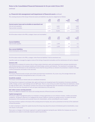*continued*

### **23. Financial risk management and impairment of fnancial assets** *continued*

The carrying amounts of the Group's financial assets and liabilities may also be categorised as follows:

|                                                                | 2019<br>Group<br>$f'$ 000 | 2018<br>Group<br>$f'$ 000 | 2019<br><b>Company</b><br>$f'$ 000 | 2018<br><b>Company</b><br>$f'$ 000 |
|----------------------------------------------------------------|---------------------------|---------------------------|------------------------------------|------------------------------------|
| <b>Current assets: loans and receivables at amortised cost</b> |                           |                           |                                    |                                    |
| Cash and cash equivalents                                      | 4,170                     | 6,661                     | 727                                | 2,669                              |
| Trade and other receivables                                    | 4.416                     | 3.745                     | 3.009                              | 5,750                              |
|                                                                | 8.586                     | 10.406                    | 3.736                              | 8.419                              |

All of the above relate to the IFRS 9 category 'loans and receivables'.

|                                                                         | 2019<br><b>Group</b><br>$f'$ 000 | 2018<br>Group<br>$f'$ 000 | 2019<br><b>Company</b><br>$f'$ 000 | 2018<br><b>Company</b><br>$f'$ 000 |
|-------------------------------------------------------------------------|----------------------------------|---------------------------|------------------------------------|------------------------------------|
| <b>Current liabilities</b>                                              |                                  |                           |                                    |                                    |
| Trade and other payables                                                | 3,075                            | 2,769                     | 69                                 | 111                                |
|                                                                         | 3,075                            | 2,769                     | 69                                 | 111                                |
| <b>Non-current liabilities</b><br>Interest bearing loans and borrowings | $\sim$                           | $\overline{\phantom{a}}$  | $\overline{\phantom{a}}$           |                                    |
|                                                                         | $\hspace{0.5cm}$                 | $\overline{\phantom{a}}$  | $\sim$                             |                                    |

All of the above relate to the IFRS 9 category 'other financial liabilities' held at amortised cost.

Liquidity needs are managed by regular review of the timing of expected receivables and the maintenance of cash on deposit.

#### Currency risk

The Group has an element of currency risk as it buys certain chemicals, parts and equipment from overseas manufacturers, sells finished products into overseas markets and holds foreign currency cash balances. The movement in exchange rates following the UK referendum on EU membership means that the Group will face an element of uncertainty in relation to foreign currency transaction and assets in the near term.

#### Interest rate

The Group's financial assets include cash at bank and short-term investments. At 30 June 2019, the average interest rate earned on the temporary closing balances was 0.1% (2018: 0.1%).

#### Sensitivity analysis

The Group's sensitivity to interest rates are considered immaterial.

The Group has an exposure to exchange rates, gains and losses are recognised upon the translation of overseas subsidiary profits, foreign currency cash holdings and non-GBP trade. There is a loss of £79,000 within these financial statements, shown on page 58 within note 4. This balance consists of an £18,000 loss originating upon the translation of overseas profits and a £61,000 loss from the revaluation of cash and open trade balances at the year end.

#### Fair values versus carrying amounts

There is no difference between fair values and carrying amounts of financial assets and liabilities.

#### Capital management

The Group's capital management policy is to maintain a strong capital base so as to enhance investor, creditor and market confidence. The Board's objective is to safeguard the Group's ability to continue as a going concern, to sustain the future development of the business and to provide returns for shareholders, whilst controlling the cost of capital.

The Group monitors capital on the basis of the carrying amount of equity, less cash as presented on the face of the statement of financial position.

In order to maintain or adjust the capital structure the Group may adjust the amount of dividends paid to shareholders, issue new shares or sell assets.

There were no changes in the Group's approach to capital management during the year. Neither the Company nor any of its subsidiaries are subject to externally imposed capital requirements.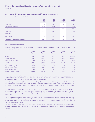*continued*

### **23. Financial risk management and impairment of fnancial assets** *continued*

Capital for the period is summarised as follows:

|                                           | 2019<br><b>Group</b><br>$f'$ 000   | 2018<br>Group<br>$f'$ 000 | 2019<br><b>Company</b><br>$f'$ 000 | 2018<br><b>Company</b><br>$f'$ 000 |
|-------------------------------------------|------------------------------------|---------------------------|------------------------------------|------------------------------------|
| Total equity<br>Cash and cash equivalents | 23,359<br>(4, 170)                 | 18,427<br>(6,661)         | 18,287<br>(727)                    | 15,479<br>(2,669)                  |
| Capital                                   | 19,189                             | 11,766                    | 17,560                             | 12,810                             |
| Total equity<br><b>Borrowings</b>         | 23,359<br>$\overline{\phantom{a}}$ | 18,427                    | 18,287<br>$\overline{\phantom{a}}$ | 15,479                             |
| Overall financing                         | 23,359                             | 18,427                    | 18,287                             | 15,479                             |
| <b>Capital to overall financing ratio</b> | 0.8215                             | 0.6385                    | 0.9602                             | 0.8276                             |

### **24. Share-based payments**

During the year ended 30 June 2019 the Group had 94 share-based payment arrangements, under four schemes. Grants in the year are detailed below:

|                                 | <b>General</b><br><b>Employee</b><br><b>Scheme</b> | <b>General</b><br><b>Employee</b><br><b>Scheme</b> | <b>General</b><br><b>Employee</b><br><b>Scheme</b> | <b>General</b><br><b>Employee</b><br><b>Scheme</b> | <b>General</b><br><b>Employee</b><br><b>Scheme</b> |
|---------------------------------|----------------------------------------------------|----------------------------------------------------|----------------------------------------------------|----------------------------------------------------|----------------------------------------------------|
| Grant date                      | $01$ -lul-18                                       | 01-Aug-18                                          | 17-0 <sub>ct</sub> -18                             | $24 - 0ct - 18$                                    | 20-Feb-19                                          |
| Vesting period ends             | $01$ -lul-18                                       | 01-Aug-18                                          | 17-0 <sub>ct</sub> -18                             | $24 - 0ct - 18$                                    | 20-Feb-19                                          |
| Share price at date of grant    | 320.0p                                             | 268.50p                                            | 261.0p                                             | 220.0p                                             | 292.50p                                            |
| Volatility                      | 33.02%                                             | 33.02%                                             | 33.02%                                             | 33.02%                                             | 33.02%                                             |
| Option life                     | 10 years                                           | 10 years                                           | 10 years                                           | 10 years                                           | 10 years                                           |
| Expected dividend yield         | 1.48%                                              | 1.48%                                              | 1.48%                                              | 1.48%                                              | 1.48%                                              |
| Risk free investment rate       | 0.75%                                              | 0.75%                                              | 0.75%                                              | 0.75%                                              | 0.75%                                              |
| Fair value at grant date        | 0.663p                                             | 0.557p                                             | 0.541p                                             | 0.456p                                             | 0.606p                                             |
| Exercise price at date of grant | 320.00p                                            | 268.50p                                            | 261.0p                                             | 220.0p                                             | 292.50p                                            |

The Senior Management Scheme is part of the remuneration package of the Executive Directors of the Company's parent Tristel Plc. Options under this scheme will vest if certain conditions defined in the programme are met. Upon vesting, each option allows the holder to purchase one ordinary share at the stated share price.

Senior Management Scheme (1) is part of the remuneration package of the Executive Directors, Non-Executive Directors and Senior Management of the Company's parent Tristel Plc. Options under this scheme will vest if certain conditions defined in the programme are met or vest immediately upon grant. Upon vesting, each option allows the holder to purchase one ordinary share at the stated share price.

Senior Management Scheme (2) is part of the remuneration package of the Executive Directors and Non-Executive Directors of the Company's parent Tristel Plc. Options under this scheme will vest if certain conditions defined in the programme are met or vest immediately upon grant. Upon vesting, each option allows the holder to purchase one ordinary share at the stated share price.

The General Employee Scheme is part of the remuneration package of certain employees of the Company. Options under this scheme will vest immediately upon grant, or will vest in accordance with a set timescale over 36 months. Upon vesting, each option allows the holder to purchase one ordinary share at the stated share price. If the option holder leaves the employ of the Company the option is forfeited.

The expected volatility is based on historical volatility over the past year. The expected life is the average expected period to exercise. The risk-free rate of return is the yield on zero-coupon UK government bonds of a term consistent with the assumed option life.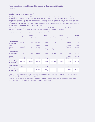*continued*

### **24. Share-based payments** *continued*

If vesting periods or other vesting conditions apply, the expense is allocated over the vesting period, based on the best available estimate of the number of share options expected to vest. Non-market vesting conditions are included in the assumptions about a number of options that are expected to become exercised. Estimates are subsequently revised, if there is any indication that the number of share options expected to vest differs from previous estimates. Any cumulative adjustment prior to vesting is recognised in the current period. No adjustment is made to any expense recognised in prior periods if share options ultimately exercised as different to that on vesting.

Fair values for the share option schemes have been determined using the Black-Scholes model, except for the Senior Management Schemes (1) & (2), where fair values have been calculated via the Monte Carlo method.

A reconciliation of option movements over the year to 30 June 2019 is shown below:

|                                       | <b>Senior</b><br><b>Management</b><br><b>Scheme</b> | Weighted<br>average<br>exercise<br>price | <b>Senior</b><br><b>Management</b><br>Scheme (1) | Weighted<br>average<br>exercise<br>price | <b>Senior</b><br><b>Management</b><br>Scheme (2) | Weighted<br>average<br>exercise<br>price | <b>General</b><br><b>Employee</b><br><b>Scheme</b> | Weighted<br>average<br>exercise<br>price |
|---------------------------------------|-----------------------------------------------------|------------------------------------------|--------------------------------------------------|------------------------------------------|--------------------------------------------------|------------------------------------------|----------------------------------------------------|------------------------------------------|
| <b>Outstanding at</b><br>30 June 2017 | 1,057,500                                           | 54.41P                                   | 1,015,851                                        | 0.01 <sub>p</sub>                        |                                                  |                                          | 702,450                                            | 101.71p                                  |
| Granted                               |                                                     |                                          | 990,000                                          | 0.01 <sub>p</sub>                        |                                                  |                                          | 460,000                                            | 280.98p                                  |
| Exercised                             | (140,000)                                           | 55.56p                                   | (39, 216)                                        |                                          |                                                  |                                          | (263, 500)                                         | 39.29p                                   |
| <b>Transferred</b>                    |                                                     |                                          | (990,000)                                        | 0.01 <sub>p</sub>                        | 990,000                                          | 0.01 <sub>p</sub>                        |                                                    |                                          |
| <b>Outstanding at</b><br>30 June 2018 | 917,500                                             | 53.75P                                   | 976,635                                          | 0.01 <sub>p</sub>                        | 990,000                                          | 0.01 <sub>p</sub>                        | 898,950                                            | 194.75p                                  |
| Granted<br>Exercised                  | (242,500)                                           | 53.75P                                   | (260, 415)                                       | 0.01 <sub>p</sub>                        |                                                  |                                          | 370,000<br>(152,000)                               | 254.00p<br>69.95p                        |
| <b>Outstanding at</b><br>30 June 2019 | 675,000                                             | 65.00p                                   | 716,220                                          | 0.01 <sub>p</sub>                        | 990,000                                          | 0.01 <sub>p</sub>                        | 1,116,950                                          | 219.63p                                  |
| <b>Exercisable at</b><br>30 June 2018 | 242,500                                             | 53.75P                                   | 975,635                                          | 0.01 <sub>p</sub>                        |                                                  |                                          | 898,950                                            | 194.75p                                  |
| <b>Exercisable at</b><br>30 June 2019 |                                                     |                                          | 716,220                                          | 0.01 <sub>p</sub>                        |                                                  | -                                        | 1,116,950                                          | 219.63p                                  |

The total charge at 30 June 2019 relating to employee share-based payment plans, in accordance with IFRS 2, was £852,000 (2018: £665,000) all of which related to equity-settled share-based payment transactions.

The range of exercise prices for options outstanding at the end of the period is 1p and 320p. The weighted average of the remaining contractual life of options at the end of the period is seven years.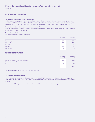### **25. Related party transactions**

All amounts quoted are gross.

#### Transactions between the Group and David Orr

Under the terms of supply agreements between the Company and Manor Packaging Limited, a private company incorporated in England and Wales in which Mr David Orr, a Non-Executive Director in the Company, is a Director, monies totalling £495,000 were payable (2018: £386,000). At 30 June 2019, the Group owed Manor Packaging Limited £48,000 (2018: £66,000).

#### Transactions between the Group and associate companies

During the year the Group charged its associate company Tristel Italia srl £99,000 (2018: £75,000) in respect of finished goods and was owed £13,000 (2018 £39,000).

### Transactions with Directors

Dividends were paid to Directors as follows:

|                     | 30 June 2019 | 30 June 2018     |
|---------------------|--------------|------------------|
| Paul Swinney        | 23,917       | 20,987           |
| Elizabeth Dixon     | 2,259        | 1,936            |
| <b>Paul Barnes</b>  | 18,378       | 25,397           |
| David Orr           | 1,404        | 537              |
| <b>Bart Leemans</b> | 35,704       | $\hspace{0.5cm}$ |

### Key management personnel

Key management compensation:

|                                                 | 30 June 2019<br>$f$ 000 | 30 June 2018<br>£ 000 |
|-------------------------------------------------|-------------------------|-----------------------|
| Salaries and other short term employee benefits | 1,549                   | 1,103                 |
| Post-employment benefits                        | 82                      | 74                    |
| Share-based payments                            | 615                     | 317                   |
|                                                 | 2,246                   | 1,494                 |

The key management figures given above includes Directors.

### **26. Post balance sheet event**

The Company acquired 80% of the share capital of Tristel Italia srl (TI) from Michael Donaldson for £595,000 in July 2019. Tristel previously owned 20% of TI since 2007 when it supported Donaldson to introduce Tristel's medical device disinfectants into Italy.

As of the date of signing, a valuation of the acquired intangibles and assets has not been completed.